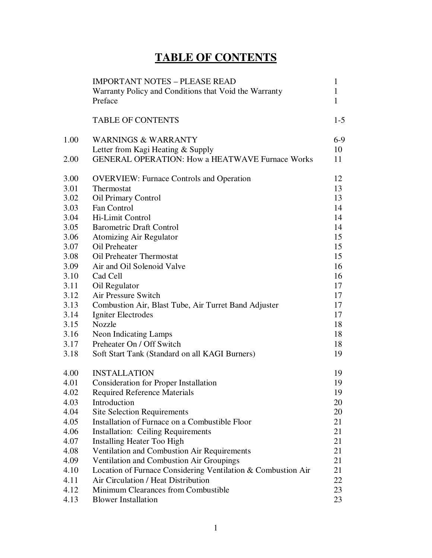# **TABLE OF CONTENTS**

|      | <b>IMPORTANT NOTES - PLEASE READ</b><br>Warranty Policy and Conditions that Void the Warranty<br>Preface | $\mathbf{1}$<br>$\mathbf{1}$<br>$\mathbf{1}$ |
|------|----------------------------------------------------------------------------------------------------------|----------------------------------------------|
|      | <b>TABLE OF CONTENTS</b>                                                                                 | $1-5$                                        |
| 1.00 | <b>WARNINGS &amp; WARRANTY</b>                                                                           | $6-9$                                        |
|      | Letter from Kagi Heating & Supply                                                                        | 10                                           |
| 2.00 | <b>GENERAL OPERATION: How a HEATWAVE Furnace Works</b>                                                   | 11                                           |
| 3.00 | <b>OVERVIEW: Furnace Controls and Operation</b>                                                          | 12                                           |
| 3.01 | Thermostat                                                                                               | 13                                           |
| 3.02 | <b>Oil Primary Control</b>                                                                               | 13                                           |
| 3.03 | Fan Control                                                                                              | 14                                           |
| 3.04 | Hi-Limit Control                                                                                         | 14                                           |
| 3.05 | <b>Barometric Draft Control</b>                                                                          | 14                                           |
| 3.06 | <b>Atomizing Air Regulator</b>                                                                           | 15                                           |
| 3.07 | <b>Oil Preheater</b>                                                                                     | 15                                           |
| 3.08 | Oil Preheater Thermostat                                                                                 | 15                                           |
| 3.09 | Air and Oil Solenoid Valve                                                                               | 16                                           |
| 3.10 | Cad Cell                                                                                                 | 16                                           |
| 3.11 | Oil Regulator                                                                                            | 17                                           |
| 3.12 | Air Pressure Switch                                                                                      | 17                                           |
| 3.13 | Combustion Air, Blast Tube, Air Turret Band Adjuster                                                     | 17                                           |
| 3.14 | Igniter Electrodes                                                                                       | 17                                           |
| 3.15 | <b>Nozzle</b>                                                                                            | 18                                           |
| 3.16 | Neon Indicating Lamps                                                                                    | 18                                           |
| 3.17 | Preheater On / Off Switch                                                                                | 18                                           |
| 3.18 | Soft Start Tank (Standard on all KAGI Burners)                                                           | 19                                           |
| 4.00 | <b>INSTALLATION</b>                                                                                      | 19                                           |
| 4.01 | <b>Consideration for Proper Installation</b>                                                             | 19                                           |
| 4.02 | <b>Required Reference Materials</b>                                                                      | 19                                           |
| 4.03 | Introduction                                                                                             | 20                                           |
| 4.04 | <b>Site Selection Requirements</b>                                                                       | 20                                           |
| 4.05 | Installation of Furnace on a Combustible Floor                                                           | 21                                           |
| 4.06 | <b>Installation: Ceiling Requirements</b>                                                                | 21                                           |
| 4.07 | <b>Installing Heater Too High</b>                                                                        | 21                                           |
| 4.08 | Ventilation and Combustion Air Requirements                                                              | 21                                           |
| 4.09 | Ventilation and Combustion Air Groupings                                                                 | 21                                           |
| 4.10 | Location of Furnace Considering Ventilation & Combustion Air                                             | 21                                           |
| 4.11 | Air Circulation / Heat Distribution                                                                      | 22                                           |
| 4.12 | Minimum Clearances from Combustible                                                                      | 23                                           |
| 4.13 | <b>Blower Installation</b>                                                                               | 23                                           |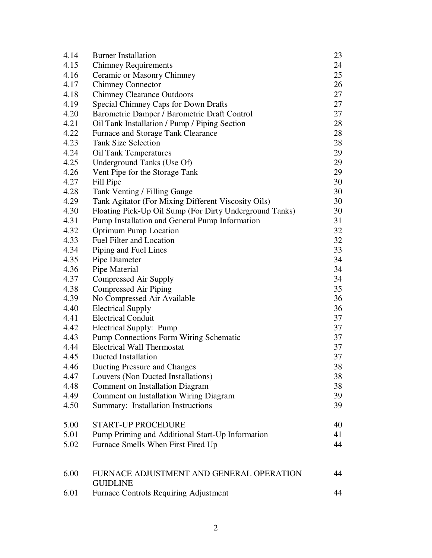| 4.14 | <b>Burner Installation</b>                              | 23 |  |
|------|---------------------------------------------------------|----|--|
| 4.15 | <b>Chimney Requirements</b>                             | 24 |  |
| 4.16 | Ceramic or Masonry Chimney                              |    |  |
| 4.17 | <b>Chimney Connector</b>                                |    |  |
| 4.18 | <b>Chimney Clearance Outdoors</b>                       |    |  |
| 4.19 | Special Chimney Caps for Down Drafts                    | 27 |  |
| 4.20 | Barometric Damper / Barometric Draft Control            | 27 |  |
| 4.21 | Oil Tank Installation / Pump / Piping Section           | 28 |  |
| 4.22 | Furnace and Storage Tank Clearance                      | 28 |  |
| 4.23 | <b>Tank Size Selection</b>                              | 28 |  |
| 4.24 | <b>Oil Tank Temperatures</b>                            | 29 |  |
| 4.25 | Underground Tanks (Use Of)                              | 29 |  |
| 4.26 | Vent Pipe for the Storage Tank                          | 29 |  |
| 4.27 | Fill Pipe                                               | 30 |  |
| 4.28 | Tank Venting / Filling Gauge                            | 30 |  |
| 4.29 | Tank Agitator (For Mixing Different Viscosity Oils)     | 30 |  |
| 4.30 | Floating Pick-Up Oil Sump (For Dirty Underground Tanks) | 30 |  |
| 4.31 | Pump Installation and General Pump Information          | 31 |  |
| 4.32 | <b>Optimum Pump Location</b>                            | 32 |  |
| 4.33 | Fuel Filter and Location                                | 32 |  |
| 4.34 | Piping and Fuel Lines                                   | 33 |  |
| 4.35 | Pipe Diameter                                           | 34 |  |
| 4.36 | Pipe Material                                           | 34 |  |
| 4.37 | Compressed Air Supply                                   | 34 |  |
| 4.38 | Compressed Air Piping                                   | 35 |  |
| 4.39 | No Compressed Air Available                             | 36 |  |
| 4.40 | <b>Electrical Supply</b>                                | 36 |  |
| 4.41 | <b>Electrical Conduit</b>                               | 37 |  |
| 4.42 | Electrical Supply: Pump                                 | 37 |  |
| 4.43 | <b>Pump Connections Form Wiring Schematic</b>           | 37 |  |
| 4.44 | <b>Electrical Wall Thermostat</b>                       | 37 |  |
| 4.45 | <b>Ducted Installation</b>                              | 37 |  |
| 4.46 | Ducting Pressure and Changes                            | 38 |  |
| 4.47 | Louvers (Non Ducted Installations)                      | 38 |  |
| 4.48 | <b>Comment on Installation Diagram</b>                  | 38 |  |
| 4.49 | Comment on Installation Wiring Diagram                  | 39 |  |
| 4.50 | Summary: Installation Instructions                      | 39 |  |
| 5.00 | <b>START-UP PROCEDURE</b>                               | 40 |  |
| 5.01 | Pump Priming and Additional Start-Up Information        | 41 |  |
| 5.02 | Furnace Smells When First Fired Up                      | 44 |  |
| 6.00 | FURNACE ADJUSTMENT AND GENERAL OPERATION                | 44 |  |
|      | <b>GUIDLINE</b>                                         |    |  |
| 6.01 | <b>Furnace Controls Requiring Adjustment</b>            | 44 |  |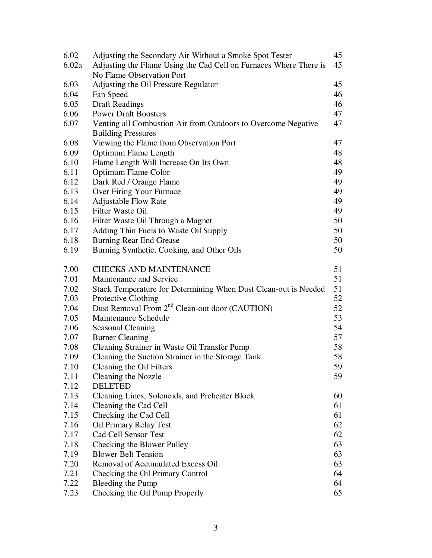| 6.02  | Adjusting the Secondary Air Without a Smoke Spot Tester           | 45 |
|-------|-------------------------------------------------------------------|----|
| 6.02a | Adjusting the Flame Using the Cad Cell on Furnaces Where There is |    |
|       | No Flame Observation Port                                         |    |
| 6.03  | Adjusting the Oil Pressure Regulator                              | 45 |
| 6.04  | Fan Speed                                                         | 46 |
| 6.05  | <b>Draft Readings</b>                                             | 46 |
| 6.06  | <b>Power Draft Boosters</b>                                       | 47 |
| 6.07  | Venting all Combustion Air from Outdoors to Overcome Negative     | 47 |
|       | <b>Building Pressures</b>                                         |    |
| 6.08  | Viewing the Flame from Observation Port                           | 47 |
| 6.09  | <b>Optimum Flame Length</b>                                       | 48 |
| 6.10  | Flame Length Will Increase On Its Own                             | 48 |
| 6.11  | Optimum Flame Color                                               | 49 |
| 6.12  | Dark Red / Orange Flame                                           | 49 |
| 6.13  | Over Firing Your Furnace                                          | 49 |
| 6.14  | <b>Adjustable Flow Rate</b>                                       | 49 |
| 6.15  | Filter Waste Oil                                                  | 49 |
| 6.16  | Filter Waste Oil Through a Magnet                                 | 50 |
| 6.17  | Adding Thin Fuels to Waste Oil Supply                             | 50 |
| 6.18  | <b>Burning Rear End Grease</b>                                    | 50 |
| 6.19  | Burning Synthetic, Cooking, and Other Oils                        | 50 |
| 7.00  | <b>CHECKS AND MAINTENANCE</b>                                     | 51 |
| 7.01  | Maintenance and Service                                           | 51 |
| 7.02  | Stack Temperature for Determining When Dust Clean-out is Needed   | 51 |
| 7.03  | Protective Clothing                                               | 52 |
| 7.04  | Dust Removal From 2 <sup>nd</sup> Clean-out door (CAUTION)        | 52 |
| 7.05  | Maintenance Schedule                                              | 53 |
| 7.06  | <b>Seasonal Cleaning</b>                                          | 54 |
| 7.07  | <b>Burner Cleaning</b>                                            | 57 |
| 7.08  | Cleaning Strainer in Waste Oil Transfer Pump                      | 58 |
| 7.09  | Cleaning the Suction Strainer in the Storage Tank                 | 58 |
| 7.10  | Cleaning the Oil Filters                                          | 59 |
| 7.11  | Cleaning the Nozzle                                               | 59 |
| 7.12  | <b>DELETED</b>                                                    |    |
| 7.13  | Cleaning Lines, Solenoids, and Preheater Block                    | 60 |
| 7.14  | Cleaning the Cad Cell                                             | 61 |
| 7.15  | Checking the Cad Cell                                             | 61 |
| 7.16  | Oil Primary Relay Test                                            | 62 |
| 7.17  | Cad Cell Sensor Test                                              | 62 |
| 7.18  | Checking the Blower Pulley                                        | 63 |
| 7.19  | <b>Blower Belt Tension</b>                                        | 63 |
| 7.20  | Removal of Accumulated Excess Oil                                 | 63 |
| 7.21  | Checking the Oil Primary Control                                  | 64 |
| 7.22  | Bleeding the Pump                                                 | 64 |
| 7.23  | Checking the Oil Pump Properly                                    | 65 |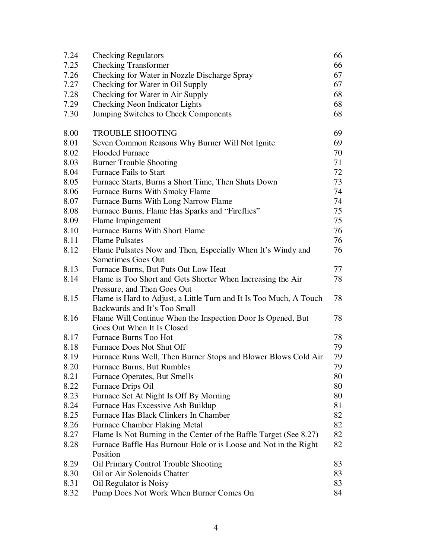| 7.24 | <b>Checking Regulators</b>                                                                 | 66 |
|------|--------------------------------------------------------------------------------------------|----|
| 7.25 | <b>Checking Transformer</b>                                                                | 66 |
| 7.26 | Checking for Water in Nozzle Discharge Spray                                               | 67 |
| 7.27 | Checking for Water in Oil Supply                                                           | 67 |
| 7.28 | Checking for Water in Air Supply                                                           | 68 |
| 7.29 | Checking Neon Indicator Lights                                                             | 68 |
| 7.30 | Jumping Switches to Check Components                                                       | 68 |
| 8.00 | <b>TROUBLE SHOOTING</b>                                                                    | 69 |
| 8.01 | Seven Common Reasons Why Burner Will Not Ignite                                            | 69 |
| 8.02 | <b>Flooded Furnace</b>                                                                     | 70 |
| 8.03 | <b>Burner Trouble Shooting</b>                                                             | 71 |
| 8.04 | <b>Furnace Fails to Start</b>                                                              | 72 |
| 8.05 | Furnace Starts, Burns a Short Time, Then Shuts Down                                        | 73 |
| 8.06 | <b>Furnace Burns With Smoky Flame</b>                                                      | 74 |
| 8.07 | Furnace Burns With Long Narrow Flame                                                       | 74 |
| 8.08 | Furnace Burns, Flame Has Sparks and "Fireflies"                                            | 75 |
| 8.09 | Flame Impingement                                                                          | 75 |
| 8.10 | <b>Furnace Burns With Short Flame</b>                                                      | 76 |
| 8.11 | <b>Flame Pulsates</b>                                                                      | 76 |
| 8.12 | Flame Pulsates Now and Then, Especially When It's Windy and                                | 76 |
|      | Sometimes Goes Out                                                                         |    |
| 8.13 | Furnace Burns, But Puts Out Low Heat                                                       | 77 |
| 8.14 | Flame is Too Short and Gets Shorter When Increasing the Air<br>Pressure, and Then Goes Out | 78 |
| 8.15 | Flame is Hard to Adjust, a Little Turn and It Is Too Much, A Touch                         | 78 |
| 8.16 | Backwards and It's Too Small                                                               | 78 |
|      | Flame Will Continue When the Inspection Door Is Opened, But<br>Goes Out When It Is Closed  |    |
| 8.17 | <b>Furnace Burns Too Hot</b>                                                               | 78 |
| 8.18 | Furnace Does Not Shut Off                                                                  | 79 |
| 8.19 | Furnace Runs Well, Then Burner Stops and Blower Blows Cold Air                             | 79 |
| 8.20 | Furnace Burns, But Rumbles                                                                 | 79 |
| 8.21 | Furnace Operates, But Smells                                                               | 80 |
| 8.22 | Furnace Drips Oil                                                                          | 80 |
| 8.23 | Furnace Set At Night Is Off By Morning                                                     | 80 |
| 8.24 | Furnace Has Excessive Ash Buildup                                                          | 81 |
| 8.25 | Furnace Has Black Clinkers In Chamber                                                      | 82 |
| 8.26 | <b>Furnace Chamber Flaking Metal</b>                                                       | 82 |
| 8.27 | Flame Is Not Burning in the Center of the Baffle Target (See 8.27)                         | 82 |
| 8.28 | Furnace Baffle Has Burnout Hole or is Loose and Not in the Right<br>Position               | 82 |
| 8.29 | <b>Oil Primary Control Trouble Shooting</b>                                                | 83 |
| 8.30 | Oil or Air Solenoids Chatter                                                               | 83 |
| 8.31 | Oil Regulator is Noisy                                                                     | 83 |
| 8.32 | Pump Does Not Work When Burner Comes On                                                    | 84 |
|      |                                                                                            |    |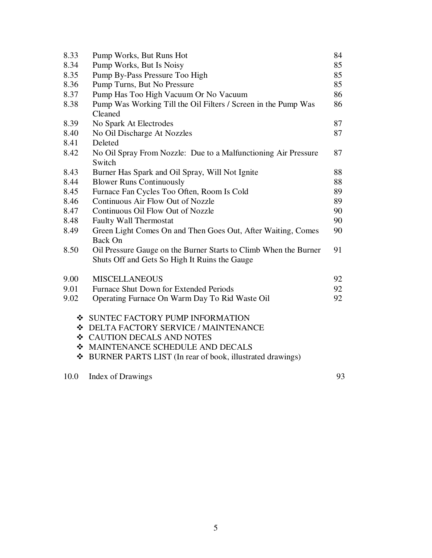| 8.33 | Pump Works, But Runs Hot                                         | 84 |
|------|------------------------------------------------------------------|----|
| 8.34 | Pump Works, But Is Noisy                                         | 85 |
| 8.35 | Pump By-Pass Pressure Too High                                   | 85 |
| 8.36 | Pump Turns, But No Pressure                                      | 85 |
| 8.37 | Pump Has Too High Vacuum Or No Vacuum                            |    |
| 8.38 | Pump Was Working Till the Oil Filters / Screen in the Pump Was   | 86 |
|      | Cleaned                                                          |    |
| 8.39 | No Spark At Electrodes                                           | 87 |
| 8.40 | No Oil Discharge At Nozzles                                      | 87 |
| 8.41 | Deleted                                                          |    |
| 8.42 | No Oil Spray From Nozzle: Due to a Malfunctioning Air Pressure   | 87 |
|      | Switch                                                           |    |
| 8.43 | Burner Has Spark and Oil Spray, Will Not Ignite                  | 88 |
| 8.44 | <b>Blower Runs Continuously</b>                                  | 88 |
| 8.45 | Furnace Fan Cycles Too Often, Room Is Cold                       |    |
| 8.46 | Continuous Air Flow Out of Nozzle                                | 89 |
| 8.47 | Continuous Oil Flow Out of Nozzle                                | 90 |
| 8.48 | <b>Faulty Wall Thermostat</b>                                    | 90 |
| 8.49 | Green Light Comes On and Then Goes Out, After Waiting, Comes     | 90 |
|      | <b>Back On</b>                                                   |    |
| 8.50 | Oil Pressure Gauge on the Burner Starts to Climb When the Burner | 91 |
|      | Shuts Off and Gets So High It Ruins the Gauge                    |    |
| 9.00 | <b>MISCELLANEOUS</b>                                             | 92 |
| 9.01 | <b>Furnace Shut Down for Extended Periods</b>                    | 92 |
| 9.02 | Operating Furnace On Warm Day To Rid Waste Oil                   | 92 |
|      |                                                                  |    |
|      | ❖ SUNTEC FACTORY PUMP INFORMATION                                |    |
|      | <b>EXAMPLE AND DELTA FACTORY SERVICE / MAINTENANCE</b>           |    |
|      | ❖ CAUTION DECALS AND NOTES                                       |    |
|      | ❖ MAINTENANCE SCHEDULE AND DECALS                                |    |
| ❖    | BURNER PARTS LIST (In rear of book, illustrated drawings)        |    |
| 10.0 | <b>Index of Drawings</b>                                         | 93 |
|      |                                                                  |    |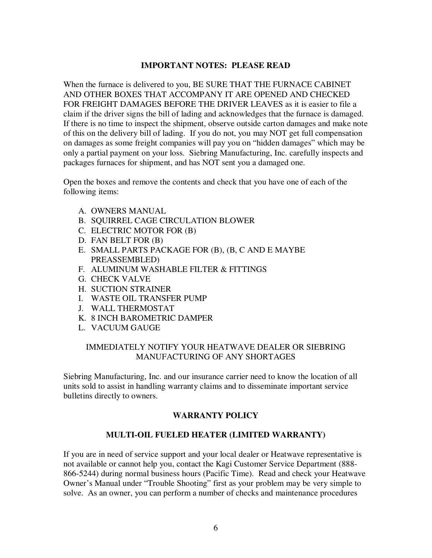#### **IMPORTANT NOTES: PLEASE READ**

When the furnace is delivered to you, BE SURE THAT THE FURNACE CABINET AND OTHER BOXES THAT ACCOMPANY IT ARE OPENED AND CHECKED FOR FREIGHT DAMAGES BEFORE THE DRIVER LEAVES as it is easier to file a claim if the driver signs the bill of lading and acknowledges that the furnace is damaged. If there is no time to inspect the shipment, observe outside carton damages and make note of this on the delivery bill of lading. If you do not, you may NOT get full compensation on damages as some freight companies will pay you on "hidden damages" which may be only a partial payment on your loss. Siebring Manufacturing, Inc. carefully inspects and packages furnaces for shipment, and has NOT sent you a damaged one.

Open the boxes and remove the contents and check that you have one of each of the following items:

- A. OWNERS MANUAL
- B. SQUIRREL CAGE CIRCULATION BLOWER
- C. ELECTRIC MOTOR FOR (B)
- D. FAN BELT FOR (B)
- E. SMALL PARTS PACKAGE FOR (B), (B, C AND E MAYBE PREASSEMBLED)
- F. ALUMINUM WASHABLE FILTER & FITTINGS
- G. CHECK VALVE
- H. SUCTION STRAINER
- I. WASTE OIL TRANSFER PUMP
- J. WALL THERMOSTAT
- K. 8 INCH BAROMETRIC DAMPER
- L. VACUUM GAUGE

#### IMMEDIATELY NOTIFY YOUR HEATWAVE DEALER OR SIEBRING MANUFACTURING OF ANY SHORTAGES

Siebring Manufacturing, Inc. and our insurance carrier need to know the location of all units sold to assist in handling warranty claims and to disseminate important service bulletins directly to owners.

# **WARRANTY POLICY**

#### **MULTI-OIL FUELED HEATER (LIMITED WARRANTY)**

If you are in need of service support and your local dealer or Heatwave representative is not available or cannot help you, contact the Kagi Customer Service Department (888- 866-5244) during normal business hours (Pacific Time). Read and check your Heatwave Owner's Manual under "Trouble Shooting" first as your problem may be very simple to solve. As an owner, you can perform a number of checks and maintenance procedures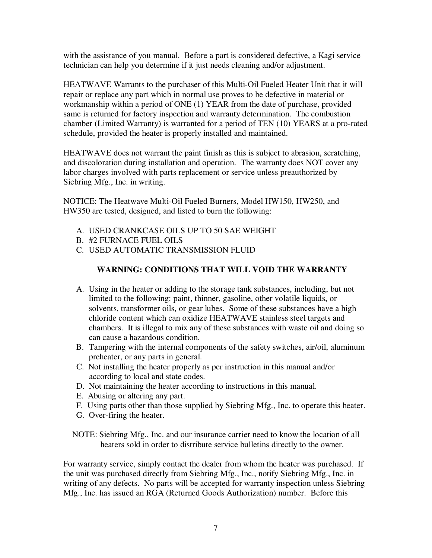with the assistance of you manual. Before a part is considered defective, a Kagi service technician can help you determine if it just needs cleaning and/or adjustment.

HEATWAVE Warrants to the purchaser of this Multi-Oil Fueled Heater Unit that it will repair or replace any part which in normal use proves to be defective in material or workmanship within a period of ONE (1) YEAR from the date of purchase, provided same is returned for factory inspection and warranty determination. The combustion chamber (Limited Warranty) is warranted for a period of TEN (10) YEARS at a pro-rated schedule, provided the heater is properly installed and maintained.

HEATWAVE does not warrant the paint finish as this is subject to abrasion, scratching, and discoloration during installation and operation. The warranty does NOT cover any labor charges involved with parts replacement or service unless preauthorized by Siebring Mfg., Inc. in writing.

NOTICE: The Heatwave Multi-Oil Fueled Burners, Model HW150, HW250, and HW350 are tested, designed, and listed to burn the following:

- A. USED CRANKCASE OILS UP TO 50 SAE WEIGHT
- B. #2 FURNACE FUEL OILS
- C. USED AUTOMATIC TRANSMISSION FLUID

# **WARNING: CONDITIONS THAT WILL VOID THE WARRANTY**

- A. Using in the heater or adding to the storage tank substances, including, but not limited to the following: paint, thinner, gasoline, other volatile liquids, or solvents, transformer oils, or gear lubes. Some of these substances have a high chloride content which can oxidize HEATWAVE stainless steel targets and chambers. It is illegal to mix any of these substances with waste oil and doing so can cause a hazardous condition.
- B. Tampering with the internal components of the safety switches, air/oil, aluminum preheater, or any parts in general.
- C. Not installing the heater properly as per instruction in this manual and/or according to local and state codes.
- D. Not maintaining the heater according to instructions in this manual.
- E. Abusing or altering any part.
- F. Using parts other than those supplied by Siebring Mfg., Inc. to operate this heater.
- G. Over-firing the heater.

NOTE: Siebring Mfg., Inc. and our insurance carrier need to know the location of all heaters sold in order to distribute service bulletins directly to the owner.

For warranty service, simply contact the dealer from whom the heater was purchased. If the unit was purchased directly from Siebring Mfg., Inc., notify Siebring Mfg., Inc. in writing of any defects. No parts will be accepted for warranty inspection unless Siebring Mfg., Inc. has issued an RGA (Returned Goods Authorization) number. Before this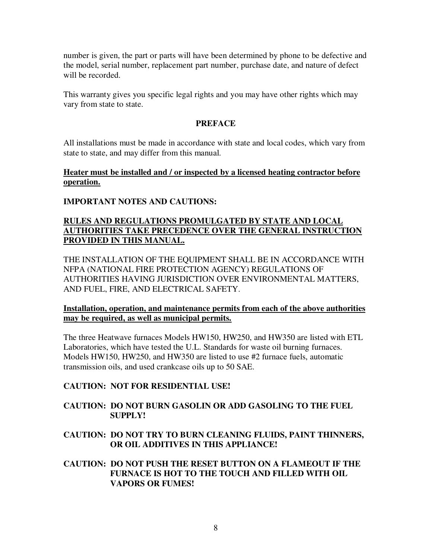number is given, the part or parts will have been determined by phone to be defective and the model, serial number, replacement part number, purchase date, and nature of defect will be recorded.

This warranty gives you specific legal rights and you may have other rights which may vary from state to state.

#### **PREFACE**

All installations must be made in accordance with state and local codes, which vary from state to state, and may differ from this manual.

#### **Heater must be installed and / or inspected by a licensed heating contractor before operation.**

# **IMPORTANT NOTES AND CAUTIONS:**

# **RULES AND REGULATIONS PROMULGATED BY STATE AND LOCAL AUTHORITIES TAKE PRECEDENCE OVER THE GENERAL INSTRUCTION PROVIDED IN THIS MANUAL.**

THE INSTALLATION OF THE EQUIPMENT SHALL BE IN ACCORDANCE WITH NFPA (NATIONAL FIRE PROTECTION AGENCY) REGULATIONS OF AUTHORITIES HAVING JURISDICTION OVER ENVIRONMENTAL MATTERS, AND FUEL, FIRE, AND ELECTRICAL SAFETY.

#### **Installation, operation, and maintenance permits from each of the above authorities may be required, as well as municipal permits.**

The three Heatwave furnaces Models HW150, HW250, and HW350 are listed with ETL Laboratories, which have tested the U.L. Standards for waste oil burning furnaces. Models HW150, HW250, and HW350 are listed to use #2 furnace fuels, automatic transmission oils, and used crankcase oils up to 50 SAE.

# **CAUTION: NOT FOR RESIDENTIAL USE!**

#### **CAUTION: DO NOT BURN GASOLIN OR ADD GASOLING TO THE FUEL SUPPLY!**

**CAUTION: DO NOT TRY TO BURN CLEANING FLUIDS, PAINT THINNERS, OR OIL ADDITIVES IN THIS APPLIANCE!** 

#### **CAUTION: DO NOT PUSH THE RESET BUTTON ON A FLAMEOUT IF THE FURNACE IS HOT TO THE TOUCH AND FILLED WITH OIL VAPORS OR FUMES!**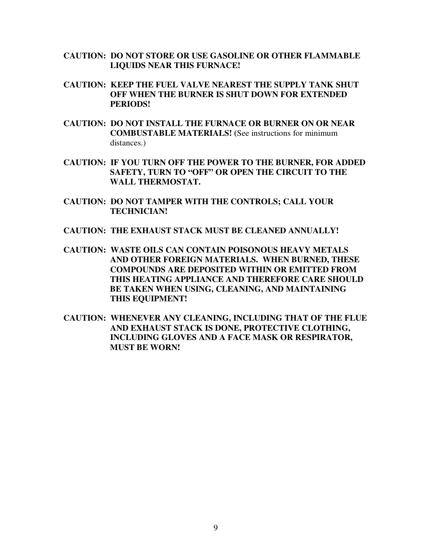- **CAUTION: DO NOT STORE OR USE GASOLINE OR OTHER FLAMMABLE LIQUIDS NEAR THIS FURNACE!**
- **CAUTION: KEEP THE FUEL VALVE NEAREST THE SUPPLY TANK SHUT OFF WHEN THE BURNER IS SHUT DOWN FOR EXTENDED PERIODS!**
- **CAUTION: DO NOT INSTALL THE FURNACE OR BURNER ON OR NEAR COMBUSTABLE MATERIALS! (**See instructions for minimum distances.)
- **CAUTION: IF YOU TURN OFF THE POWER TO THE BURNER, FOR ADDED SAFETY, TURN TO "OFF" OR OPEN THE CIRCUIT TO THE WALL THERMOSTAT.**
- **CAUTION: DO NOT TAMPER WITH THE CONTROLS; CALL YOUR TECHNICIAN!**
- **CAUTION: THE EXHAUST STACK MUST BE CLEANED ANNUALLY!**
- **CAUTION: WASTE OILS CAN CONTAIN POISONOUS HEAVY METALS AND OTHER FOREIGN MATERIALS. WHEN BURNED, THESE COMPOUNDS ARE DEPOSITED WITHIN OR EMITTED FROM THIS HEATING APPLIANCE AND THEREFORE CARE SHOULD BE TAKEN WHEN USING, CLEANING, AND MAINTAINING THIS EQUIPMENT!**
- **CAUTION: WHENEVER ANY CLEANING, INCLUDING THAT OF THE FLUE AND EXHAUST STACK IS DONE, PROTECTIVE CLOTHING, INCLUDING GLOVES AND A FACE MASK OR RESPIRATOR, MUST BE WORN!**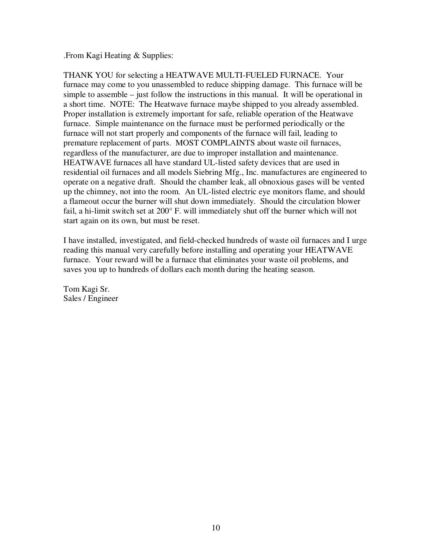.From Kagi Heating & Supplies:

THANK YOU for selecting a HEATWAVE MULTI-FUELED FURNACE. Your furnace may come to you unassembled to reduce shipping damage. This furnace will be simple to assemble – just follow the instructions in this manual. It will be operational in a short time. NOTE: The Heatwave furnace maybe shipped to you already assembled. Proper installation is extremely important for safe, reliable operation of the Heatwave furnace. Simple maintenance on the furnace must be performed periodically or the furnace will not start properly and components of the furnace will fail, leading to premature replacement of parts. MOST COMPLAINTS about waste oil furnaces, regardless of the manufacturer, are due to improper installation and maintenance. HEATWAVE furnaces all have standard UL-listed safety devices that are used in residential oil furnaces and all models Siebring Mfg., Inc. manufactures are engineered to operate on a negative draft. Should the chamber leak, all obnoxious gases will be vented up the chimney, not into the room. An UL-listed electric eye monitors flame, and should a flameout occur the burner will shut down immediately. Should the circulation blower fail, a hi-limit switch set at 200° F. will immediately shut off the burner which will not start again on its own, but must be reset.

I have installed, investigated, and field-checked hundreds of waste oil furnaces and I urge reading this manual very carefully before installing and operating your HEATWAVE furnace. Your reward will be a furnace that eliminates your waste oil problems, and saves you up to hundreds of dollars each month during the heating season.

Tom Kagi Sr. Sales / Engineer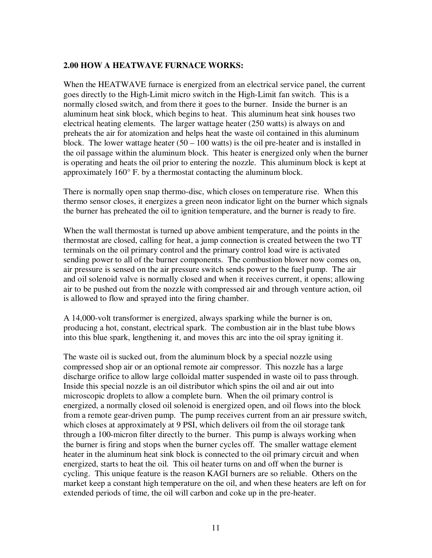#### **2.00 HOW A HEATWAVE FURNACE WORKS:**

When the HEATWAVE furnace is energized from an electrical service panel, the current goes directly to the High-Limit micro switch in the High-Limit fan switch. This is a normally closed switch, and from there it goes to the burner. Inside the burner is an aluminum heat sink block, which begins to heat. This aluminum heat sink houses two electrical heating elements. The larger wattage heater (250 watts) is always on and preheats the air for atomization and helps heat the waste oil contained in this aluminum block. The lower wattage heater  $(50 - 100$  watts) is the oil pre-heater and is installed in the oil passage within the aluminum block. This heater is energized only when the burner is operating and heats the oil prior to entering the nozzle. This aluminum block is kept at approximately 160° F. by a thermostat contacting the aluminum block.

There is normally open snap thermo-disc, which closes on temperature rise. When this thermo sensor closes, it energizes a green neon indicator light on the burner which signals the burner has preheated the oil to ignition temperature, and the burner is ready to fire.

When the wall thermostat is turned up above ambient temperature, and the points in the thermostat are closed, calling for heat, a jump connection is created between the two TT terminals on the oil primary control and the primary control load wire is activated sending power to all of the burner components. The combustion blower now comes on, air pressure is sensed on the air pressure switch sends power to the fuel pump. The air and oil solenoid valve is normally closed and when it receives current, it opens; allowing air to be pushed out from the nozzle with compressed air and through venture action, oil is allowed to flow and sprayed into the firing chamber.

A 14,000-volt transformer is energized, always sparking while the burner is on, producing a hot, constant, electrical spark. The combustion air in the blast tube blows into this blue spark, lengthening it, and moves this arc into the oil spray igniting it.

The waste oil is sucked out, from the aluminum block by a special nozzle using compressed shop air or an optional remote air compressor. This nozzle has a large discharge orifice to allow large colloidal matter suspended in waste oil to pass through. Inside this special nozzle is an oil distributor which spins the oil and air out into microscopic droplets to allow a complete burn. When the oil primary control is energized, a normally closed oil solenoid is energized open, and oil flows into the block from a remote gear-driven pump. The pump receives current from an air pressure switch, which closes at approximately at 9 PSI, which delivers oil from the oil storage tank through a 100-micron filter directly to the burner. This pump is always working when the burner is firing and stops when the burner cycles off. The smaller wattage element heater in the aluminum heat sink block is connected to the oil primary circuit and when energized, starts to heat the oil. This oil heater turns on and off when the burner is cycling. This unique feature is the reason KAGI burners are so reliable. Others on the market keep a constant high temperature on the oil, and when these heaters are left on for extended periods of time, the oil will carbon and coke up in the pre-heater.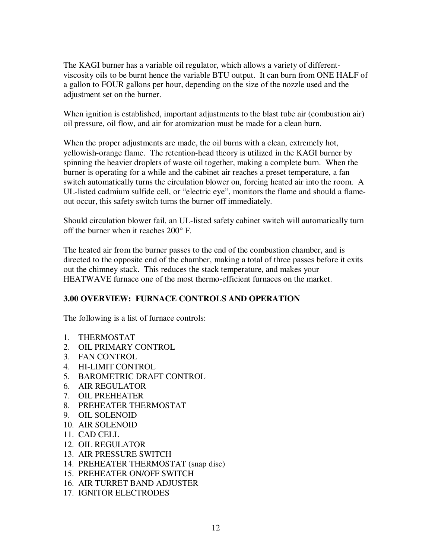The KAGI burner has a variable oil regulator, which allows a variety of differentviscosity oils to be burnt hence the variable BTU output. It can burn from ONE HALF of a gallon to FOUR gallons per hour, depending on the size of the nozzle used and the adjustment set on the burner.

When ignition is established, important adjustments to the blast tube air (combustion air) oil pressure, oil flow, and air for atomization must be made for a clean burn.

When the proper adjustments are made, the oil burns with a clean, extremely hot, yellowish-orange flame. The retention-head theory is utilized in the KAGI burner by spinning the heavier droplets of waste oil together, making a complete burn. When the burner is operating for a while and the cabinet air reaches a preset temperature, a fan switch automatically turns the circulation blower on, forcing heated air into the room. A UL-listed cadmium sulfide cell, or "electric eye", monitors the flame and should a flameout occur, this safety switch turns the burner off immediately.

Should circulation blower fail, an UL-listed safety cabinet switch will automatically turn off the burner when it reaches 200° F.

The heated air from the burner passes to the end of the combustion chamber, and is directed to the opposite end of the chamber, making a total of three passes before it exits out the chimney stack. This reduces the stack temperature, and makes your HEATWAVE furnace one of the most thermo-efficient furnaces on the market.

# **3.00 OVERVIEW: FURNACE CONTROLS AND OPERATION**

The following is a list of furnace controls:

- 1. THERMOSTAT
- 2. OIL PRIMARY CONTROL
- 3. FAN CONTROL
- 4. HI-LIMIT CONTROL
- 5. BAROMETRIC DRAFT CONTROL
- 6. AIR REGULATOR
- 7. OIL PREHEATER
- 8. PREHEATER THERMOSTAT
- 9. OIL SOLENOID
- 10. AIR SOLENOID
- 11. CAD CELL
- 12. OIL REGULATOR
- 13. AIR PRESSURE SWITCH
- 14. PREHEATER THERMOSTAT (snap disc)
- 15. PREHEATER ON/OFF SWITCH
- 16. AIR TURRET BAND ADJUSTER
- 17. IGNITOR ELECTRODES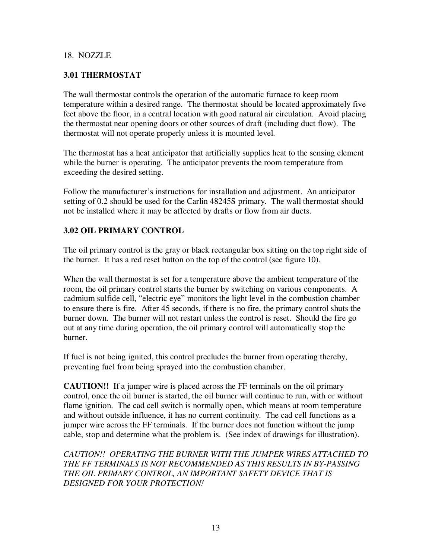#### 18. NOZZLE

#### **3.01 THERMOSTAT**

The wall thermostat controls the operation of the automatic furnace to keep room temperature within a desired range. The thermostat should be located approximately five feet above the floor, in a central location with good natural air circulation. Avoid placing the thermostat near opening doors or other sources of draft (including duct flow). The thermostat will not operate properly unless it is mounted level.

The thermostat has a heat anticipator that artificially supplies heat to the sensing element while the burner is operating. The anticipator prevents the room temperature from exceeding the desired setting.

Follow the manufacturer's instructions for installation and adjustment. An anticipator setting of 0.2 should be used for the Carlin 48245S primary. The wall thermostat should not be installed where it may be affected by drafts or flow from air ducts.

#### **3.02 OIL PRIMARY CONTROL**

The oil primary control is the gray or black rectangular box sitting on the top right side of the burner. It has a red reset button on the top of the control (see figure 10).

When the wall thermostat is set for a temperature above the ambient temperature of the room, the oil primary control starts the burner by switching on various components. A cadmium sulfide cell, "electric eye" monitors the light level in the combustion chamber to ensure there is fire. After 45 seconds, if there is no fire, the primary control shuts the burner down. The burner will not restart unless the control is reset. Should the fire go out at any time during operation, the oil primary control will automatically stop the burner.

If fuel is not being ignited, this control precludes the burner from operating thereby, preventing fuel from being sprayed into the combustion chamber.

**CAUTION!!** If a jumper wire is placed across the FF terminals on the oil primary control, once the oil burner is started, the oil burner will continue to run, with or without flame ignition. The cad cell switch is normally open, which means at room temperature and without outside influence, it has no current continuity. The cad cell functions as a jumper wire across the FF terminals. If the burner does not function without the jump cable, stop and determine what the problem is. (See index of drawings for illustration).

*CAUTION!! OPERATING THE BURNER WITH THE JUMPER WIRES ATTACHED TO THE FF TERMINALS IS NOT RECOMMENDED AS THIS RESULTS IN BY-PASSING THE OIL PRIMARY CONTROL, AN IMPORTANT SAFETY DEVICE THAT IS DESIGNED FOR YOUR PROTECTION!*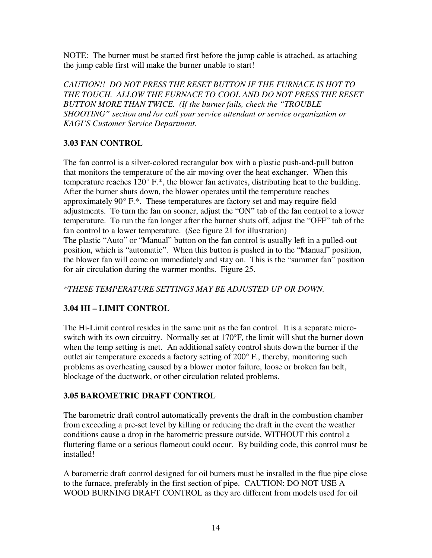NOTE: The burner must be started first before the jump cable is attached, as attaching the jump cable first will make the burner unable to start!

*CAUTION!! DO NOT PRESS THE RESET BUTTON IF THE FURNACE IS HOT TO THE TOUCH. ALLOW THE FURNACE TO COOL AND DO NOT PRESS THE RESET BUTTON MORE THAN TWICE. (If the burner fails, check the "TROUBLE SHOOTING" section and /or call your service attendant or service organization or KAGI'S Customer Service Department.* 

# **3.03 FAN CONTROL**

The fan control is a silver-colored rectangular box with a plastic push-and-pull button that monitors the temperature of the air moving over the heat exchanger. When this temperature reaches 120° F.\*, the blower fan activates, distributing heat to the building. After the burner shuts down, the blower operates until the temperature reaches approximately 90° F.\*. These temperatures are factory set and may require field adjustments. To turn the fan on sooner, adjust the "ON" tab of the fan control to a lower temperature. To run the fan longer after the burner shuts off, adjust the "OFF" tab of the fan control to a lower temperature. (See figure 21 for illustration) The plastic "Auto" or "Manual" button on the fan control is usually left in a pulled-out position, which is "automatic". When this button is pushed in to the "Manual" position, the blower fan will come on immediately and stay on. This is the "summer fan" position for air circulation during the warmer months. Figure 25.

*\*THESE TEMPERATURE SETTINGS MAY BE ADJUSTED UP OR DOWN.* 

# **3.04 HI – LIMIT CONTROL**

The Hi-Limit control resides in the same unit as the fan control. It is a separate microswitch with its own circuitry. Normally set at 170°F, the limit will shut the burner down when the temp setting is met. An additional safety control shuts down the burner if the outlet air temperature exceeds a factory setting of 200° F., thereby, monitoring such problems as overheating caused by a blower motor failure, loose or broken fan belt, blockage of the ductwork, or other circulation related problems.

# **3.05 BAROMETRIC DRAFT CONTROL**

The barometric draft control automatically prevents the draft in the combustion chamber from exceeding a pre-set level by killing or reducing the draft in the event the weather conditions cause a drop in the barometric pressure outside, WITHOUT this control a fluttering flame or a serious flameout could occur. By building code, this control must be installed!

A barometric draft control designed for oil burners must be installed in the flue pipe close to the furnace, preferably in the first section of pipe. CAUTION: DO NOT USE A WOOD BURNING DRAFT CONTROL as they are different from models used for oil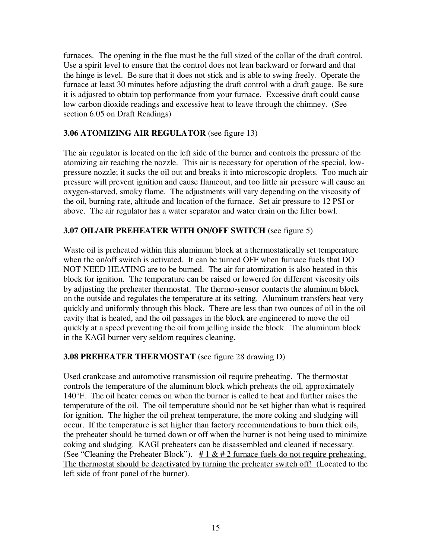furnaces. The opening in the flue must be the full sized of the collar of the draft control. Use a spirit level to ensure that the control does not lean backward or forward and that the hinge is level. Be sure that it does not stick and is able to swing freely. Operate the furnace at least 30 minutes before adjusting the draft control with a draft gauge. Be sure it is adjusted to obtain top performance from your furnace. Excessive draft could cause low carbon dioxide readings and excessive heat to leave through the chimney. (See section 6.05 on Draft Readings)

# **3.06 ATOMIZING AIR REGULATOR** (see figure 13)

The air regulator is located on the left side of the burner and controls the pressure of the atomizing air reaching the nozzle. This air is necessary for operation of the special, lowpressure nozzle; it sucks the oil out and breaks it into microscopic droplets. Too much air pressure will prevent ignition and cause flameout, and too little air pressure will cause an oxygen-starved, smoky flame. The adjustments will vary depending on the viscosity of the oil, burning rate, altitude and location of the furnace. Set air pressure to 12 PSI or above. The air regulator has a water separator and water drain on the filter bowl.

# **3.07 OIL/AIR PREHEATER WITH ON/OFF SWITCH** (see figure 5)

Waste oil is preheated within this aluminum block at a thermostatically set temperature when the on/off switch is activated. It can be turned OFF when furnace fuels that DO NOT NEED HEATING are to be burned. The air for atomization is also heated in this block for ignition. The temperature can be raised or lowered for different viscosity oils by adjusting the preheater thermostat. The thermo-sensor contacts the aluminum block on the outside and regulates the temperature at its setting. Aluminum transfers heat very quickly and uniformly through this block. There are less than two ounces of oil in the oil cavity that is heated, and the oil passages in the block are engineered to move the oil quickly at a speed preventing the oil from jelling inside the block. The aluminum block in the KAGI burner very seldom requires cleaning.

# **3.08 PREHEATER THERMOSTAT** (see figure 28 drawing D)

Used crankcase and automotive transmission oil require preheating. The thermostat controls the temperature of the aluminum block which preheats the oil, approximately 140°F. The oil heater comes on when the burner is called to heat and further raises the temperature of the oil. The oil temperature should not be set higher than what is required for ignition. The higher the oil preheat temperature, the more coking and sludging will occur. If the temperature is set higher than factory recommendations to burn thick oils, the preheater should be turned down or off when the burner is not being used to minimize coking and sludging. KAGI preheaters can be disassembled and cleaned if necessary. (See "Cleaning the Preheater Block").  $\# 1 \& \# 2$  furnace fuels do not require preheating. The thermostat should be deactivated by turning the preheater switch off! (Located to the left side of front panel of the burner).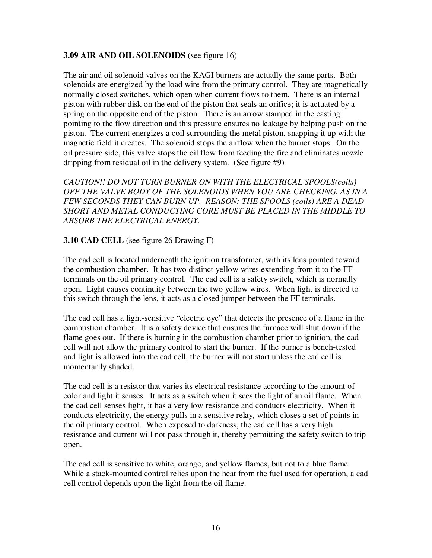#### **3.09 AIR AND OIL SOLENOIDS** (see figure 16)

The air and oil solenoid valves on the KAGI burners are actually the same parts. Both solenoids are energized by the load wire from the primary control. They are magnetically normally closed switches, which open when current flows to them. There is an internal piston with rubber disk on the end of the piston that seals an orifice; it is actuated by a spring on the opposite end of the piston. There is an arrow stamped in the casting pointing to the flow direction and this pressure ensures no leakage by helping push on the piston. The current energizes a coil surrounding the metal piston, snapping it up with the magnetic field it creates. The solenoid stops the airflow when the burner stops. On the oil pressure side, this valve stops the oil flow from feeding the fire and eliminates nozzle dripping from residual oil in the delivery system. (See figure #9)

*CAUTION!! DO NOT TURN BURNER ON WITH THE ELECTRICAL SPOOLS(coils) OFF THE VALVE BODY OF THE SOLENOIDS WHEN YOU ARE CHECKING, AS IN A FEW SECONDS THEY CAN BURN UP. REASON: THE SPOOLS (coils) ARE A DEAD SHORT AND METAL CONDUCTING CORE MUST BE PLACED IN THE MIDDLE TO ABSORB THE ELECTRICAL ENERGY.* 

# **3.10 CAD CELL** (see figure 26 Drawing F)

The cad cell is located underneath the ignition transformer, with its lens pointed toward the combustion chamber. It has two distinct yellow wires extending from it to the FF terminals on the oil primary control. The cad cell is a safety switch, which is normally open. Light causes continuity between the two yellow wires. When light is directed to this switch through the lens, it acts as a closed jumper between the FF terminals.

The cad cell has a light-sensitive "electric eye" that detects the presence of a flame in the combustion chamber. It is a safety device that ensures the furnace will shut down if the flame goes out. If there is burning in the combustion chamber prior to ignition, the cad cell will not allow the primary control to start the burner. If the burner is bench-tested and light is allowed into the cad cell, the burner will not start unless the cad cell is momentarily shaded.

The cad cell is a resistor that varies its electrical resistance according to the amount of color and light it senses. It acts as a switch when it sees the light of an oil flame. When the cad cell senses light, it has a very low resistance and conducts electricity. When it conducts electricity, the energy pulls in a sensitive relay, which closes a set of points in the oil primary control. When exposed to darkness, the cad cell has a very high resistance and current will not pass through it, thereby permitting the safety switch to trip open.

The cad cell is sensitive to white, orange, and yellow flames, but not to a blue flame. While a stack-mounted control relies upon the heat from the fuel used for operation, a cad cell control depends upon the light from the oil flame.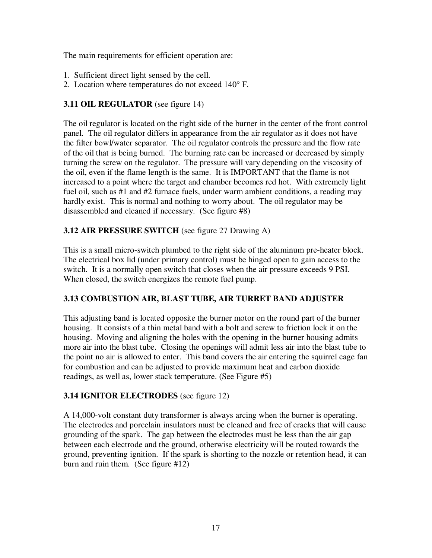The main requirements for efficient operation are:

- 1. Sufficient direct light sensed by the cell.
- 2. Location where temperatures do not exceed 140° F.

# **3.11 OIL REGULATOR** (see figure 14)

The oil regulator is located on the right side of the burner in the center of the front control panel. The oil regulator differs in appearance from the air regulator as it does not have the filter bowl/water separator. The oil regulator controls the pressure and the flow rate of the oil that is being burned. The burning rate can be increased or decreased by simply turning the screw on the regulator. The pressure will vary depending on the viscosity of the oil, even if the flame length is the same. It is IMPORTANT that the flame is not increased to a point where the target and chamber becomes red hot. With extremely light fuel oil, such as #1 and #2 furnace fuels, under warm ambient conditions, a reading may hardly exist. This is normal and nothing to worry about. The oil regulator may be disassembled and cleaned if necessary. (See figure #8)

# **3.12 AIR PRESSURE SWITCH** (see figure 27 Drawing A)

This is a small micro-switch plumbed to the right side of the aluminum pre-heater block. The electrical box lid (under primary control) must be hinged open to gain access to the switch. It is a normally open switch that closes when the air pressure exceeds 9 PSI. When closed, the switch energizes the remote fuel pump.

# **3.13 COMBUSTION AIR, BLAST TUBE, AIR TURRET BAND ADJUSTER**

This adjusting band is located opposite the burner motor on the round part of the burner housing. It consists of a thin metal band with a bolt and screw to friction lock it on the housing. Moving and aligning the holes with the opening in the burner housing admits more air into the blast tube. Closing the openings will admit less air into the blast tube to the point no air is allowed to enter. This band covers the air entering the squirrel cage fan for combustion and can be adjusted to provide maximum heat and carbon dioxide readings, as well as, lower stack temperature. (See Figure #5)

# **3.14 IGNITOR ELECTRODES** (see figure 12)

A 14,000-volt constant duty transformer is always arcing when the burner is operating. The electrodes and porcelain insulators must be cleaned and free of cracks that will cause grounding of the spark. The gap between the electrodes must be less than the air gap between each electrode and the ground, otherwise electricity will be routed towards the ground, preventing ignition. If the spark is shorting to the nozzle or retention head, it can burn and ruin them. (See figure #12)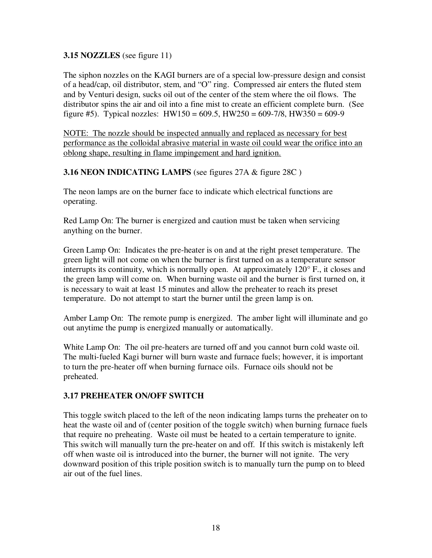#### **3.15 NOZZLES** (see figure 11)

The siphon nozzles on the KAGI burners are of a special low-pressure design and consist of a head/cap, oil distributor, stem, and "O" ring. Compressed air enters the fluted stem and by Venturi design, sucks oil out of the center of the stem where the oil flows. The distributor spins the air and oil into a fine mist to create an efficient complete burn. (See figure #5). Typical nozzles:  $HW150 = 609.5$ ,  $HW250 = 609-7/8$ ,  $HW350 = 609-9$ 

NOTE: The nozzle should be inspected annually and replaced as necessary for best performance as the colloidal abrasive material in waste oil could wear the orifice into an oblong shape, resulting in flame impingement and hard ignition.

#### **3.16 NEON INDICATING LAMPS** (see figures 27A & figure 28C )

The neon lamps are on the burner face to indicate which electrical functions are operating.

Red Lamp On: The burner is energized and caution must be taken when servicing anything on the burner.

Green Lamp On: Indicates the pre-heater is on and at the right preset temperature. The green light will not come on when the burner is first turned on as a temperature sensor interrupts its continuity, which is normally open. At approximately 120° F., it closes and the green lamp will come on. When burning waste oil and the burner is first turned on, it is necessary to wait at least 15 minutes and allow the preheater to reach its preset temperature. Do not attempt to start the burner until the green lamp is on.

Amber Lamp On: The remote pump is energized. The amber light will illuminate and go out anytime the pump is energized manually or automatically.

White Lamp On: The oil pre-heaters are turned off and you cannot burn cold waste oil. The multi-fueled Kagi burner will burn waste and furnace fuels; however, it is important to turn the pre-heater off when burning furnace oils. Furnace oils should not be preheated.

# **3.17 PREHEATER ON/OFF SWITCH**

This toggle switch placed to the left of the neon indicating lamps turns the preheater on to heat the waste oil and of (center position of the toggle switch) when burning furnace fuels that require no preheating. Waste oil must be heated to a certain temperature to ignite. This switch will manually turn the pre-heater on and off. If this switch is mistakenly left off when waste oil is introduced into the burner, the burner will not ignite. The very downward position of this triple position switch is to manually turn the pump on to bleed air out of the fuel lines.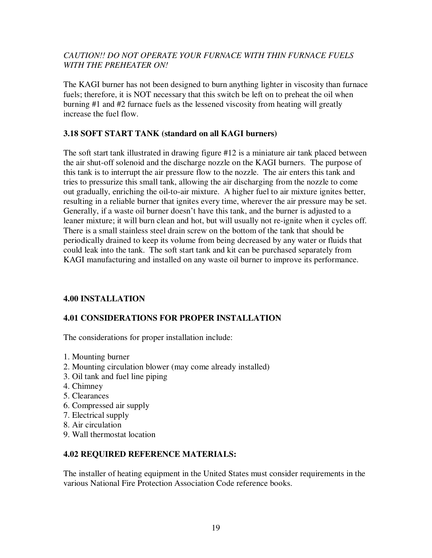# *CAUTION!! DO NOT OPERATE YOUR FURNACE WITH THIN FURNACE FUELS WITH THE PREHEATER ON!*

The KAGI burner has not been designed to burn anything lighter in viscosity than furnace fuels; therefore, it is NOT necessary that this switch be left on to preheat the oil when burning #1 and #2 furnace fuels as the lessened viscosity from heating will greatly increase the fuel flow.

# **3.18 SOFT START TANK (standard on all KAGI burners)**

The soft start tank illustrated in drawing figure #12 is a miniature air tank placed between the air shut-off solenoid and the discharge nozzle on the KAGI burners. The purpose of this tank is to interrupt the air pressure flow to the nozzle. The air enters this tank and tries to pressurize this small tank, allowing the air discharging from the nozzle to come out gradually, enriching the oil-to-air mixture. A higher fuel to air mixture ignites better, resulting in a reliable burner that ignites every time, wherever the air pressure may be set. Generally, if a waste oil burner doesn't have this tank, and the burner is adjusted to a leaner mixture; it will burn clean and hot, but will usually not re-ignite when it cycles off. There is a small stainless steel drain screw on the bottom of the tank that should be periodically drained to keep its volume from being decreased by any water or fluids that could leak into the tank. The soft start tank and kit can be purchased separately from KAGI manufacturing and installed on any waste oil burner to improve its performance.

# **4.00 INSTALLATION**

# **4.01 CONSIDERATIONS FOR PROPER INSTALLATION**

The considerations for proper installation include:

- 1. Mounting burner
- 2. Mounting circulation blower (may come already installed)
- 3. Oil tank and fuel line piping
- 4. Chimney
- 5. Clearances
- 6. Compressed air supply
- 7. Electrical supply
- 8. Air circulation
- 9. Wall thermostat location

# **4.02 REQUIRED REFERENCE MATERIALS:**

The installer of heating equipment in the United States must consider requirements in the various National Fire Protection Association Code reference books.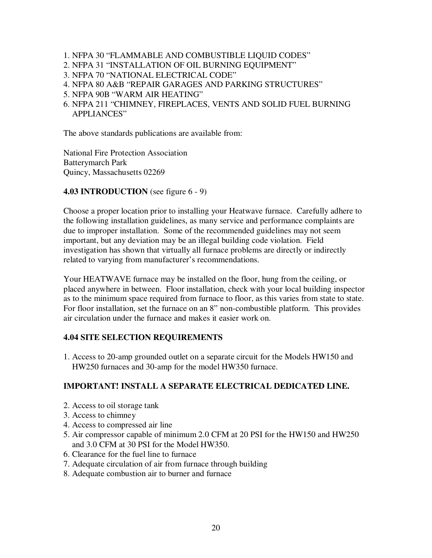- 1. NFPA 30 "FLAMMABLE AND COMBUSTIBLE LIQUID CODES"
- 2. NFPA 31 "INSTALLATION OF OIL BURNING EQUIPMENT"
- 3. NFPA 70 "NATIONAL ELECTRICAL CODE"
- 4. NFPA 80 A&B "REPAIR GARAGES AND PARKING STRUCTURES"
- 5. NFPA 90B "WARM AIR HEATING"
- 6. NFPA 211 "CHIMNEY, FIREPLACES, VENTS AND SOLID FUEL BURNING APPLIANCES"

The above standards publications are available from:

National Fire Protection Association Batterymarch Park Quincy, Massachusetts 02269

**4.03 INTRODUCTION** (see figure 6 - 9)

Choose a proper location prior to installing your Heatwave furnace. Carefully adhere to the following installation guidelines, as many service and performance complaints are due to improper installation. Some of the recommended guidelines may not seem important, but any deviation may be an illegal building code violation. Field investigation has shown that virtually all furnace problems are directly or indirectly related to varying from manufacturer's recommendations.

Your HEATWAVE furnace may be installed on the floor, hung from the ceiling, or placed anywhere in between. Floor installation, check with your local building inspector as to the minimum space required from furnace to floor, as this varies from state to state. For floor installation, set the furnace on an 8" non-combustible platform. This provides air circulation under the furnace and makes it easier work on.

# **4.04 SITE SELECTION REQUIREMENTS**

1. Access to 20-amp grounded outlet on a separate circuit for the Models HW150 and HW250 furnaces and 30-amp for the model HW350 furnace.

# **IMPORTANT! INSTALL A SEPARATE ELECTRICAL DEDICATED LINE.**

- 2. Access to oil storage tank
- 3. Access to chimney
- 4. Access to compressed air line
- 5. Air compressor capable of minimum 2.0 CFM at 20 PSI for the HW150 and HW250 and 3.0 CFM at 30 PSI for the Model HW350.
- 6. Clearance for the fuel line to furnace
- 7. Adequate circulation of air from furnace through building
- 8. Adequate combustion air to burner and furnace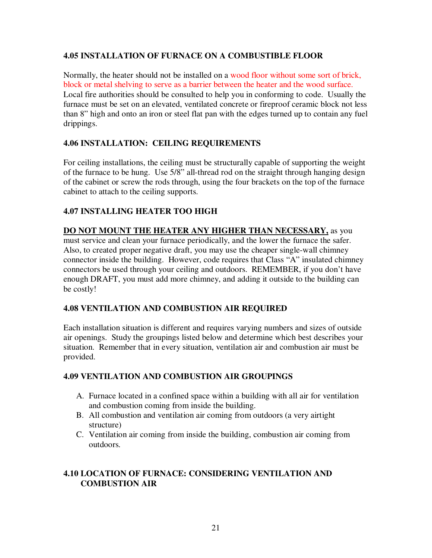# **4.05 INSTALLATION OF FURNACE ON A COMBUSTIBLE FLOOR**

Normally, the heater should not be installed on a wood floor without some sort of brick, block or metal shelving to serve as a barrier between the heater and the wood surface. Local fire authorities should be consulted to help you in conforming to code. Usually the furnace must be set on an elevated, ventilated concrete or fireproof ceramic block not less than 8" high and onto an iron or steel flat pan with the edges turned up to contain any fuel drippings.

# **4.06 INSTALLATION: CEILING REQUIREMENTS**

For ceiling installations, the ceiling must be structurally capable of supporting the weight of the furnace to be hung. Use 5/8" all-thread rod on the straight through hanging design of the cabinet or screw the rods through, using the four brackets on the top of the furnace cabinet to attach to the ceiling supports.

# **4.07 INSTALLING HEATER TOO HIGH**

**DO NOT MOUNT THE HEATER ANY HIGHER THAN NECESSARY,** as you must service and clean your furnace periodically, and the lower the furnace the safer. Also, to created proper negative draft, you may use the cheaper single-wall chimney connector inside the building. However, code requires that Class "A" insulated chimney connectors be used through your ceiling and outdoors. REMEMBER, if you don't have enough DRAFT, you must add more chimney, and adding it outside to the building can be costly!

# **4.08 VENTILATION AND COMBUSTION AIR REQUIRED**

Each installation situation is different and requires varying numbers and sizes of outside air openings. Study the groupings listed below and determine which best describes your situation. Remember that in every situation, ventilation air and combustion air must be provided.

# **4.09 VENTILATION AND COMBUSTION AIR GROUPINGS**

- A. Furnace located in a confined space within a building with all air for ventilation and combustion coming from inside the building.
- B. All combustion and ventilation air coming from outdoors (a very airtight structure)
- C. Ventilation air coming from inside the building, combustion air coming from outdoors.

# **4.10 LOCATION OF FURNACE: CONSIDERING VENTILATION AND COMBUSTION AIR**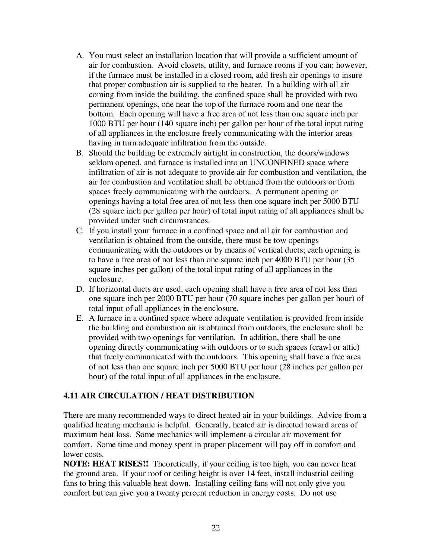- A. You must select an installation location that will provide a sufficient amount of air for combustion. Avoid closets, utility, and furnace rooms if you can; however, if the furnace must be installed in a closed room, add fresh air openings to insure that proper combustion air is supplied to the heater. In a building with all air coming from inside the building, the confined space shall be provided with two permanent openings, one near the top of the furnace room and one near the bottom. Each opening will have a free area of not less than one square inch per 1000 BTU per hour (140 square inch) per gallon per hour of the total input rating of all appliances in the enclosure freely communicating with the interior areas having in turn adequate infiltration from the outside.
- B. Should the building be extremely airtight in construction, the doors/windows seldom opened, and furnace is installed into an UNCONFINED space where infiltration of air is not adequate to provide air for combustion and ventilation, the air for combustion and ventilation shall be obtained from the outdoors or from spaces freely communicating with the outdoors. A permanent opening or openings having a total free area of not less then one square inch per 5000 BTU (28 square inch per gallon per hour) of total input rating of all appliances shall be provided under such circumstances.
- C. If you install your furnace in a confined space and all air for combustion and ventilation is obtained from the outside, there must be tow openings communicating with the outdoors or by means of vertical ducts; each opening is to have a free area of not less than one square inch per 4000 BTU per hour (35 square inches per gallon) of the total input rating of all appliances in the enclosure.
- D. If horizontal ducts are used, each opening shall have a free area of not less than one square inch per 2000 BTU per hour (70 square inches per gallon per hour) of total input of all appliances in the enclosure.
- E. A furnace in a confined space where adequate ventilation is provided from inside the building and combustion air is obtained from outdoors, the enclosure shall be provided with two openings for ventilation. In addition, there shall be one opening directly communicating with outdoors or to such spaces (crawl or attic) that freely communicated with the outdoors. This opening shall have a free area of not less than one square inch per 5000 BTU per hour (28 inches per gallon per hour) of the total input of all appliances in the enclosure.

# **4.11 AIR CIRCULATION / HEAT DISTRIBUTION**

There are many recommended ways to direct heated air in your buildings. Advice from a qualified heating mechanic is helpful. Generally, heated air is directed toward areas of maximum heat loss. Some mechanics will implement a circular air movement for comfort. Some time and money spent in proper placement will pay off in comfort and lower costs.

**NOTE: HEAT RISES!!** Theoretically, if your ceiling is too high, you can never heat the ground area. If your roof or ceiling height is over 14 feet, install industrial ceiling fans to bring this valuable heat down. Installing ceiling fans will not only give you comfort but can give you a twenty percent reduction in energy costs. Do not use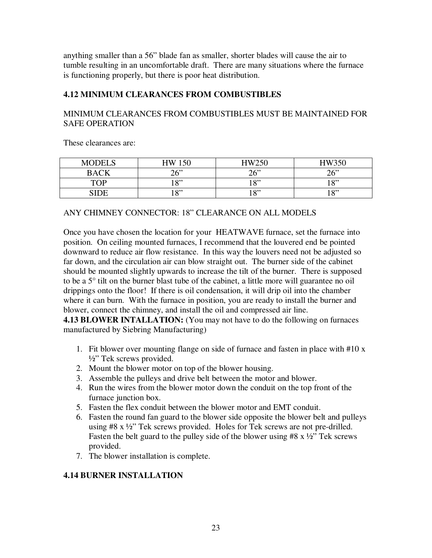anything smaller than a 56" blade fan as smaller, shorter blades will cause the air to tumble resulting in an uncomfortable draft. There are many situations where the furnace is functioning properly, but there is poor heat distribution.

# **4.12 MINIMUM CLEARANCES FROM COMBUSTIBLES**

# MINIMUM CLEARANCES FROM COMBUSTIBLES MUST BE MAINTAINED FOR SAFE OPERATION

These clearances are:

| <b>MODELS</b> | <b>HW 150</b> | HW250     | HW350             |
|---------------|---------------|-----------|-------------------|
| <b>BACK</b>   | 26            | 26"       | 26"               |
| <b>TOP</b>    | 10"           | 10"<br>10 | $10$ <sup>2</sup> |
|               | 10"           | 10"       | 10,22             |

# ANY CHIMNEY CONNECTOR: 18" CLEARANCE ON ALL MODELS

Once you have chosen the location for your HEATWAVE furnace, set the furnace into position. On ceiling mounted furnaces, I recommend that the louvered end be pointed downward to reduce air flow resistance. In this way the louvers need not be adjusted so far down, and the circulation air can blow straight out. The burner side of the cabinet should be mounted slightly upwards to increase the tilt of the burner. There is supposed to be a 5° tilt on the burner blast tube of the cabinet, a little more will guarantee no oil drippings onto the floor! If there is oil condensation, it will drip oil into the chamber where it can burn. With the furnace in position, you are ready to install the burner and blower, connect the chimney, and install the oil and compressed air line.

**4.13 BLOWER INTALLATION:** (You may not have to do the following on furnaces manufactured by Siebring Manufacturing)

- 1. Fit blower over mounting flange on side of furnace and fasten in place with #10 x ½" Tek screws provided.
- 2. Mount the blower motor on top of the blower housing.
- 3. Assemble the pulleys and drive belt between the motor and blower.
- 4. Run the wires from the blower motor down the conduit on the top front of the furnace junction box.
- 5. Fasten the flex conduit between the blower motor and EMT conduit.
- 6. Fasten the round fan guard to the blower side opposite the blower belt and pulleys using #8 x ½" Tek screws provided. Holes for Tek screws are not pre-drilled. Fasten the belt guard to the pulley side of the blower using  $#8 \times \frac{1}{2}$  Tek screws provided.
- 7. The blower installation is complete.

# **4.14 BURNER INSTALLATION**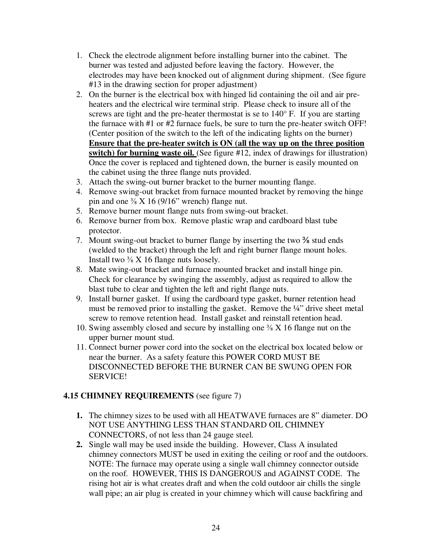- 1. Check the electrode alignment before installing burner into the cabinet. The burner was tested and adjusted before leaving the factory. However, the electrodes may have been knocked out of alignment during shipment. (See figure #13 in the drawing section for proper adjustment)
- 2. On the burner is the electrical box with hinged lid containing the oil and air preheaters and the electrical wire terminal strip. Please check to insure all of the screws are tight and the pre-heater thermostat is se to 140° F. If you are starting the furnace with #1 or #2 furnace fuels, be sure to turn the pre-heater switch OFF! (Center position of the switch to the left of the indicating lights on the burner) **Ensure that the pre-heater switch is ON (all the way up on the three position switch) for burning waste oil.** (See figure #12, index of drawings for illustration) Once the cover is replaced and tightened down, the burner is easily mounted on the cabinet using the three flange nuts provided.
- 3. Attach the swing-out burner bracket to the burner mounting flange.
- 4. Remove swing-out bracket from furnace mounted bracket by removing the hinge pin and one  $\frac{3}{8}$  X 16 (9/16" wrench) flange nut.
- 5. Remove burner mount flange nuts from swing-out bracket.
- 6. Remove burner from box. Remove plastic wrap and cardboard blast tube protector.
- 7. Mount swing-out bracket to burner flange by inserting the two  $\frac{3}{8}$  stud ends (welded to the bracket) through the left and right burner flange mount holes. Install two  $\frac{3}{8}$  X 16 flange nuts loosely.
- 8. Mate swing-out bracket and furnace mounted bracket and install hinge pin. Check for clearance by swinging the assembly, adjust as required to allow the blast tube to clear and tighten the left and right flange nuts.
- 9. Install burner gasket. If using the cardboard type gasket, burner retention head must be removed prior to installing the gasket. Remove the ¼" drive sheet metal screw to remove retention head. Install gasket and reinstall retention head.
- 10. Swing assembly closed and secure by installing one ⅜ X 16 flange nut on the upper burner mount stud.
- 11. Connect burner power cord into the socket on the electrical box located below or near the burner. As a safety feature this POWER CORD MUST BE DISCONNECTED BEFORE THE BURNER CAN BE SWUNG OPEN FOR SERVICE!

# **4.15 CHIMNEY REQUIREMENTS** (see figure 7)

- **1.** The chimney sizes to be used with all HEATWAVE furnaces are 8" diameter. DO NOT USE ANYTHING LESS THAN STANDARD OIL CHIMNEY CONNECTORS, of not less than 24 gauge steel.
- **2.** Single wall may be used inside the building. However, Class A insulated chimney connectors MUST be used in exiting the ceiling or roof and the outdoors. NOTE: The furnace may operate using a single wall chimney connector outside on the roof. HOWEVER, THIS IS DANGEROUS and AGAINST CODE. The rising hot air is what creates draft and when the cold outdoor air chills the single wall pipe; an air plug is created in your chimney which will cause backfiring and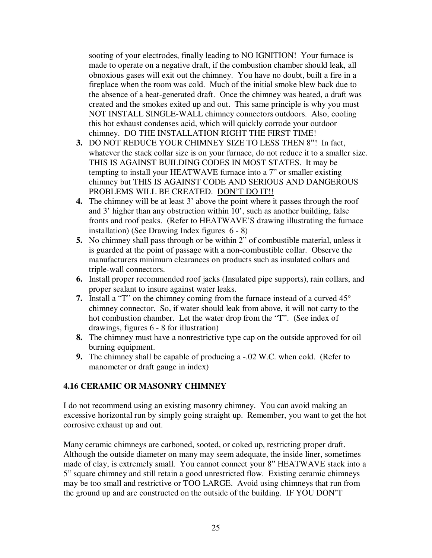sooting of your electrodes, finally leading to NO IGNITION! Your furnace is made to operate on a negative draft, if the combustion chamber should leak, all obnoxious gases will exit out the chimney. You have no doubt, built a fire in a fireplace when the room was cold. Much of the initial smoke blew back due to the absence of a heat-generated draft. Once the chimney was heated, a draft was created and the smokes exited up and out. This same principle is why you must NOT INSTALL SINGLE-WALL chimney connectors outdoors. Also, cooling this hot exhaust condenses acid, which will quickly corrode your outdoor chimney. DO THE INSTALLATION RIGHT THE FIRST TIME!

- **3.** DO NOT REDUCE YOUR CHIMNEY SIZE TO LESS THEN 8"! In fact, whatever the stack collar size is on your furnace, do not reduce it to a smaller size. THIS IS AGAINST BUILDING CODES IN MOST STATES. It may be tempting to install your HEATWAVE furnace into a 7" or smaller existing chimney but THIS IS AGAINST CODE AND SERIOUS AND DANGEROUS PROBLEMS WILL BE CREATED. DON'T DO IT!!
- **4.** The chimney will be at least 3' above the point where it passes through the roof and 3' higher than any obstruction within 10', such as another building, false fronts and roof peaks. **(**Refer to HEATWAVE'S drawing illustrating the furnace installation) (See Drawing Index figures 6 - 8)
- **5.** No chimney shall pass through or be within 2" of combustible material, unless it is guarded at the point of passage with a non-combustible collar. Observe the manufacturers minimum clearances on products such as insulated collars and triple-wall connectors.
- **6.** Install proper recommended roof jacks (Insulated pipe supports), rain collars, and proper sealant to insure against water leaks.
- **7.** Install a "T" on the chimney coming from the furnace instead of a curved  $45^{\circ}$ chimney connector. So, if water should leak from above, it will not carry to the hot combustion chamber. Let the water drop from the "T". (See index of drawings, figures 6 - 8 for illustration)
- **8.** The chimney must have a nonrestrictive type cap on the outside approved for oil burning equipment.
- **9.** The chimney shall be capable of producing a -.02 W.C. when cold. (Refer to manometer or draft gauge in index)

# **4.16 CERAMIC OR MASONRY CHIMNEY**

I do not recommend using an existing masonry chimney. You can avoid making an excessive horizontal run by simply going straight up. Remember, you want to get the hot corrosive exhaust up and out.

Many ceramic chimneys are carboned, sooted, or coked up, restricting proper draft. Although the outside diameter on many may seem adequate, the inside liner, sometimes made of clay, is extremely small. You cannot connect your 8" HEATWAVE stack into a 5" square chimney and still retain a good unrestricted flow. Existing ceramic chimneys may be too small and restrictive or TOO LARGE. Avoid using chimneys that run from the ground up and are constructed on the outside of the building. IF YOU DON'T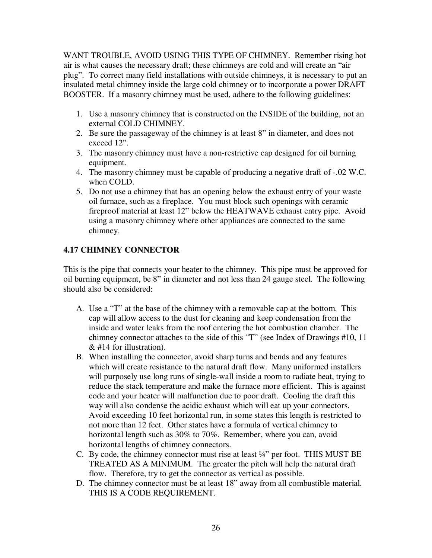WANT TROUBLE, AVOID USING THIS TYPE OF CHIMNEY. Remember rising hot air is what causes the necessary draft; these chimneys are cold and will create an "air plug". To correct many field installations with outside chimneys, it is necessary to put an insulated metal chimney inside the large cold chimney or to incorporate a power DRAFT BOOSTER. If a masonry chimney must be used, adhere to the following guidelines:

- 1. Use a masonry chimney that is constructed on the INSIDE of the building, not an external COLD CHIMNEY.
- 2. Be sure the passageway of the chimney is at least 8" in diameter, and does not exceed 12".
- 3. The masonry chimney must have a non-restrictive cap designed for oil burning equipment.
- 4. The masonry chimney must be capable of producing a negative draft of -.02 W.C. when COLD.
- 5. Do not use a chimney that has an opening below the exhaust entry of your waste oil furnace, such as a fireplace. You must block such openings with ceramic fireproof material at least 12" below the HEATWAVE exhaust entry pipe. Avoid using a masonry chimney where other appliances are connected to the same chimney.

# **4.17 CHIMNEY CONNECTOR**

This is the pipe that connects your heater to the chimney. This pipe must be approved for oil burning equipment, be 8" in diameter and not less than 24 gauge steel. The following should also be considered:

- A. Use a "T" at the base of the chimney with a removable cap at the bottom. This cap will allow access to the dust for cleaning and keep condensation from the inside and water leaks from the roof entering the hot combustion chamber. The chimney connector attaches to the side of this "T" (see Index of Drawings #10, 11 & #14 for illustration).
- B. When installing the connector, avoid sharp turns and bends and any features which will create resistance to the natural draft flow. Many uniformed installers will purposely use long runs of single-wall inside a room to radiate heat, trying to reduce the stack temperature and make the furnace more efficient. This is against code and your heater will malfunction due to poor draft. Cooling the draft this way will also condense the acidic exhaust which will eat up your connectors. Avoid exceeding 10 feet horizontal run, in some states this length is restricted to not more than 12 feet. Other states have a formula of vertical chimney to horizontal length such as 30% to 70%. Remember, where you can, avoid horizontal lengths of chimney connectors.
- C. By code, the chimney connector must rise at least ¼" per foot. THIS MUST BE TREATED AS A MINIMUM. The greater the pitch will help the natural draft flow. Therefore, try to get the connector as vertical as possible.
- D. The chimney connector must be at least 18" away from all combustible material. THIS IS A CODE REQUIREMENT.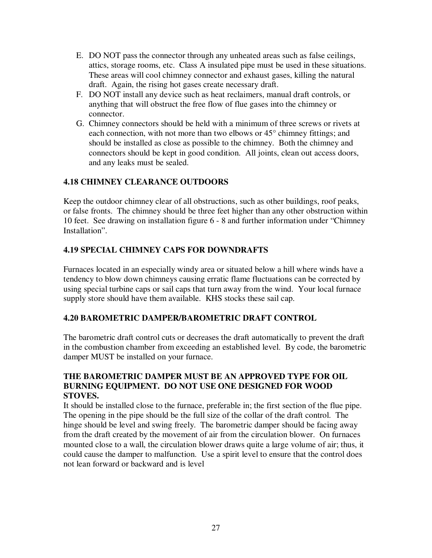- E. DO NOT pass the connector through any unheated areas such as false ceilings, attics, storage rooms, etc. Class A insulated pipe must be used in these situations. These areas will cool chimney connector and exhaust gases, killing the natural draft. Again, the rising hot gases create necessary draft.
- F. DO NOT install any device such as heat reclaimers, manual draft controls, or anything that will obstruct the free flow of flue gases into the chimney or connector.
- G. Chimney connectors should be held with a minimum of three screws or rivets at each connection, with not more than two elbows or 45° chimney fittings; and should be installed as close as possible to the chimney. Both the chimney and connectors should be kept in good condition. All joints, clean out access doors, and any leaks must be sealed.

# **4.18 CHIMNEY CLEARANCE OUTDOORS**

Keep the outdoor chimney clear of all obstructions, such as other buildings, roof peaks, or false fronts. The chimney should be three feet higher than any other obstruction within 10 feet. See drawing on installation figure 6 - 8 and further information under "Chimney Installation".

# **4.19 SPECIAL CHIMNEY CAPS FOR DOWNDRAFTS**

Furnaces located in an especially windy area or situated below a hill where winds have a tendency to blow down chimneys causing erratic flame fluctuations can be corrected by using special turbine caps or sail caps that turn away from the wind. Your local furnace supply store should have them available. KHS stocks these sail cap.

# **4.20 BAROMETRIC DAMPER/BAROMETRIC DRAFT CONTROL**

The barometric draft control cuts or decreases the draft automatically to prevent the draft in the combustion chamber from exceeding an established level. By code, the barometric damper MUST be installed on your furnace.

#### **THE BAROMETRIC DAMPER MUST BE AN APPROVED TYPE FOR OIL BURNING EQUIPMENT. DO NOT USE ONE DESIGNED FOR WOOD STOVES.**

It should be installed close to the furnace, preferable in; the first section of the flue pipe. The opening in the pipe should be the full size of the collar of the draft control. The hinge should be level and swing freely. The barometric damper should be facing away from the draft created by the movement of air from the circulation blower. On furnaces mounted close to a wall, the circulation blower draws quite a large volume of air; thus, it could cause the damper to malfunction. Use a spirit level to ensure that the control does not lean forward or backward and is level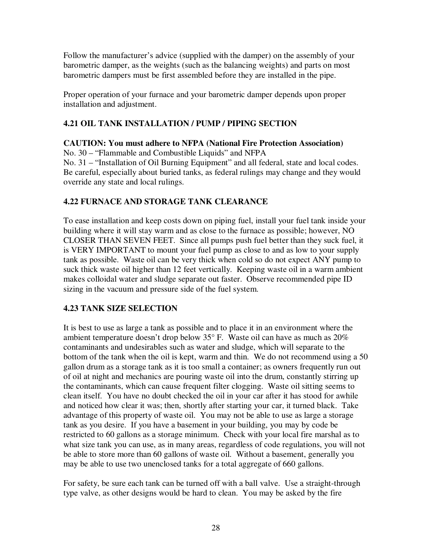Follow the manufacturer's advice (supplied with the damper) on the assembly of your barometric damper, as the weights (such as the balancing weights) and parts on most barometric dampers must be first assembled before they are installed in the pipe.

Proper operation of your furnace and your barometric damper depends upon proper installation and adjustment.

# **4.21 OIL TANK INSTALLATION / PUMP / PIPING SECTION**

#### **CAUTION: You must adhere to NFPA (National Fire Protection Association)**

No. 30 – "Flammable and Combustible Liquids" and NFPA

No. 31 – "Installation of Oil Burning Equipment" and all federal, state and local codes. Be careful, especially about buried tanks, as federal rulings may change and they would override any state and local rulings.

# **4.22 FURNACE AND STORAGE TANK CLEARANCE**

To ease installation and keep costs down on piping fuel, install your fuel tank inside your building where it will stay warm and as close to the furnace as possible; however, NO CLOSER THAN SEVEN FEET. Since all pumps push fuel better than they suck fuel, it is VERY IMPORTANT to mount your fuel pump as close to and as low to your supply tank as possible. Waste oil can be very thick when cold so do not expect ANY pump to suck thick waste oil higher than 12 feet vertically. Keeping waste oil in a warm ambient makes colloidal water and sludge separate out faster. Observe recommended pipe ID sizing in the vacuum and pressure side of the fuel system.

# **4.23 TANK SIZE SELECTION**

It is best to use as large a tank as possible and to place it in an environment where the ambient temperature doesn't drop below 35° F. Waste oil can have as much as 20% contaminants and undesirables such as water and sludge, which will separate to the bottom of the tank when the oil is kept, warm and thin. We do not recommend using a 50 gallon drum as a storage tank as it is too small a container; as owners frequently run out of oil at night and mechanics are pouring waste oil into the drum, constantly stirring up the contaminants, which can cause frequent filter clogging. Waste oil sitting seems to clean itself. You have no doubt checked the oil in your car after it has stood for awhile and noticed how clear it was; then, shortly after starting your car, it turned black. Take advantage of this property of waste oil. You may not be able to use as large a storage tank as you desire. If you have a basement in your building, you may by code be restricted to 60 gallons as a storage minimum. Check with your local fire marshal as to what size tank you can use, as in many areas, regardless of code regulations, you will not be able to store more than 60 gallons of waste oil. Without a basement, generally you may be able to use two unenclosed tanks for a total aggregate of 660 gallons.

For safety, be sure each tank can be turned off with a ball valve. Use a straight-through type valve, as other designs would be hard to clean. You may be asked by the fire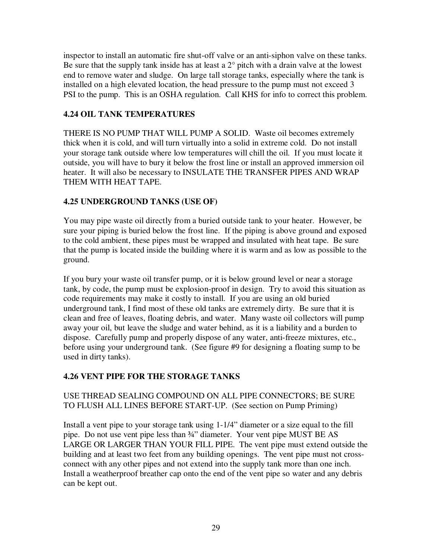inspector to install an automatic fire shut-off valve or an anti-siphon valve on these tanks. Be sure that the supply tank inside has at least a 2° pitch with a drain valve at the lowest end to remove water and sludge. On large tall storage tanks, especially where the tank is installed on a high elevated location, the head pressure to the pump must not exceed 3 PSI to the pump. This is an OSHA regulation. Call KHS for info to correct this problem.

# **4.24 OIL TANK TEMPERATURES**

THERE IS NO PUMP THAT WILL PUMP A SOLID. Waste oil becomes extremely thick when it is cold, and will turn virtually into a solid in extreme cold. Do not install your storage tank outside where low temperatures will chill the oil. If you must locate it outside, you will have to bury it below the frost line or install an approved immersion oil heater. It will also be necessary to INSULATE THE TRANSFER PIPES AND WRAP THEM WITH HEAT TAPE.

# **4.25 UNDERGROUND TANKS (USE OF)**

You may pipe waste oil directly from a buried outside tank to your heater. However, be sure your piping is buried below the frost line. If the piping is above ground and exposed to the cold ambient, these pipes must be wrapped and insulated with heat tape. Be sure that the pump is located inside the building where it is warm and as low as possible to the ground.

If you bury your waste oil transfer pump, or it is below ground level or near a storage tank, by code, the pump must be explosion-proof in design. Try to avoid this situation as code requirements may make it costly to install. If you are using an old buried underground tank, I find most of these old tanks are extremely dirty. Be sure that it is clean and free of leaves, floating debris, and water. Many waste oil collectors will pump away your oil, but leave the sludge and water behind, as it is a liability and a burden to dispose. Carefully pump and properly dispose of any water, anti-freeze mixtures, etc., before using your underground tank. (See figure #9 for designing a floating sump to be used in dirty tanks).

# **4.26 VENT PIPE FOR THE STORAGE TANKS**

# USE THREAD SEALING COMPOUND ON ALL PIPE CONNECTORS; BE SURE TO FLUSH ALL LINES BEFORE START-UP. (See section on Pump Priming)

Install a vent pipe to your storage tank using 1-1/4" diameter or a size equal to the fill pipe. Do not use vent pipe less than ¾" diameter. Your vent pipe MUST BE AS LARGE OR LARGER THAN YOUR FILL PIPE. The vent pipe must extend outside the building and at least two feet from any building openings. The vent pipe must not crossconnect with any other pipes and not extend into the supply tank more than one inch. Install a weatherproof breather cap onto the end of the vent pipe so water and any debris can be kept out.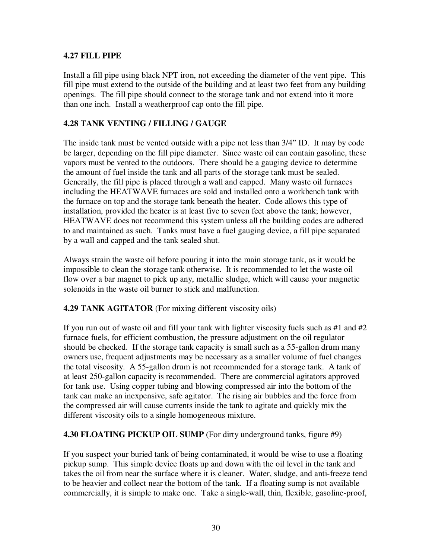#### **4.27 FILL PIPE**

Install a fill pipe using black NPT iron, not exceeding the diameter of the vent pipe. This fill pipe must extend to the outside of the building and at least two feet from any building openings. The fill pipe should connect to the storage tank and not extend into it more than one inch. Install a weatherproof cap onto the fill pipe.

#### **4.28 TANK VENTING / FILLING / GAUGE**

The inside tank must be vented outside with a pipe not less than 3/4" ID. It may by code be larger, depending on the fill pipe diameter. Since waste oil can contain gasoline, these vapors must be vented to the outdoors. There should be a gauging device to determine the amount of fuel inside the tank and all parts of the storage tank must be sealed. Generally, the fill pipe is placed through a wall and capped. Many waste oil furnaces including the HEATWAVE furnaces are sold and installed onto a workbench tank with the furnace on top and the storage tank beneath the heater. Code allows this type of installation, provided the heater is at least five to seven feet above the tank; however, HEATWAVE does not recommend this system unless all the building codes are adhered to and maintained as such. Tanks must have a fuel gauging device, a fill pipe separated by a wall and capped and the tank sealed shut.

Always strain the waste oil before pouring it into the main storage tank, as it would be impossible to clean the storage tank otherwise. It is recommended to let the waste oil flow over a bar magnet to pick up any, metallic sludge, which will cause your magnetic solenoids in the waste oil burner to stick and malfunction.

**4.29 TANK AGITATOR** (For mixing different viscosity oils)

If you run out of waste oil and fill your tank with lighter viscosity fuels such as #1 and #2 furnace fuels, for efficient combustion, the pressure adjustment on the oil regulator should be checked. If the storage tank capacity is small such as a 55-gallon drum many owners use, frequent adjustments may be necessary as a smaller volume of fuel changes the total viscosity. A 55-gallon drum is not recommended for a storage tank. A tank of at least 250-gallon capacity is recommended. There are commercial agitators approved for tank use. Using copper tubing and blowing compressed air into the bottom of the tank can make an inexpensive, safe agitator. The rising air bubbles and the force from the compressed air will cause currents inside the tank to agitate and quickly mix the different viscosity oils to a single homogeneous mixture.

#### **4.30 FLOATING PICKUP OIL SUMP** (For dirty underground tanks, figure #9)

If you suspect your buried tank of being contaminated, it would be wise to use a floating pickup sump. This simple device floats up and down with the oil level in the tank and takes the oil from near the surface where it is cleaner. Water, sludge, and anti-freeze tend to be heavier and collect near the bottom of the tank. If a floating sump is not available commercially, it is simple to make one. Take a single-wall, thin, flexible, gasoline-proof,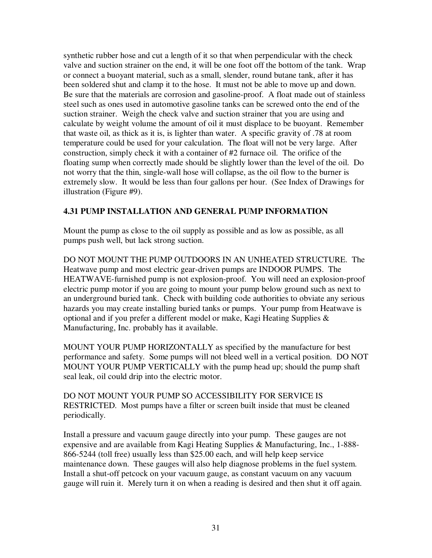synthetic rubber hose and cut a length of it so that when perpendicular with the check valve and suction strainer on the end, it will be one foot off the bottom of the tank. Wrap or connect a buoyant material, such as a small, slender, round butane tank, after it has been soldered shut and clamp it to the hose. It must not be able to move up and down. Be sure that the materials are corrosion and gasoline-proof. A float made out of stainless steel such as ones used in automotive gasoline tanks can be screwed onto the end of the suction strainer. Weigh the check valve and suction strainer that you are using and calculate by weight volume the amount of oil it must displace to be buoyant. Remember that waste oil, as thick as it is, is lighter than water. A specific gravity of .78 at room temperature could be used for your calculation. The float will not be very large. After construction, simply check it with a container of #2 furnace oil. The orifice of the floating sump when correctly made should be slightly lower than the level of the oil. Do not worry that the thin, single-wall hose will collapse, as the oil flow to the burner is extremely slow. It would be less than four gallons per hour. (See Index of Drawings for illustration (Figure #9).

# **4.31 PUMP INSTALLATION AND GENERAL PUMP INFORMATION**

Mount the pump as close to the oil supply as possible and as low as possible, as all pumps push well, but lack strong suction.

DO NOT MOUNT THE PUMP OUTDOORS IN AN UNHEATED STRUCTURE. The Heatwave pump and most electric gear-driven pumps are INDOOR PUMPS. The HEATWAVE-furnished pump is not explosion-proof. You will need an explosion-proof electric pump motor if you are going to mount your pump below ground such as next to an underground buried tank. Check with building code authorities to obviate any serious hazards you may create installing buried tanks or pumps. Your pump from Heatwave is optional and if you prefer a different model or make, Kagi Heating Supplies & Manufacturing, Inc. probably has it available.

MOUNT YOUR PUMP HORIZONTALLY as specified by the manufacture for best performance and safety. Some pumps will not bleed well in a vertical position. DO NOT MOUNT YOUR PUMP VERTICALLY with the pump head up; should the pump shaft seal leak, oil could drip into the electric motor.

DO NOT MOUNT YOUR PUMP SO ACCESSIBILITY FOR SERVICE IS RESTRICTED. Most pumps have a filter or screen built inside that must be cleaned periodically.

Install a pressure and vacuum gauge directly into your pump. These gauges are not expensive and are available from Kagi Heating Supplies & Manufacturing, Inc., 1-888- 866-5244 (toll free) usually less than \$25.00 each, and will help keep service maintenance down. These gauges will also help diagnose problems in the fuel system. Install a shut-off petcock on your vacuum gauge, as constant vacuum on any vacuum gauge will ruin it. Merely turn it on when a reading is desired and then shut it off again.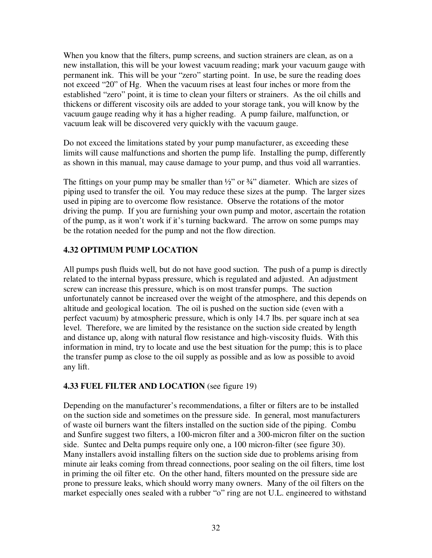When you know that the filters, pump screens, and suction strainers are clean, as on a new installation, this will be your lowest vacuum reading; mark your vacuum gauge with permanent ink. This will be your "zero" starting point. In use, be sure the reading does not exceed "20" of Hg. When the vacuum rises at least four inches or more from the established "zero" point, it is time to clean your filters or strainers. As the oil chills and thickens or different viscosity oils are added to your storage tank, you will know by the vacuum gauge reading why it has a higher reading. A pump failure, malfunction, or vacuum leak will be discovered very quickly with the vacuum gauge.

Do not exceed the limitations stated by your pump manufacturer, as exceeding these limits will cause malfunctions and shorten the pump life. Installing the pump, differently as shown in this manual, may cause damage to your pump, and thus void all warranties.

The fittings on your pump may be smaller than  $\frac{1}{2}$  or  $\frac{3}{4}$  diameter. Which are sizes of piping used to transfer the oil. You may reduce these sizes at the pump. The larger sizes used in piping are to overcome flow resistance. Observe the rotations of the motor driving the pump. If you are furnishing your own pump and motor, ascertain the rotation of the pump, as it won't work if it's turning backward. The arrow on some pumps may be the rotation needed for the pump and not the flow direction.

# **4.32 OPTIMUM PUMP LOCATION**

All pumps push fluids well, but do not have good suction. The push of a pump is directly related to the internal bypass pressure, which is regulated and adjusted. An adjustment screw can increase this pressure, which is on most transfer pumps. The suction unfortunately cannot be increased over the weight of the atmosphere, and this depends on altitude and geological location. The oil is pushed on the suction side (even with a perfect vacuum) by atmospheric pressure, which is only 14.7 lbs. per square inch at sea level. Therefore, we are limited by the resistance on the suction side created by length and distance up, along with natural flow resistance and high-viscosity fluids. With this information in mind, try to locate and use the best situation for the pump; this is to place the transfer pump as close to the oil supply as possible and as low as possible to avoid any lift.

# **4.33 FUEL FILTER AND LOCATION** (see figure 19)

Depending on the manufacturer's recommendations, a filter or filters are to be installed on the suction side and sometimes on the pressure side. In general, most manufacturers of waste oil burners want the filters installed on the suction side of the piping. Combu and Sunfire suggest two filters, a 100-micron filter and a 300-micron filter on the suction side. Suntec and Delta pumps require only one, a 100 micron-filter (see figure 30). Many installers avoid installing filters on the suction side due to problems arising from minute air leaks coming from thread connections, poor sealing on the oil filters, time lost in priming the oil filter etc. On the other hand, filters mounted on the pressure side are prone to pressure leaks, which should worry many owners. Many of the oil filters on the market especially ones sealed with a rubber "o" ring are not U.L. engineered to withstand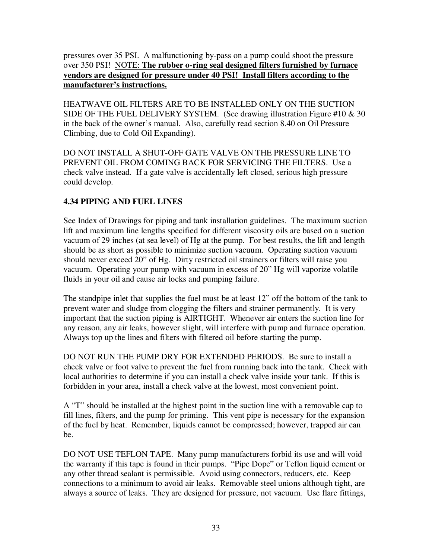pressures over 35 PSI. A malfunctioning by-pass on a pump could shoot the pressure over 350 PSI! NOTE: **The rubber o-ring seal designed filters furnished by furnace vendors are designed for pressure under 40 PSI! Install filters according to the manufacturer's instructions.**

HEATWAVE OIL FILTERS ARE TO BE INSTALLED ONLY ON THE SUCTION SIDE OF THE FUEL DELIVERY SYSTEM. (See drawing illustration Figure #10  $\&$  30 in the back of the owner's manual. Also, carefully read section 8.40 on Oil Pressure Climbing, due to Cold Oil Expanding).

DO NOT INSTALL A SHUT-OFF GATE VALVE ON THE PRESSURE LINE TO PREVENT OIL FROM COMING BACK FOR SERVICING THE FILTERS. Use a check valve instead. If a gate valve is accidentally left closed, serious high pressure could develop.

# **4.34 PIPING AND FUEL LINES**

See Index of Drawings for piping and tank installation guidelines. The maximum suction lift and maximum line lengths specified for different viscosity oils are based on a suction vacuum of 29 inches (at sea level) of Hg at the pump. For best results, the lift and length should be as short as possible to minimize suction vacuum. Operating suction vacuum should never exceed 20" of Hg. Dirty restricted oil strainers or filters will raise you vacuum. Operating your pump with vacuum in excess of 20" Hg will vaporize volatile fluids in your oil and cause air locks and pumping failure.

The standpipe inlet that supplies the fuel must be at least 12" off the bottom of the tank to prevent water and sludge from clogging the filters and strainer permanently. It is very important that the suction piping is AIRTIGHT. Whenever air enters the suction line for any reason, any air leaks, however slight, will interfere with pump and furnace operation. Always top up the lines and filters with filtered oil before starting the pump.

DO NOT RUN THE PUMP DRY FOR EXTENDED PERIODS. Be sure to install a check valve or foot valve to prevent the fuel from running back into the tank. Check with local authorities to determine if you can install a check valve inside your tank. If this is forbidden in your area, install a check valve at the lowest, most convenient point.

A "T" should be installed at the highest point in the suction line with a removable cap to fill lines, filters, and the pump for priming. This vent pipe is necessary for the expansion of the fuel by heat. Remember, liquids cannot be compressed; however, trapped air can be.

DO NOT USE TEFLON TAPE. Many pump manufacturers forbid its use and will void the warranty if this tape is found in their pumps. "Pipe Dope" or Teflon liquid cement or any other thread sealant is permissible. Avoid using connectors, reducers, etc. Keep connections to a minimum to avoid air leaks. Removable steel unions although tight, are always a source of leaks. They are designed for pressure, not vacuum. Use flare fittings,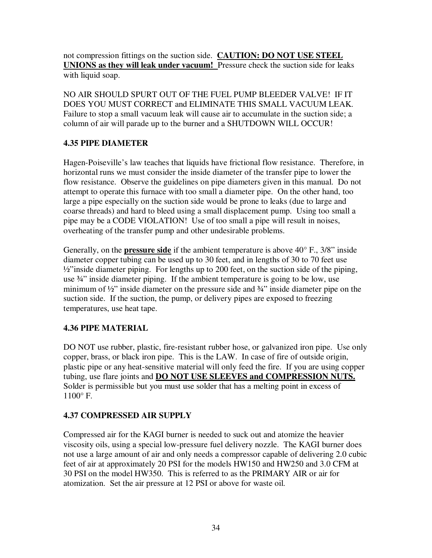not compression fittings on the suction side. **CAUTION: DO NOT USE STEEL UNIONS as they will leak under vacuum!** Pressure check the suction side for leaks with liquid soap.

NO AIR SHOULD SPURT OUT OF THE FUEL PUMP BLEEDER VALVE! IF IT DOES YOU MUST CORRECT and ELIMINATE THIS SMALL VACUUM LEAK. Failure to stop a small vacuum leak will cause air to accumulate in the suction side; a column of air will parade up to the burner and a SHUTDOWN WILL OCCUR!

# **4.35 PIPE DIAMETER**

Hagen-Poiseville's law teaches that liquids have frictional flow resistance. Therefore, in horizontal runs we must consider the inside diameter of the transfer pipe to lower the flow resistance. Observe the guidelines on pipe diameters given in this manual. Do not attempt to operate this furnace with too small a diameter pipe. On the other hand, too large a pipe especially on the suction side would be prone to leaks (due to large and coarse threads) and hard to bleed using a small displacement pump. Using too small a pipe may be a CODE VIOLATION! Use of too small a pipe will result in noises, overheating of the transfer pump and other undesirable problems.

Generally, on the **pressure side** if the ambient temperature is above 40° F., 3/8" inside diameter copper tubing can be used up to 30 feet, and in lengths of 30 to 70 feet use  $\frac{1}{2}$ "inside diameter piping. For lengths up to 200 feet, on the suction side of the piping, use  $\frac{3}{4}$ " inside diameter piping. If the ambient temperature is going to be low, use minimum of  $\frac{1}{2}$ " inside diameter on the pressure side and  $\frac{3}{4}$ " inside diameter pipe on the suction side. If the suction, the pump, or delivery pipes are exposed to freezing temperatures, use heat tape.

# **4.36 PIPE MATERIAL**

DO NOT use rubber, plastic, fire-resistant rubber hose, or galvanized iron pipe. Use only copper, brass, or black iron pipe. This is the LAW. In case of fire of outside origin, plastic pipe or any heat-sensitive material will only feed the fire. If you are using copper tubing, use flare joints and **DO NOT USE SLEEVES and COMPRESSION NUTS.**  Solder is permissible but you must use solder that has a melting point in excess of 1100° F.

# **4.37 COMPRESSED AIR SUPPLY**

Compressed air for the KAGI burner is needed to suck out and atomize the heavier viscosity oils, using a special low-pressure fuel delivery nozzle. The KAGI burner does not use a large amount of air and only needs a compressor capable of delivering 2.0 cubic feet of air at approximately 20 PSI for the models HW150 and HW250 and 3.0 CFM at 30 PSI on the model HW350. This is referred to as the PRIMARY AIR or air for atomization. Set the air pressure at 12 PSI or above for waste oil.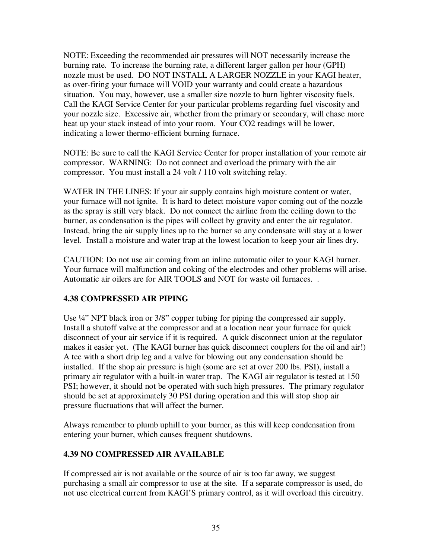NOTE: Exceeding the recommended air pressures will NOT necessarily increase the burning rate. To increase the burning rate, a different larger gallon per hour (GPH) nozzle must be used. DO NOT INSTALL A LARGER NOZZLE in your KAGI heater, as over-firing your furnace will VOID your warranty and could create a hazardous situation. You may, however, use a smaller size nozzle to burn lighter viscosity fuels. Call the KAGI Service Center for your particular problems regarding fuel viscosity and your nozzle size. Excessive air, whether from the primary or secondary, will chase more heat up your stack instead of into your room. Your CO2 readings will be lower, indicating a lower thermo-efficient burning furnace.

NOTE: Be sure to call the KAGI Service Center for proper installation of your remote air compressor. WARNING: Do not connect and overload the primary with the air compressor. You must install a 24 volt / 110 volt switching relay.

WATER IN THE LINES: If your air supply contains high moisture content or water, your furnace will not ignite. It is hard to detect moisture vapor coming out of the nozzle as the spray is still very black. Do not connect the airline from the ceiling down to the burner, as condensation is the pipes will collect by gravity and enter the air regulator. Instead, bring the air supply lines up to the burner so any condensate will stay at a lower level. Install a moisture and water trap at the lowest location to keep your air lines dry.

CAUTION: Do not use air coming from an inline automatic oiler to your KAGI burner. Your furnace will malfunction and coking of the electrodes and other problems will arise. Automatic air oilers are for AIR TOOLS and NOT for waste oil furnaces. .

# **4.38 COMPRESSED AIR PIPING**

Use  $\frac{1}{4}$ " NPT black iron or 3/8" copper tubing for piping the compressed air supply. Install a shutoff valve at the compressor and at a location near your furnace for quick disconnect of your air service if it is required. A quick disconnect union at the regulator makes it easier yet. (The KAGI burner has quick disconnect couplers for the oil and air!) A tee with a short drip leg and a valve for blowing out any condensation should be installed. If the shop air pressure is high (some are set at over 200 lbs. PSI), install a primary air regulator with a built-in water trap. The KAGI air regulator is tested at 150 PSI; however, it should not be operated with such high pressures. The primary regulator should be set at approximately 30 PSI during operation and this will stop shop air pressure fluctuations that will affect the burner.

Always remember to plumb uphill to your burner, as this will keep condensation from entering your burner, which causes frequent shutdowns.

# **4.39 NO COMPRESSED AIR AVAILABLE**

If compressed air is not available or the source of air is too far away, we suggest purchasing a small air compressor to use at the site. If a separate compressor is used, do not use electrical current from KAGI'S primary control, as it will overload this circuitry.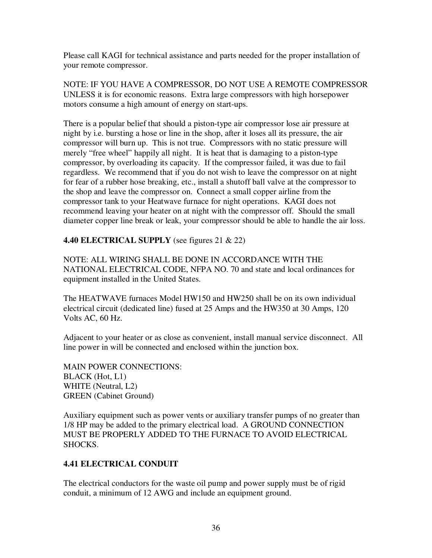Please call KAGI for technical assistance and parts needed for the proper installation of your remote compressor.

NOTE: IF YOU HAVE A COMPRESSOR, DO NOT USE A REMOTE COMPRESSOR UNLESS it is for economic reasons. Extra large compressors with high horsepower motors consume a high amount of energy on start-ups.

There is a popular belief that should a piston-type air compressor lose air pressure at night by i.e. bursting a hose or line in the shop, after it loses all its pressure, the air compressor will burn up. This is not true. Compressors with no static pressure will merely "free wheel" happily all night. It is heat that is damaging to a piston-type compressor, by overloading its capacity. If the compressor failed, it was due to fail regardless. We recommend that if you do not wish to leave the compressor on at night for fear of a rubber hose breaking, etc., install a shutoff ball valve at the compressor to the shop and leave the compressor on. Connect a small copper airline from the compressor tank to your Heatwave furnace for night operations. KAGI does not recommend leaving your heater on at night with the compressor off. Should the small diameter copper line break or leak, your compressor should be able to handle the air loss.

**4.40 ELECTRICAL SUPPLY** (see figures 21 & 22)

NOTE: ALL WIRING SHALL BE DONE IN ACCORDANCE WITH THE NATIONAL ELECTRICAL CODE, NFPA NO. 70 and state and local ordinances for equipment installed in the United States.

The HEATWAVE furnaces Model HW150 and HW250 shall be on its own individual electrical circuit (dedicated line) fused at 25 Amps and the HW350 at 30 Amps, 120 Volts AC, 60 Hz.

Adjacent to your heater or as close as convenient, install manual service disconnect. All line power in will be connected and enclosed within the junction box.

MAIN POWER CONNECTIONS: BLACK (Hot, L1) WHITE (Neutral, L2) GREEN (Cabinet Ground)

Auxiliary equipment such as power vents or auxiliary transfer pumps of no greater than 1/8 HP may be added to the primary electrical load. A GROUND CONNECTION MUST BE PROPERLY ADDED TO THE FURNACE TO AVOID ELECTRICAL SHOCKS.

# **4.41 ELECTRICAL CONDUIT**

The electrical conductors for the waste oil pump and power supply must be of rigid conduit, a minimum of 12 AWG and include an equipment ground.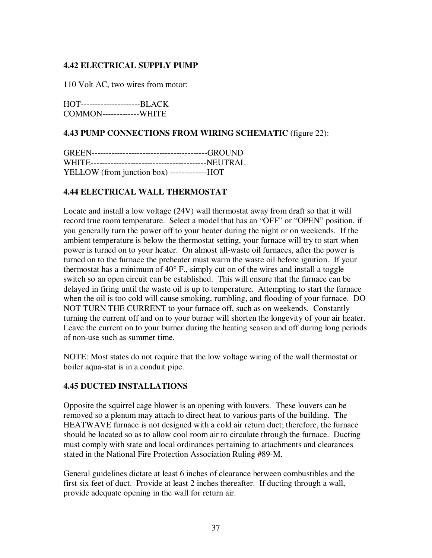#### **4.42 ELECTRICAL SUPPLY PUMP**

110 Volt AC, two wires from motor:

HOT---------------------BLACK COMMON-------------WHITE

#### **4.43 PUMP CONNECTIONS FROM WIRING SCHEMATIC** (figure 22):

| YELLOW (from junction box) -------------HOT |  |
|---------------------------------------------|--|

#### **4.44 ELECTRICAL WALL THERMOSTAT**

Locate and install a low voltage (24V) wall thermostat away from draft so that it will record true room temperature. Select a model that has an "OFF" or "OPEN" position, if you generally turn the power off to your heater during the night or on weekends. If the ambient temperature is below the thermostat setting, your furnace will try to start when power is turned on to your heater. On almost all-waste oil furnaces, after the power is turned on to the furnace the preheater must warm the waste oil before ignition. If your thermostat has a minimum of 40° F., simply cut on of the wires and install a toggle switch so an open circuit can be established. This will ensure that the furnace can be delayed in firing until the waste oil is up to temperature. Attempting to start the furnace when the oil is too cold will cause smoking, rumbling, and flooding of your furnace. DO NOT TURN THE CURRENT to your furnace off, such as on weekends. Constantly turning the current off and on to your burner will shorten the longevity of your air heater. Leave the current on to your burner during the heating season and off during long periods of non-use such as summer time.

NOTE: Most states do not require that the low voltage wiring of the wall thermostat or boiler aqua-stat is in a conduit pipe.

#### **4.45 DUCTED INSTALLATIONS**

Opposite the squirrel cage blower is an opening with louvers. These louvers can be removed so a plenum may attach to direct heat to various parts of the building. The HEATWAVE furnace is not designed with a cold air return duct; therefore, the furnace should be located so as to allow cool room air to circulate through the furnace. Ducting must comply with state and local ordinances pertaining to attachments and clearances stated in the National Fire Protection Association Ruling #89-M.

General guidelines dictate at least 6 inches of clearance between combustibles and the first six feet of duct. Provide at least 2 inches thereafter. If ducting through a wall, provide adequate opening in the wall for return air.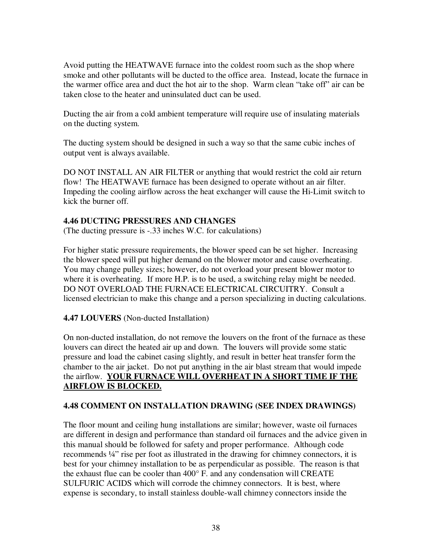Avoid putting the HEATWAVE furnace into the coldest room such as the shop where smoke and other pollutants will be ducted to the office area. Instead, locate the furnace in the warmer office area and duct the hot air to the shop. Warm clean "take off" air can be taken close to the heater and uninsulated duct can be used.

Ducting the air from a cold ambient temperature will require use of insulating materials on the ducting system.

The ducting system should be designed in such a way so that the same cubic inches of output vent is always available.

DO NOT INSTALL AN AIR FILTER or anything that would restrict the cold air return flow! The HEATWAVE furnace has been designed to operate without an air filter. Impeding the cooling airflow across the heat exchanger will cause the Hi-Limit switch to kick the burner off.

#### **4.46 DUCTING PRESSURES AND CHANGES**

(The ducting pressure is -.33 inches W.C. for calculations)

For higher static pressure requirements, the blower speed can be set higher. Increasing the blower speed will put higher demand on the blower motor and cause overheating. You may change pulley sizes; however, do not overload your present blower motor to where it is overheating. If more H.P. is to be used, a switching relay might be needed. DO NOT OVERLOAD THE FURNACE ELECTRICAL CIRCUITRY. Consult a licensed electrician to make this change and a person specializing in ducting calculations.

**4.47 LOUVERS** (Non-ducted Installation)

On non-ducted installation, do not remove the louvers on the front of the furnace as these louvers can direct the heated air up and down. The louvers will provide some static pressure and load the cabinet casing slightly, and result in better heat transfer form the chamber to the air jacket. Do not put anything in the air blast stream that would impede the airflow. **YOUR FURNACE WILL OVERHEAT IN A SHORT TIME IF THE AIRFLOW IS BLOCKED.**

#### **4.48 COMMENT ON INSTALLATION DRAWING (SEE INDEX DRAWINGS)**

The floor mount and ceiling hung installations are similar; however, waste oil furnaces are different in design and performance than standard oil furnaces and the advice given in this manual should be followed for safety and proper performance. Although code recommends ¼" rise per foot as illustrated in the drawing for chimney connectors, it is best for your chimney installation to be as perpendicular as possible. The reason is that the exhaust flue can be cooler than 400° F. and any condensation will CREATE SULFURIC ACIDS which will corrode the chimney connectors. It is best, where expense is secondary, to install stainless double-wall chimney connectors inside the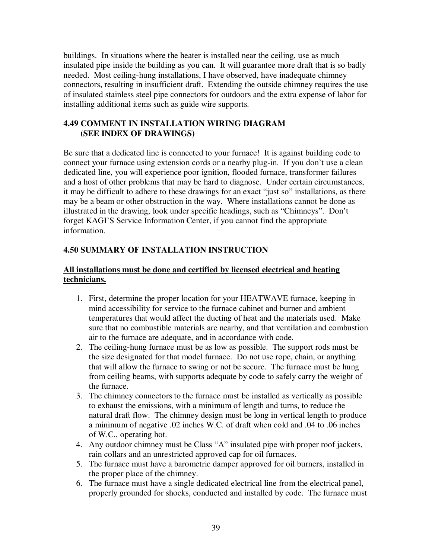buildings. In situations where the heater is installed near the ceiling, use as much insulated pipe inside the building as you can. It will guarantee more draft that is so badly needed. Most ceiling-hung installations, I have observed, have inadequate chimney connectors, resulting in insufficient draft. Extending the outside chimney requires the use of insulated stainless steel pipe connectors for outdoors and the extra expense of labor for installing additional items such as guide wire supports.

### **4.49 COMMENT IN INSTALLATION WIRING DIAGRAM (SEE INDEX OF DRAWINGS)**

Be sure that a dedicated line is connected to your furnace! It is against building code to connect your furnace using extension cords or a nearby plug-in. If you don't use a clean dedicated line, you will experience poor ignition, flooded furnace, transformer failures and a host of other problems that may be hard to diagnose. Under certain circumstances, it may be difficult to adhere to these drawings for an exact "just so" installations, as there may be a beam or other obstruction in the way. Where installations cannot be done as illustrated in the drawing, look under specific headings, such as "Chimneys". Don't forget KAGI'S Service Information Center, if you cannot find the appropriate information.

# **4.50 SUMMARY OF INSTALLATION INSTRUCTION**

### **All installations must be done and certified by licensed electrical and heating technicians.**

- 1. First, determine the proper location for your HEATWAVE furnace, keeping in mind accessibility for service to the furnace cabinet and burner and ambient temperatures that would affect the ducting of heat and the materials used. Make sure that no combustible materials are nearby, and that ventilation and combustion air to the furnace are adequate, and in accordance with code.
- 2. The ceiling-hung furnace must be as low as possible. The support rods must be the size designated for that model furnace. Do not use rope, chain, or anything that will allow the furnace to swing or not be secure. The furnace must be hung from ceiling beams, with supports adequate by code to safely carry the weight of the furnace.
- 3. The chimney connectors to the furnace must be installed as vertically as possible to exhaust the emissions, with a minimum of length and turns, to reduce the natural draft flow. The chimney design must be long in vertical length to produce a minimum of negative .02 inches W.C. of draft when cold and .04 to .06 inches of W.C., operating hot.
- 4. Any outdoor chimney must be Class "A" insulated pipe with proper roof jackets, rain collars and an unrestricted approved cap for oil furnaces.
- 5. The furnace must have a barometric damper approved for oil burners, installed in the proper place of the chimney.
- 6. The furnace must have a single dedicated electrical line from the electrical panel, properly grounded for shocks, conducted and installed by code. The furnace must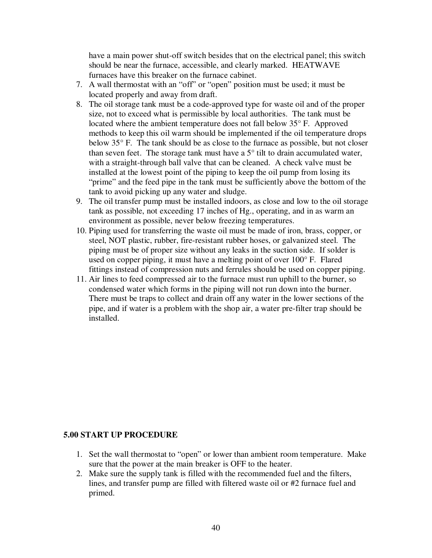have a main power shut-off switch besides that on the electrical panel; this switch should be near the furnace, accessible, and clearly marked. HEATWAVE furnaces have this breaker on the furnace cabinet.

- 7. A wall thermostat with an "off" or "open" position must be used; it must be located properly and away from draft.
- 8. The oil storage tank must be a code-approved type for waste oil and of the proper size, not to exceed what is permissible by local authorities. The tank must be located where the ambient temperature does not fall below 35° F. Approved methods to keep this oil warm should be implemented if the oil temperature drops below 35° F. The tank should be as close to the furnace as possible, but not closer than seven feet. The storage tank must have a  $5^\circ$  tilt to drain accumulated water, with a straight-through ball valve that can be cleaned. A check valve must be installed at the lowest point of the piping to keep the oil pump from losing its "prime" and the feed pipe in the tank must be sufficiently above the bottom of the tank to avoid picking up any water and sludge.
- 9. The oil transfer pump must be installed indoors, as close and low to the oil storage tank as possible, not exceeding 17 inches of Hg., operating, and in as warm an environment as possible, never below freezing temperatures.
- 10. Piping used for transferring the waste oil must be made of iron, brass, copper, or steel, NOT plastic, rubber, fire-resistant rubber hoses, or galvanized steel. The piping must be of proper size without any leaks in the suction side. If solder is used on copper piping, it must have a melting point of over 100° F. Flared fittings instead of compression nuts and ferrules should be used on copper piping.
- 11. Air lines to feed compressed air to the furnace must run uphill to the burner, so condensed water which forms in the piping will not run down into the burner. There must be traps to collect and drain off any water in the lower sections of the pipe, and if water is a problem with the shop air, a water pre-filter trap should be installed.

#### **5.00 START UP PROCEDURE**

- 1. Set the wall thermostat to "open" or lower than ambient room temperature. Make sure that the power at the main breaker is OFF to the heater.
- 2. Make sure the supply tank is filled with the recommended fuel and the filters, lines, and transfer pump are filled with filtered waste oil or #2 furnace fuel and primed.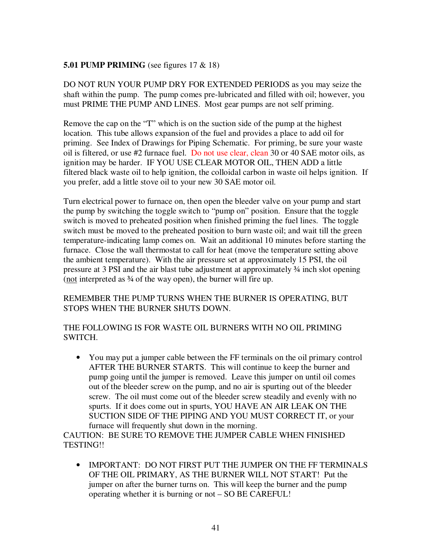#### **5.01 PUMP PRIMING** (see figures 17 & 18)

DO NOT RUN YOUR PUMP DRY FOR EXTENDED PERIODS as you may seize the shaft within the pump. The pump comes pre-lubricated and filled with oil; however, you must PRIME THE PUMP AND LINES. Most gear pumps are not self priming.

Remove the cap on the "T" which is on the suction side of the pump at the highest location. This tube allows expansion of the fuel and provides a place to add oil for priming. See Index of Drawings for Piping Schematic. For priming, be sure your waste oil is filtered, or use #2 furnace fuel. Do not use clear, clean 30 or 40 SAE motor oils, as ignition may be harder. IF YOU USE CLEAR MOTOR OIL, THEN ADD a little filtered black waste oil to help ignition, the colloidal carbon in waste oil helps ignition. If you prefer, add a little stove oil to your new 30 SAE motor oil.

Turn electrical power to furnace on, then open the bleeder valve on your pump and start the pump by switching the toggle switch to "pump on" position. Ensure that the toggle switch is moved to preheated position when finished priming the fuel lines. The toggle switch must be moved to the preheated position to burn waste oil; and wait till the green temperature-indicating lamp comes on. Wait an additional 10 minutes before starting the furnace. Close the wall thermostat to call for heat (move the temperature setting above the ambient temperature). With the air pressure set at approximately 15 PSI, the oil pressure at 3 PSI and the air blast tube adjustment at approximately ¾ inch slot opening (not interpreted as ¾ of the way open), the burner will fire up.

#### REMEMBER THE PUMP TURNS WHEN THE BURNER IS OPERATING, BUT STOPS WHEN THE BURNER SHUTS DOWN.

#### THE FOLLOWING IS FOR WASTE OIL BURNERS WITH NO OIL PRIMING SWITCH.

• You may put a jumper cable between the FF terminals on the oil primary control AFTER THE BURNER STARTS. This will continue to keep the burner and pump going until the jumper is removed. Leave this jumper on until oil comes out of the bleeder screw on the pump, and no air is spurting out of the bleeder screw. The oil must come out of the bleeder screw steadily and evenly with no spurts. If it does come out in spurts, YOU HAVE AN AIR LEAK ON THE SUCTION SIDE OF THE PIPING AND YOU MUST CORRECT IT, or your furnace will frequently shut down in the morning.

CAUTION: BE SURE TO REMOVE THE JUMPER CABLE WHEN FINISHED TESTING!!

• IMPORTANT: DO NOT FIRST PUT THE JUMPER ON THE FF TERMINALS OF THE OIL PRIMARY, AS THE BURNER WILL NOT START! Put the jumper on after the burner turns on. This will keep the burner and the pump operating whether it is burning or not – SO BE CAREFUL!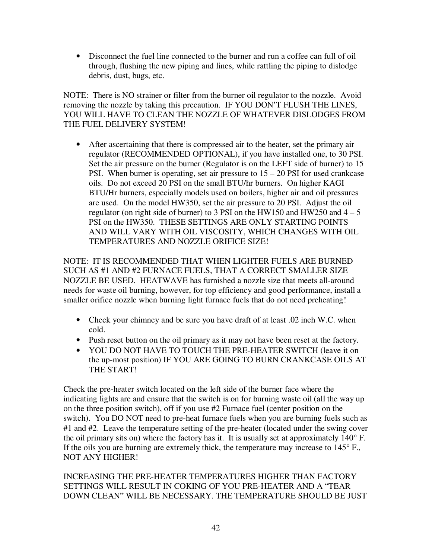• Disconnect the fuel line connected to the burner and run a coffee can full of oil through, flushing the new piping and lines, while rattling the piping to dislodge debris, dust, bugs, etc.

NOTE: There is NO strainer or filter from the burner oil regulator to the nozzle. Avoid removing the nozzle by taking this precaution. IF YOU DON'T FLUSH THE LINES, YOU WILL HAVE TO CLEAN THE NOZZLE OF WHATEVER DISLODGES FROM THE FUEL DELIVERY SYSTEM!

• After ascertaining that there is compressed air to the heater, set the primary air regulator (RECOMMENDED OPTIONAL), if you have installed one, to 30 PSI. Set the air pressure on the burner (Regulator is on the LEFT side of burner) to 15 PSI. When burner is operating, set air pressure to  $15 - 20$  PSI for used crankcase oils. Do not exceed 20 PSI on the small BTU/hr burners. On higher KAGI BTU/Hr burners, especially models used on boilers, higher air and oil pressures are used. On the model HW350, set the air pressure to 20 PSI. Adjust the oil regulator (on right side of burner) to 3 PSI on the HW150 and HW250 and  $4-5$ PSI on the HW350. THESE SETTINGS ARE ONLY STARTING POINTS AND WILL VARY WITH OIL VISCOSITY, WHICH CHANGES WITH OIL TEMPERATURES AND NOZZLE ORIFICE SIZE!

NOTE: IT IS RECOMMENDED THAT WHEN LIGHTER FUELS ARE BURNED SUCH AS #1 AND #2 FURNACE FUELS, THAT A CORRECT SMALLER SIZE NOZZLE BE USED. HEATWAVE has furnished a nozzle size that meets all-around needs for waste oil burning, however, for top efficiency and good performance, install a smaller orifice nozzle when burning light furnace fuels that do not need preheating!

- Check your chimney and be sure you have draft of at least .02 inch W.C. when cold.
- Push reset button on the oil primary as it may not have been reset at the factory.
- YOU DO NOT HAVE TO TOUCH THE PRE-HEATER SWITCH (leave it on the up-most position) IF YOU ARE GOING TO BURN CRANKCASE OILS AT THE START!

Check the pre-heater switch located on the left side of the burner face where the indicating lights are and ensure that the switch is on for burning waste oil (all the way up on the three position switch), off if you use #2 Furnace fuel (center position on the switch). You DO NOT need to pre-heat furnace fuels when you are burning fuels such as #1 and #2. Leave the temperature setting of the pre-heater (located under the swing cover the oil primary sits on) where the factory has it. It is usually set at approximately 140° F. If the oils you are burning are extremely thick, the temperature may increase to  $145^{\circ}$  F., NOT ANY HIGHER!

#### INCREASING THE PRE-HEATER TEMPERATURES HIGHER THAN FACTORY SETTINGS WILL RESULT IN COKING OF YOU PRE-HEATER AND A "TEAR DOWN CLEAN" WILL BE NECESSARY. THE TEMPERATURE SHOULD BE JUST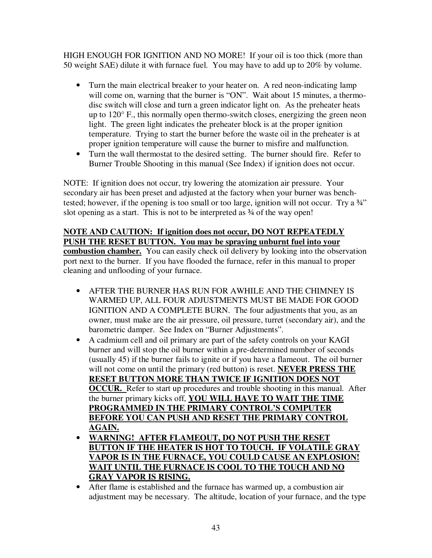HIGH ENOUGH FOR IGNITION AND NO MORE! If your oil is too thick (more than 50 weight SAE) dilute it with furnace fuel. You may have to add up to 20% by volume.

- Turn the main electrical breaker to your heater on. A red neon-indicating lamp will come on, warning that the burner is "ON". Wait about 15 minutes, a thermodisc switch will close and turn a green indicator light on. As the preheater heats up to 120° F., this normally open thermo-switch closes, energizing the green neon light. The green light indicates the preheater block is at the proper ignition temperature. Trying to start the burner before the waste oil in the preheater is at proper ignition temperature will cause the burner to misfire and malfunction.
- Turn the wall thermostat to the desired setting. The burner should fire. Refer to Burner Trouble Shooting in this manual (See Index) if ignition does not occur.

NOTE: If ignition does not occur, try lowering the atomization air pressure. Your secondary air has been preset and adjusted at the factory when your burner was benchtested; however, if the opening is too small or too large, ignition will not occur. Try a 34" slot opening as a start. This is not to be interpreted as  $\frac{3}{4}$  of the way open!

#### **NOTE AND CAUTION: If ignition does not occur, DO NOT REPEATEDLY PUSH THE RESET BUTTON. You may be spraying unburnt fuel into your**

**combustion chamber.** You can easily check oil delivery by looking into the observation port next to the burner. If you have flooded the furnace, refer in this manual to proper cleaning and unflooding of your furnace.

- AFTER THE BURNER HAS RUN FOR AWHILE AND THE CHIMNEY IS WARMED UP, ALL FOUR ADJUSTMENTS MUST BE MADE FOR GOOD IGNITION AND A COMPLETE BURN. The four adjustments that you, as an owner, must make are the air pressure, oil pressure, turret (secondary air), and the barometric damper. See Index on "Burner Adjustments".
- A cadmium cell and oil primary are part of the safety controls on your KAGI burner and will stop the oil burner within a pre-determined number of seconds (usually 45) if the burner fails to ignite or if you have a flameout. The oil burner will not come on until the primary (red button) is reset. **NEVER PRESS THE RESET BUTTON MORE THAN TWICE IF IGNITION DOES NOT OCCUR.** Refer to start up procedures and trouble shooting in this manual. After the burner primary kicks off, **YOU WILL HAVE TO WAIT THE TIME PROGRAMMED IN THE PRIMARY CONTROL'S COMPUTER BEFORE YOU CAN PUSH AND RESET THE PRIMARY CONTROL AGAIN.**
- **WARNING! AFTER FLAMEOUT, DO NOT PUSH THE RESET BUTTON IF THE HEATER IS HOT TO TOUCH. IF VOLATILE GRAY VAPOR IS IN THE FURNACE, YOU COULD CAUSE AN EXPLOSION! WAIT UNTIL THE FURNACE IS COOL TO THE TOUCH AND NO GRAY VAPOR IS RISING.**

• After flame is established and the furnace has warmed up, a combustion air adjustment may be necessary. The altitude, location of your furnace, and the type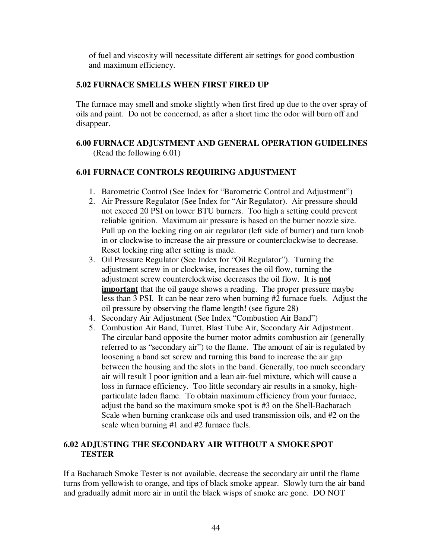of fuel and viscosity will necessitate different air settings for good combustion and maximum efficiency.

#### **5.02 FURNACE SMELLS WHEN FIRST FIRED UP**

The furnace may smell and smoke slightly when first fired up due to the over spray of oils and paint. Do not be concerned, as after a short time the odor will burn off and disappear.

#### **6.00 FURNACE ADJUSTMENT AND GENERAL OPERATION GUIDELINES**  (Read the following 6.01)

#### **6.01 FURNACE CONTROLS REQUIRING ADJUSTMENT**

- 1. Barometric Control (See Index for "Barometric Control and Adjustment")
- 2. Air Pressure Regulator (See Index for "Air Regulator). Air pressure should not exceed 20 PSI on lower BTU burners. Too high a setting could prevent reliable ignition. Maximum air pressure is based on the burner nozzle size. Pull up on the locking ring on air regulator (left side of burner) and turn knob in or clockwise to increase the air pressure or counterclockwise to decrease. Reset locking ring after setting is made.
- 3. Oil Pressure Regulator (See Index for "Oil Regulator"). Turning the adjustment screw in or clockwise, increases the oil flow, turning the adjustment screw counterclockwise decreases the oil flow. It is **not important** that the oil gauge shows a reading. The proper pressure maybe less than 3 PSI. It can be near zero when burning #2 furnace fuels. Adjust the oil pressure by observing the flame length! (see figure 28)
- 4. Secondary Air Adjustment (See Index "Combustion Air Band")
- 5. Combustion Air Band, Turret, Blast Tube Air, Secondary Air Adjustment. The circular band opposite the burner motor admits combustion air (generally referred to as "secondary air") to the flame. The amount of air is regulated by loosening a band set screw and turning this band to increase the air gap between the housing and the slots in the band. Generally, too much secondary air will result I poor ignition and a lean air-fuel mixture, which will cause a loss in furnace efficiency. Too little secondary air results in a smoky, highparticulate laden flame. To obtain maximum efficiency from your furnace, adjust the band so the maximum smoke spot is #3 on the Shell-Bacharach Scale when burning crankcase oils and used transmission oils, and #2 on the scale when burning #1 and #2 furnace fuels.

#### **6.02 ADJUSTING THE SECONDARY AIR WITHOUT A SMOKE SPOT TESTER**

If a Bacharach Smoke Tester is not available, decrease the secondary air until the flame turns from yellowish to orange, and tips of black smoke appear. Slowly turn the air band and gradually admit more air in until the black wisps of smoke are gone. DO NOT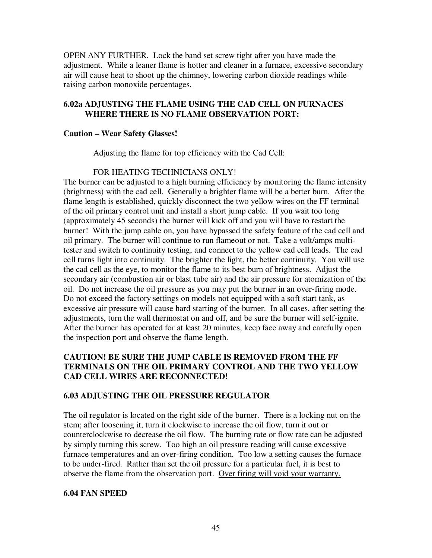OPEN ANY FURTHER. Lock the band set screw tight after you have made the adjustment. While a leaner flame is hotter and cleaner in a furnace, excessive secondary air will cause heat to shoot up the chimney, lowering carbon dioxide readings while raising carbon monoxide percentages.

#### **6.02a ADJUSTING THE FLAME USING THE CAD CELL ON FURNACES WHERE THERE IS NO FLAME OBSERVATION PORT:**

#### **Caution – Wear Safety Glasses!**

Adjusting the flame for top efficiency with the Cad Cell:

#### FOR HEATING TECHNICIANS ONLY!

The burner can be adjusted to a high burning efficiency by monitoring the flame intensity (brightness) with the cad cell. Generally a brighter flame will be a better burn. After the flame length is established, quickly disconnect the two yellow wires on the FF terminal of the oil primary control unit and install a short jump cable. If you wait too long (approximately 45 seconds) the burner will kick off and you will have to restart the burner! With the jump cable on, you have bypassed the safety feature of the cad cell and oil primary. The burner will continue to run flameout or not. Take a volt/amps multitester and switch to continuity testing, and connect to the yellow cad cell leads. The cad cell turns light into continuity. The brighter the light, the better continuity. You will use the cad cell as the eye, to monitor the flame to its best burn of brightness. Adjust the secondary air (combustion air or blast tube air) and the air pressure for atomization of the oil. Do not increase the oil pressure as you may put the burner in an over-firing mode. Do not exceed the factory settings on models not equipped with a soft start tank, as excessive air pressure will cause hard starting of the burner. In all cases, after setting the adjustments, turn the wall thermostat on and off, and be sure the burner will self-ignite. After the burner has operated for at least 20 minutes, keep face away and carefully open the inspection port and observe the flame length.

#### **CAUTION! BE SURE THE JUMP CABLE IS REMOVED FROM THE FF TERMINALS ON THE OIL PRIMARY CONTROL AND THE TWO YELLOW CAD CELL WIRES ARE RECONNECTED!**

#### **6.03 ADJUSTING THE OIL PRESSURE REGULATOR**

The oil regulator is located on the right side of the burner. There is a locking nut on the stem; after loosening it, turn it clockwise to increase the oil flow, turn it out or counterclockwise to decrease the oil flow. The burning rate or flow rate can be adjusted by simply turning this screw. Too high an oil pressure reading will cause excessive furnace temperatures and an over-firing condition. Too low a setting causes the furnace to be under-fired. Rather than set the oil pressure for a particular fuel, it is best to observe the flame from the observation port. Over firing will void your warranty.

#### **6.04 FAN SPEED**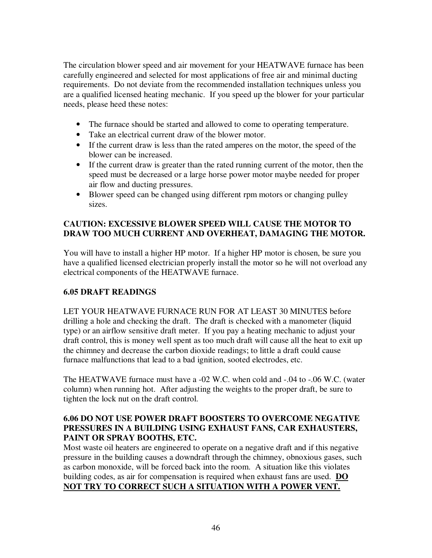The circulation blower speed and air movement for your HEATWAVE furnace has been carefully engineered and selected for most applications of free air and minimal ducting requirements. Do not deviate from the recommended installation techniques unless you are a qualified licensed heating mechanic. If you speed up the blower for your particular needs, please heed these notes:

- The furnace should be started and allowed to come to operating temperature.
- Take an electrical current draw of the blower motor.
- If the current draw is less than the rated amperes on the motor, the speed of the blower can be increased.
- If the current draw is greater than the rated running current of the motor, then the speed must be decreased or a large horse power motor maybe needed for proper air flow and ducting pressures.
- Blower speed can be changed using different rpm motors or changing pulley sizes.

### **CAUTION: EXCESSIVE BLOWER SPEED WILL CAUSE THE MOTOR TO DRAW TOO MUCH CURRENT AND OVERHEAT, DAMAGING THE MOTOR.**

You will have to install a higher HP motor. If a higher HP motor is chosen, be sure you have a qualified licensed electrician properly install the motor so he will not overload any electrical components of the HEATWAVE furnace.

# **6.05 DRAFT READINGS**

LET YOUR HEATWAVE FURNACE RUN FOR AT LEAST 30 MINUTES before drilling a hole and checking the draft. The draft is checked with a manometer (liquid type) or an airflow sensitive draft meter. If you pay a heating mechanic to adjust your draft control, this is money well spent as too much draft will cause all the heat to exit up the chimney and decrease the carbon dioxide readings; to little a draft could cause furnace malfunctions that lead to a bad ignition, sooted electrodes, etc.

The HEATWAVE furnace must have a -02 W.C. when cold and -.04 to -.06 W.C. (water column) when running hot. After adjusting the weights to the proper draft, be sure to tighten the lock nut on the draft control.

### **6.06 DO NOT USE POWER DRAFT BOOSTERS TO OVERCOME NEGATIVE PRESSURES IN A BUILDING USING EXHAUST FANS, CAR EXHAUSTERS, PAINT OR SPRAY BOOTHS, ETC.**

Most waste oil heaters are engineered to operate on a negative draft and if this negative pressure in the building causes a downdraft through the chimney, obnoxious gases, such as carbon monoxide, will be forced back into the room. A situation like this violates building codes, as air for compensation is required when exhaust fans are used. **DO NOT TRY TO CORRECT SUCH A SITUATION WITH A POWER VENT.**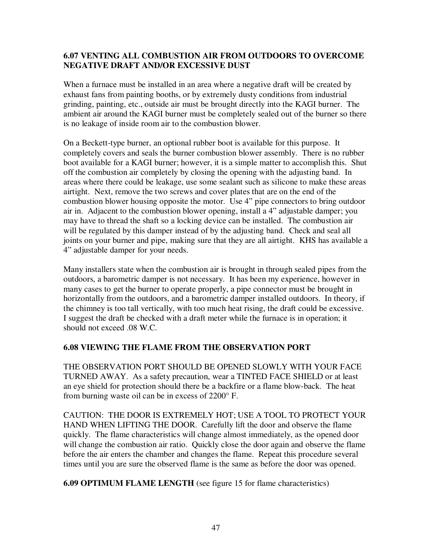#### **6.07 VENTING ALL COMBUSTION AIR FROM OUTDOORS TO OVERCOME NEGATIVE DRAFT AND/OR EXCESSIVE DUST**

When a furnace must be installed in an area where a negative draft will be created by exhaust fans from painting booths, or by extremely dusty conditions from industrial grinding, painting, etc., outside air must be brought directly into the KAGI burner. The ambient air around the KAGI burner must be completely sealed out of the burner so there is no leakage of inside room air to the combustion blower.

On a Beckett-type burner, an optional rubber boot is available for this purpose. It completely covers and seals the burner combustion blower assembly. There is no rubber boot available for a KAGI burner; however, it is a simple matter to accomplish this. Shut off the combustion air completely by closing the opening with the adjusting band. In areas where there could be leakage, use some sealant such as silicone to make these areas airtight. Next, remove the two screws and cover plates that are on the end of the combustion blower housing opposite the motor. Use 4" pipe connectors to bring outdoor air in. Adjacent to the combustion blower opening, install a 4" adjustable damper; you may have to thread the shaft so a locking device can be installed. The combustion air will be regulated by this damper instead of by the adjusting band. Check and seal all joints on your burner and pipe, making sure that they are all airtight. KHS has available a 4" adjustable damper for your needs.

Many installers state when the combustion air is brought in through sealed pipes from the outdoors, a barometric damper is not necessary. It has been my experience, however in many cases to get the burner to operate properly, a pipe connector must be brought in horizontally from the outdoors, and a barometric damper installed outdoors. In theory, if the chimney is too tall vertically, with too much heat rising, the draft could be excessive. I suggest the draft be checked with a draft meter while the furnace is in operation; it should not exceed .08 W.C.

#### **6.08 VIEWING THE FLAME FROM THE OBSERVATION PORT**

THE OBSERVATION PORT SHOULD BE OPENED SLOWLY WITH YOUR FACE TURNED AWAY. As a safety precaution, wear a TINTED FACE SHIELD or at least an eye shield for protection should there be a backfire or a flame blow-back. The heat from burning waste oil can be in excess of 2200° F.

CAUTION: THE DOOR IS EXTREMELY HOT; USE A TOOL TO PROTECT YOUR HAND WHEN LIFTING THE DOOR. Carefully lift the door and observe the flame quickly. The flame characteristics will change almost immediately, as the opened door will change the combustion air ratio. Quickly close the door again and observe the flame before the air enters the chamber and changes the flame. Repeat this procedure several times until you are sure the observed flame is the same as before the door was opened.

**6.09 OPTIMUM FLAME LENGTH** (see figure 15 for flame characteristics)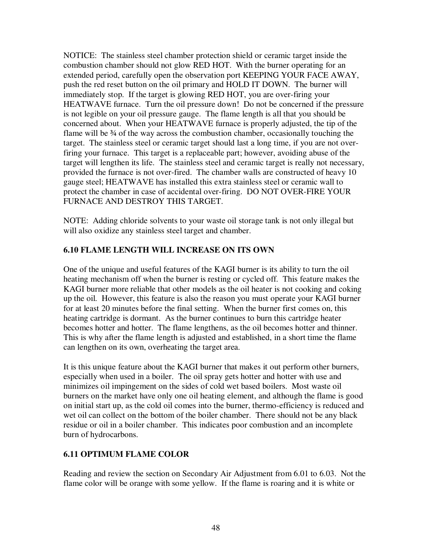NOTICE: The stainless steel chamber protection shield or ceramic target inside the combustion chamber should not glow RED HOT. With the burner operating for an extended period, carefully open the observation port KEEPING YOUR FACE AWAY, push the red reset button on the oil primary and HOLD IT DOWN. The burner will immediately stop. If the target is glowing RED HOT, you are over-firing your HEATWAVE furnace. Turn the oil pressure down! Do not be concerned if the pressure is not legible on your oil pressure gauge. The flame length is all that you should be concerned about. When your HEATWAVE furnace is properly adjusted, the tip of the flame will be  $\frac{3}{4}$  of the way across the combustion chamber, occasionally touching the target. The stainless steel or ceramic target should last a long time, if you are not overfiring your furnace. This target is a replaceable part; however, avoiding abuse of the target will lengthen its life. The stainless steel and ceramic target is really not necessary, provided the furnace is not over-fired. The chamber walls are constructed of heavy 10 gauge steel; HEATWAVE has installed this extra stainless steel or ceramic wall to protect the chamber in case of accidental over-firing. DO NOT OVER-FIRE YOUR FURNACE AND DESTROY THIS TARGET.

NOTE: Adding chloride solvents to your waste oil storage tank is not only illegal but will also oxidize any stainless steel target and chamber.

### **6.10 FLAME LENGTH WILL INCREASE ON ITS OWN**

One of the unique and useful features of the KAGI burner is its ability to turn the oil heating mechanism off when the burner is resting or cycled off. This feature makes the KAGI burner more reliable that other models as the oil heater is not cooking and coking up the oil. However, this feature is also the reason you must operate your KAGI burner for at least 20 minutes before the final setting. When the burner first comes on, this heating cartridge is dormant. As the burner continues to burn this cartridge heater becomes hotter and hotter. The flame lengthens, as the oil becomes hotter and thinner. This is why after the flame length is adjusted and established, in a short time the flame can lengthen on its own, overheating the target area.

It is this unique feature about the KAGI burner that makes it out perform other burners, especially when used in a boiler. The oil spray gets hotter and hotter with use and minimizes oil impingement on the sides of cold wet based boilers. Most waste oil burners on the market have only one oil heating element, and although the flame is good on initial start up, as the cold oil comes into the burner, thermo-efficiency is reduced and wet oil can collect on the bottom of the boiler chamber. There should not be any black residue or oil in a boiler chamber. This indicates poor combustion and an incomplete burn of hydrocarbons.

#### **6.11 OPTIMUM FLAME COLOR**

Reading and review the section on Secondary Air Adjustment from 6.01 to 6.03. Not the flame color will be orange with some yellow. If the flame is roaring and it is white or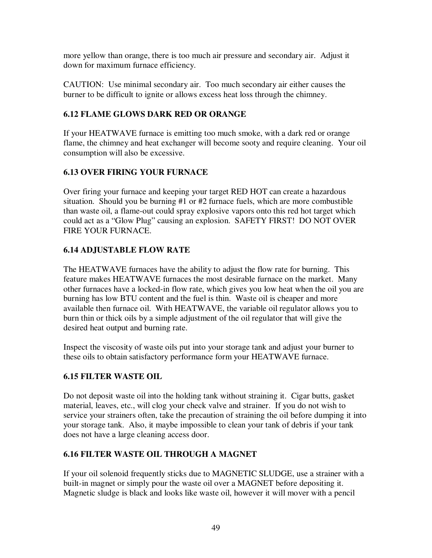more yellow than orange, there is too much air pressure and secondary air. Adjust it down for maximum furnace efficiency.

CAUTION: Use minimal secondary air. Too much secondary air either causes the burner to be difficult to ignite or allows excess heat loss through the chimney.

### **6.12 FLAME GLOWS DARK RED OR ORANGE**

If your HEATWAVE furnace is emitting too much smoke, with a dark red or orange flame, the chimney and heat exchanger will become sooty and require cleaning. Your oil consumption will also be excessive.

# **6.13 OVER FIRING YOUR FURNACE**

Over firing your furnace and keeping your target RED HOT can create a hazardous situation. Should you be burning #1 or #2 furnace fuels, which are more combustible than waste oil, a flame-out could spray explosive vapors onto this red hot target which could act as a "Glow Plug" causing an explosion. SAFETY FIRST! DO NOT OVER FIRE YOUR FURNACE.

# **6.14 ADJUSTABLE FLOW RATE**

The HEATWAVE furnaces have the ability to adjust the flow rate for burning. This feature makes HEATWAVE furnaces the most desirable furnace on the market. Many other furnaces have a locked-in flow rate, which gives you low heat when the oil you are burning has low BTU content and the fuel is thin. Waste oil is cheaper and more available then furnace oil. With HEATWAVE, the variable oil regulator allows you to burn thin or thick oils by a simple adjustment of the oil regulator that will give the desired heat output and burning rate.

Inspect the viscosity of waste oils put into your storage tank and adjust your burner to these oils to obtain satisfactory performance form your HEATWAVE furnace.

#### **6.15 FILTER WASTE OIL**

Do not deposit waste oil into the holding tank without straining it. Cigar butts, gasket material, leaves, etc., will clog your check valve and strainer. If you do not wish to service your strainers often, take the precaution of straining the oil before dumping it into your storage tank. Also, it maybe impossible to clean your tank of debris if your tank does not have a large cleaning access door.

# **6.16 FILTER WASTE OIL THROUGH A MAGNET**

If your oil solenoid frequently sticks due to MAGNETIC SLUDGE, use a strainer with a built-in magnet or simply pour the waste oil over a MAGNET before depositing it. Magnetic sludge is black and looks like waste oil, however it will mover with a pencil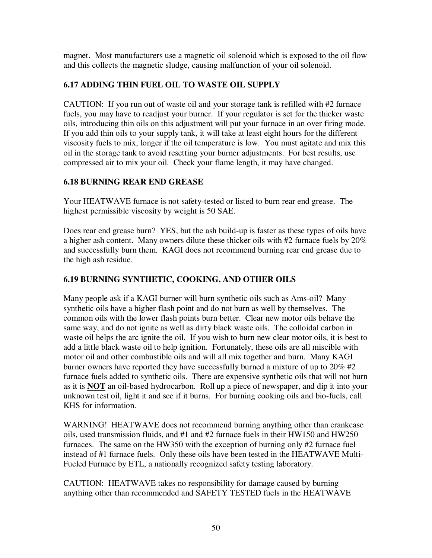magnet. Most manufacturers use a magnetic oil solenoid which is exposed to the oil flow and this collects the magnetic sludge, causing malfunction of your oil solenoid.

### **6.17 ADDING THIN FUEL OIL TO WASTE OIL SUPPLY**

CAUTION: If you run out of waste oil and your storage tank is refilled with #2 furnace fuels, you may have to readjust your burner. If your regulator is set for the thicker waste oils, introducing thin oils on this adjustment will put your furnace in an over firing mode. If you add thin oils to your supply tank, it will take at least eight hours for the different viscosity fuels to mix, longer if the oil temperature is low. You must agitate and mix this oil in the storage tank to avoid resetting your burner adjustments. For best results, use compressed air to mix your oil. Check your flame length, it may have changed.

### **6.18 BURNING REAR END GREASE**

Your HEATWAVE furnace is not safety-tested or listed to burn rear end grease. The highest permissible viscosity by weight is 50 SAE.

Does rear end grease burn? YES, but the ash build-up is faster as these types of oils have a higher ash content. Many owners dilute these thicker oils with #2 furnace fuels by 20% and successfully burn them. KAGI does not recommend burning rear end grease due to the high ash residue.

### **6.19 BURNING SYNTHETIC, COOKING, AND OTHER OILS**

Many people ask if a KAGI burner will burn synthetic oils such as Ams-oil? Many synthetic oils have a higher flash point and do not burn as well by themselves. The common oils with the lower flash points burn better. Clear new motor oils behave the same way, and do not ignite as well as dirty black waste oils. The colloidal carbon in waste oil helps the arc ignite the oil. If you wish to burn new clear motor oils, it is best to add a little black waste oil to help ignition. Fortunately, these oils are all miscible with motor oil and other combustible oils and will all mix together and burn. Many KAGI burner owners have reported they have successfully burned a mixture of up to 20% #2 furnace fuels added to synthetic oils. There are expensive synthetic oils that will not burn as it is **NOT** an oil-based hydrocarbon. Roll up a piece of newspaper, and dip it into your unknown test oil, light it and see if it burns. For burning cooking oils and bio-fuels, call KHS for information.

WARNING! HEATWAVE does not recommend burning anything other than crankcase oils, used transmission fluids, and #1 and #2 furnace fuels in their HW150 and HW250 furnaces. The same on the HW350 with the exception of burning only #2 furnace fuel instead of #1 furnace fuels. Only these oils have been tested in the HEATWAVE Multi-Fueled Furnace by ETL, a nationally recognized safety testing laboratory.

CAUTION: HEATWAVE takes no responsibility for damage caused by burning anything other than recommended and SAFETY TESTED fuels in the HEATWAVE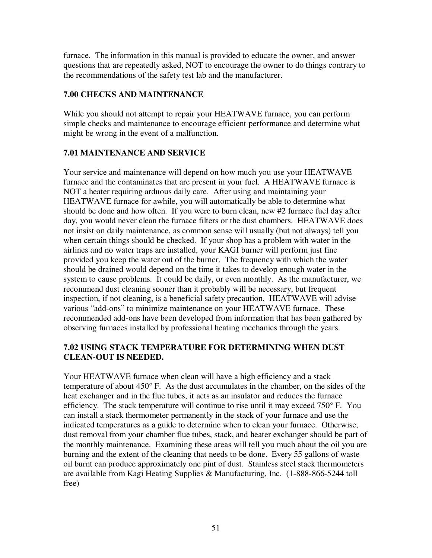furnace. The information in this manual is provided to educate the owner, and answer questions that are repeatedly asked, NOT to encourage the owner to do things contrary to the recommendations of the safety test lab and the manufacturer.

### **7.00 CHECKS AND MAINTENANCE**

While you should not attempt to repair your HEATWAVE furnace, you can perform simple checks and maintenance to encourage efficient performance and determine what might be wrong in the event of a malfunction.

### **7.01 MAINTENANCE AND SERVICE**

Your service and maintenance will depend on how much you use your HEATWAVE furnace and the contaminates that are present in your fuel. A HEATWAVE furnace is NOT a heater requiring arduous daily care. After using and maintaining your HEATWAVE furnace for awhile, you will automatically be able to determine what should be done and how often. If you were to burn clean, new #2 furnace fuel day after day, you would never clean the furnace filters or the dust chambers. HEATWAVE does not insist on daily maintenance, as common sense will usually (but not always) tell you when certain things should be checked. If your shop has a problem with water in the airlines and no water traps are installed, your KAGI burner will perform just fine provided you keep the water out of the burner. The frequency with which the water should be drained would depend on the time it takes to develop enough water in the system to cause problems. It could be daily, or even monthly. As the manufacturer, we recommend dust cleaning sooner than it probably will be necessary, but frequent inspection, if not cleaning, is a beneficial safety precaution. HEATWAVE will advise various "add-ons" to minimize maintenance on your HEATWAVE furnace. These recommended add-ons have been developed from information that has been gathered by observing furnaces installed by professional heating mechanics through the years.

#### **7.02 USING STACK TEMPERATURE FOR DETERMINING WHEN DUST CLEAN-OUT IS NEEDED.**

Your HEATWAVE furnace when clean will have a high efficiency and a stack temperature of about 450° F. As the dust accumulates in the chamber, on the sides of the heat exchanger and in the flue tubes, it acts as an insulator and reduces the furnace efficiency. The stack temperature will continue to rise until it may exceed 750° F. You can install a stack thermometer permanently in the stack of your furnace and use the indicated temperatures as a guide to determine when to clean your furnace. Otherwise, dust removal from your chamber flue tubes, stack, and heater exchanger should be part of the monthly maintenance. Examining these areas will tell you much about the oil you are burning and the extent of the cleaning that needs to be done. Every 55 gallons of waste oil burnt can produce approximately one pint of dust. Stainless steel stack thermometers are available from Kagi Heating Supplies & Manufacturing, Inc. (1-888-866-5244 toll free)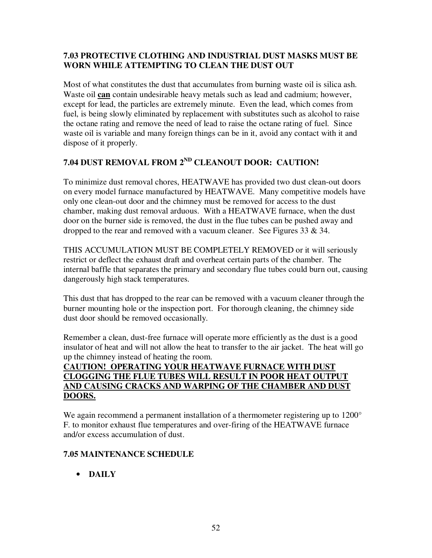### **7.03 PROTECTIVE CLOTHING AND INDUSTRIAL DUST MASKS MUST BE WORN WHILE ATTEMPTING TO CLEAN THE DUST OUT**

Most of what constitutes the dust that accumulates from burning waste oil is silica ash. Waste oil **can** contain undesirable heavy metals such as lead and cadmium; however, except for lead, the particles are extremely minute. Even the lead, which comes from fuel, is being slowly eliminated by replacement with substitutes such as alcohol to raise the octane rating and remove the need of lead to raise the octane rating of fuel. Since waste oil is variable and many foreign things can be in it, avoid any contact with it and dispose of it properly.

# **7.04 DUST REMOVAL FROM 2ND CLEANOUT DOOR: CAUTION!**

To minimize dust removal chores, HEATWAVE has provided two dust clean-out doors on every model furnace manufactured by HEATWAVE. Many competitive models have only one clean-out door and the chimney must be removed for access to the dust chamber, making dust removal arduous. With a HEATWAVE furnace, when the dust door on the burner side is removed, the dust in the flue tubes can be pushed away and dropped to the rear and removed with a vacuum cleaner. See Figures 33  $\&$  34.

THIS ACCUMULATION MUST BE COMPLETELY REMOVED or it will seriously restrict or deflect the exhaust draft and overheat certain parts of the chamber. The internal baffle that separates the primary and secondary flue tubes could burn out, causing dangerously high stack temperatures.

This dust that has dropped to the rear can be removed with a vacuum cleaner through the burner mounting hole or the inspection port. For thorough cleaning, the chimney side dust door should be removed occasionally.

Remember a clean, dust-free furnace will operate more efficiently as the dust is a good insulator of heat and will not allow the heat to transfer to the air jacket. The heat will go up the chimney instead of heating the room.

#### **CAUTION! OPERATING YOUR HEATWAVE FURNACE WITH DUST CLOGGING THE FLUE TUBES WILL RESULT IN POOR HEAT OUTPUT AND CAUSING CRACKS AND WARPING OF THE CHAMBER AND DUST DOORS.**

We again recommend a permanent installation of a thermometer registering up to 1200<sup>°</sup> F. to monitor exhaust flue temperatures and over-firing of the HEATWAVE furnace and/or excess accumulation of dust.

# **7.05 MAINTENANCE SCHEDULE**

• **DAILY**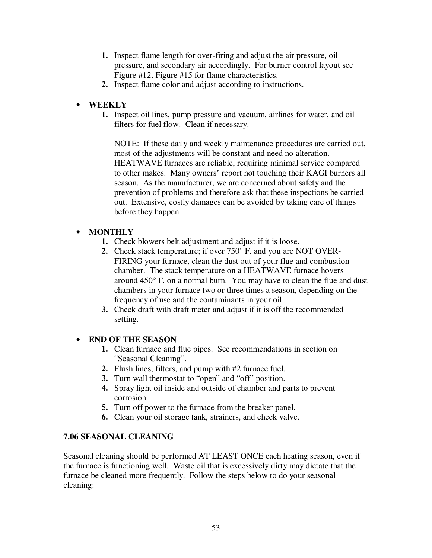- **1.** Inspect flame length for over-firing and adjust the air pressure, oil pressure, and secondary air accordingly. For burner control layout see Figure #12, Figure #15 for flame characteristics.
- **2.** Inspect flame color and adjust according to instructions.

### • **WEEKLY**

**1.** Inspect oil lines, pump pressure and vacuum, airlines for water, and oil filters for fuel flow. Clean if necessary.

NOTE: If these daily and weekly maintenance procedures are carried out, most of the adjustments will be constant and need no alteration. HEATWAVE furnaces are reliable, requiring minimal service compared to other makes. Many owners' report not touching their KAGI burners all season. As the manufacturer, we are concerned about safety and the prevention of problems and therefore ask that these inspections be carried out. Extensive, costly damages can be avoided by taking care of things before they happen.

### • **MONTHLY**

- **1.** Check blowers belt adjustment and adjust if it is loose.
- **2.** Check stack temperature; if over 750° F. and you are NOT OVER-FIRING your furnace, clean the dust out of your flue and combustion chamber. The stack temperature on a HEATWAVE furnace hovers around 450° F. on a normal burn. You may have to clean the flue and dust chambers in your furnace two or three times a season, depending on the frequency of use and the contaminants in your oil.
- **3.** Check draft with draft meter and adjust if it is off the recommended setting.

#### • **END OF THE SEASON**

- **1.** Clean furnace and flue pipes. See recommendations in section on "Seasonal Cleaning".
- **2.** Flush lines, filters, and pump with #2 furnace fuel.
- **3.** Turn wall thermostat to "open" and "off" position.
- **4.** Spray light oil inside and outside of chamber and parts to prevent corrosion.
- **5.** Turn off power to the furnace from the breaker panel.
- **6.** Clean your oil storage tank, strainers, and check valve.

#### **7.06 SEASONAL CLEANING**

Seasonal cleaning should be performed AT LEAST ONCE each heating season, even if the furnace is functioning well. Waste oil that is excessively dirty may dictate that the furnace be cleaned more frequently. Follow the steps below to do your seasonal cleaning: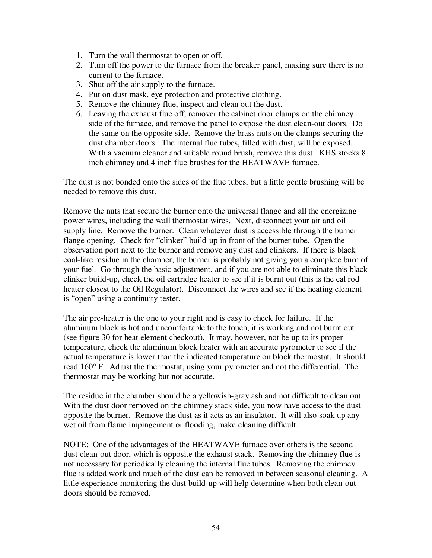- 1. Turn the wall thermostat to open or off.
- 2. Turn off the power to the furnace from the breaker panel, making sure there is no current to the furnace.
- 3. Shut off the air supply to the furnace.
- 4. Put on dust mask, eye protection and protective clothing.
- 5. Remove the chimney flue, inspect and clean out the dust.
- 6. Leaving the exhaust flue off, remover the cabinet door clamps on the chimney side of the furnace, and remove the panel to expose the dust clean-out doors. Do the same on the opposite side. Remove the brass nuts on the clamps securing the dust chamber doors. The internal flue tubes, filled with dust, will be exposed. With a vacuum cleaner and suitable round brush, remove this dust. KHS stocks 8 inch chimney and 4 inch flue brushes for the HEATWAVE furnace.

The dust is not bonded onto the sides of the flue tubes, but a little gentle brushing will be needed to remove this dust.

Remove the nuts that secure the burner onto the universal flange and all the energizing power wires, including the wall thermostat wires. Next, disconnect your air and oil supply line. Remove the burner. Clean whatever dust is accessible through the burner flange opening. Check for "clinker" build-up in front of the burner tube. Open the observation port next to the burner and remove any dust and clinkers. If there is black coal-like residue in the chamber, the burner is probably not giving you a complete burn of your fuel. Go through the basic adjustment, and if you are not able to eliminate this black clinker build-up, check the oil cartridge heater to see if it is burnt out (this is the cal rod heater closest to the Oil Regulator). Disconnect the wires and see if the heating element is "open" using a continuity tester.

The air pre-heater is the one to your right and is easy to check for failure. If the aluminum block is hot and uncomfortable to the touch, it is working and not burnt out (see figure 30 for heat element checkout). It may, however, not be up to its proper temperature, check the aluminum block heater with an accurate pyrometer to see if the actual temperature is lower than the indicated temperature on block thermostat. It should read 160° F. Adjust the thermostat, using your pyrometer and not the differential. The thermostat may be working but not accurate.

The residue in the chamber should be a yellowish-gray ash and not difficult to clean out. With the dust door removed on the chimney stack side, you now have access to the dust opposite the burner. Remove the dust as it acts as an insulator. It will also soak up any wet oil from flame impingement or flooding, make cleaning difficult.

NOTE: One of the advantages of the HEATWAVE furnace over others is the second dust clean-out door, which is opposite the exhaust stack. Removing the chimney flue is not necessary for periodically cleaning the internal flue tubes. Removing the chimney flue is added work and much of the dust can be removed in between seasonal cleaning. A little experience monitoring the dust build-up will help determine when both clean-out doors should be removed.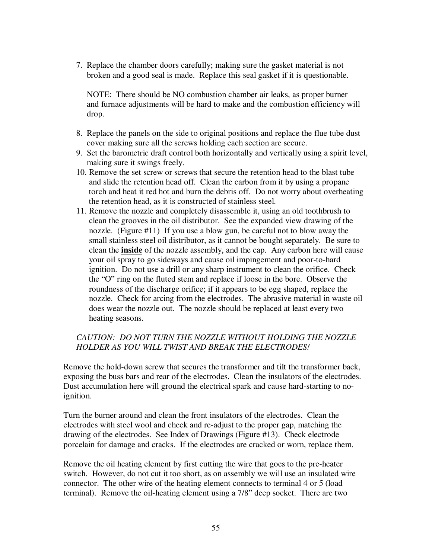7. Replace the chamber doors carefully; making sure the gasket material is not broken and a good seal is made. Replace this seal gasket if it is questionable.

 NOTE: There should be NO combustion chamber air leaks, as proper burner and furnace adjustments will be hard to make and the combustion efficiency will drop.

- 8. Replace the panels on the side to original positions and replace the flue tube dust cover making sure all the screws holding each section are secure.
- 9. Set the barometric draft control both horizontally and vertically using a spirit level, making sure it swings freely.
- 10. Remove the set screw or screws that secure the retention head to the blast tube and slide the retention head off. Clean the carbon from it by using a propane torch and heat it red hot and burn the debris off. Do not worry about overheating the retention head, as it is constructed of stainless steel.
- 11. Remove the nozzle and completely disassemble it, using an old toothbrush to clean the grooves in the oil distributor. See the expanded view drawing of the nozzle. (Figure #11) If you use a blow gun, be careful not to blow away the small stainless steel oil distributor, as it cannot be bought separately. Be sure to clean the **inside** of the nozzle assembly, and the cap. Any carbon here will cause your oil spray to go sideways and cause oil impingement and poor-to-hard ignition. Do not use a drill or any sharp instrument to clean the orifice. Check the "O" ring on the fluted stem and replace if loose in the bore. Observe the roundness of the discharge orifice; if it appears to be egg shaped, replace the nozzle. Check for arcing from the electrodes. The abrasive material in waste oil does wear the nozzle out. The nozzle should be replaced at least every two heating seasons.

#### *CAUTION: DO NOT TURN THE NOZZLE WITHOUT HOLDING THE NOZZLE HOLDER AS YOU WILL TWIST AND BREAK THE ELECTRODES!*

Remove the hold-down screw that secures the transformer and tilt the transformer back, exposing the buss bars and rear of the electrodes. Clean the insulators of the electrodes. Dust accumulation here will ground the electrical spark and cause hard-starting to noignition.

Turn the burner around and clean the front insulators of the electrodes. Clean the electrodes with steel wool and check and re-adjust to the proper gap, matching the drawing of the electrodes. See Index of Drawings (Figure #13). Check electrode porcelain for damage and cracks. If the electrodes are cracked or worn, replace them.

Remove the oil heating element by first cutting the wire that goes to the pre-heater switch. However, do not cut it too short, as on assembly we will use an insulated wire connector. The other wire of the heating element connects to terminal 4 or 5 (load terminal). Remove the oil-heating element using a 7/8" deep socket. There are two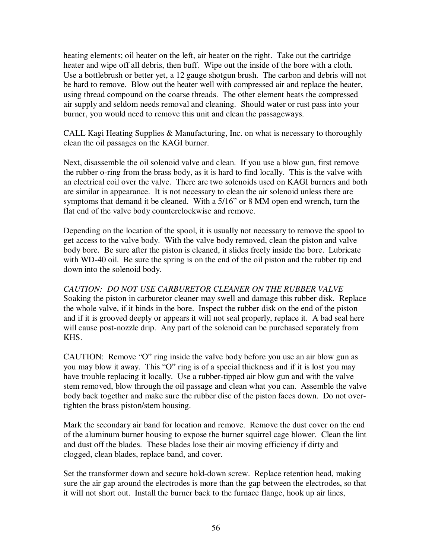heating elements; oil heater on the left, air heater on the right. Take out the cartridge heater and wipe off all debris, then buff. Wipe out the inside of the bore with a cloth. Use a bottlebrush or better yet, a 12 gauge shotgun brush. The carbon and debris will not be hard to remove. Blow out the heater well with compressed air and replace the heater, using thread compound on the coarse threads. The other element heats the compressed air supply and seldom needs removal and cleaning. Should water or rust pass into your burner, you would need to remove this unit and clean the passageways.

CALL Kagi Heating Supplies & Manufacturing, Inc. on what is necessary to thoroughly clean the oil passages on the KAGI burner.

Next, disassemble the oil solenoid valve and clean. If you use a blow gun, first remove the rubber o-ring from the brass body, as it is hard to find locally. This is the valve with an electrical coil over the valve. There are two solenoids used on KAGI burners and both are similar in appearance. It is not necessary to clean the air solenoid unless there are symptoms that demand it be cleaned. With a 5/16" or 8 MM open end wrench, turn the flat end of the valve body counterclockwise and remove.

Depending on the location of the spool, it is usually not necessary to remove the spool to get access to the valve body. With the valve body removed, clean the piston and valve body bore. Be sure after the piston is cleaned, it slides freely inside the bore. Lubricate with WD-40 oil. Be sure the spring is on the end of the oil piston and the rubber tip end down into the solenoid body.

*CAUTION: DO NOT USE CARBURETOR CLEANER ON THE RUBBER VALVE*  Soaking the piston in carburetor cleaner may swell and damage this rubber disk. Replace the whole valve, if it binds in the bore. Inspect the rubber disk on the end of the piston and if it is grooved deeply or appears it will not seal properly, replace it. A bad seal here will cause post-nozzle drip. Any part of the solenoid can be purchased separately from KHS.

CAUTION: Remove "O" ring inside the valve body before you use an air blow gun as you may blow it away. This "O" ring is of a special thickness and if it is lost you may have trouble replacing it locally. Use a rubber-tipped air blow gun and with the valve stem removed, blow through the oil passage and clean what you can. Assemble the valve body back together and make sure the rubber disc of the piston faces down. Do not overtighten the brass piston/stem housing.

Mark the secondary air band for location and remove. Remove the dust cover on the end of the aluminum burner housing to expose the burner squirrel cage blower. Clean the lint and dust off the blades. These blades lose their air moving efficiency if dirty and clogged, clean blades, replace band, and cover.

Set the transformer down and secure hold-down screw. Replace retention head, making sure the air gap around the electrodes is more than the gap between the electrodes, so that it will not short out. Install the burner back to the furnace flange, hook up air lines,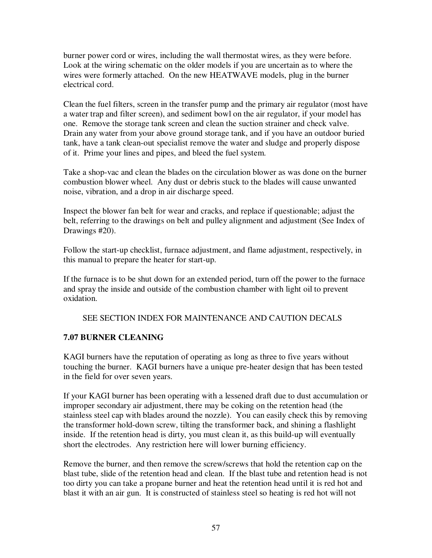burner power cord or wires, including the wall thermostat wires, as they were before. Look at the wiring schematic on the older models if you are uncertain as to where the wires were formerly attached. On the new HEATWAVE models, plug in the burner electrical cord.

Clean the fuel filters, screen in the transfer pump and the primary air regulator (most have a water trap and filter screen), and sediment bowl on the air regulator, if your model has one. Remove the storage tank screen and clean the suction strainer and check valve. Drain any water from your above ground storage tank, and if you have an outdoor buried tank, have a tank clean-out specialist remove the water and sludge and properly dispose of it. Prime your lines and pipes, and bleed the fuel system.

Take a shop-vac and clean the blades on the circulation blower as was done on the burner combustion blower wheel. Any dust or debris stuck to the blades will cause unwanted noise, vibration, and a drop in air discharge speed.

Inspect the blower fan belt for wear and cracks, and replace if questionable; adjust the belt, referring to the drawings on belt and pulley alignment and adjustment (See Index of Drawings #20).

Follow the start-up checklist, furnace adjustment, and flame adjustment, respectively, in this manual to prepare the heater for start-up.

If the furnace is to be shut down for an extended period, turn off the power to the furnace and spray the inside and outside of the combustion chamber with light oil to prevent oxidation.

#### SEE SECTION INDEX FOR MAINTENANCE AND CAUTION DECALS

#### **7.07 BURNER CLEANING**

KAGI burners have the reputation of operating as long as three to five years without touching the burner. KAGI burners have a unique pre-heater design that has been tested in the field for over seven years.

If your KAGI burner has been operating with a lessened draft due to dust accumulation or improper secondary air adjustment, there may be coking on the retention head (the stainless steel cap with blades around the nozzle). You can easily check this by removing the transformer hold-down screw, tilting the transformer back, and shining a flashlight inside. If the retention head is dirty, you must clean it, as this build-up will eventually short the electrodes. Any restriction here will lower burning efficiency.

Remove the burner, and then remove the screw/screws that hold the retention cap on the blast tube, slide of the retention head and clean. If the blast tube and retention head is not too dirty you can take a propane burner and heat the retention head until it is red hot and blast it with an air gun. It is constructed of stainless steel so heating is red hot will not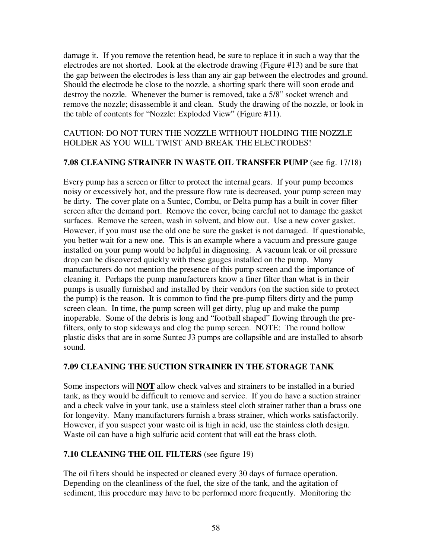damage it. If you remove the retention head, be sure to replace it in such a way that the electrodes are not shorted. Look at the electrode drawing (Figure #13) and be sure that the gap between the electrodes is less than any air gap between the electrodes and ground. Should the electrode be close to the nozzle, a shorting spark there will soon erode and destroy the nozzle. Whenever the burner is removed, take a 5/8" socket wrench and remove the nozzle; disassemble it and clean. Study the drawing of the nozzle, or look in the table of contents for "Nozzle: Exploded View" (Figure #11).

#### CAUTION: DO NOT TURN THE NOZZLE WITHOUT HOLDING THE NOZZLE HOLDER AS YOU WILL TWIST AND BREAK THE ELECTRODES!

#### **7.08 CLEANING STRAINER IN WASTE OIL TRANSFER PUMP** (see fig. 17/18)

Every pump has a screen or filter to protect the internal gears. If your pump becomes noisy or excessively hot, and the pressure flow rate is decreased, your pump screen may be dirty. The cover plate on a Suntec, Combu, or Delta pump has a built in cover filter screen after the demand port. Remove the cover, being careful not to damage the gasket surfaces. Remove the screen, wash in solvent, and blow out. Use a new cover gasket. However, if you must use the old one be sure the gasket is not damaged. If questionable, you better wait for a new one. This is an example where a vacuum and pressure gauge installed on your pump would be helpful in diagnosing. A vacuum leak or oil pressure drop can be discovered quickly with these gauges installed on the pump. Many manufacturers do not mention the presence of this pump screen and the importance of cleaning it. Perhaps the pump manufacturers know a finer filter than what is in their pumps is usually furnished and installed by their vendors (on the suction side to protect the pump) is the reason. It is common to find the pre-pump filters dirty and the pump screen clean. In time, the pump screen will get dirty, plug up and make the pump inoperable. Some of the debris is long and "football shaped" flowing through the prefilters, only to stop sideways and clog the pump screen. NOTE: The round hollow plastic disks that are in some Suntec J3 pumps are collapsible and are installed to absorb sound.

#### **7.09 CLEANING THE SUCTION STRAINER IN THE STORAGE TANK**

Some inspectors will **NOT** allow check valves and strainers to be installed in a buried tank, as they would be difficult to remove and service. If you do have a suction strainer and a check valve in your tank, use a stainless steel cloth strainer rather than a brass one for longevity. Many manufacturers furnish a brass strainer, which works satisfactorily. However, if you suspect your waste oil is high in acid, use the stainless cloth design. Waste oil can have a high sulfuric acid content that will eat the brass cloth.

#### **7.10 CLEANING THE OIL FILTERS** (see figure 19)

The oil filters should be inspected or cleaned every 30 days of furnace operation. Depending on the cleanliness of the fuel, the size of the tank, and the agitation of sediment, this procedure may have to be performed more frequently. Monitoring the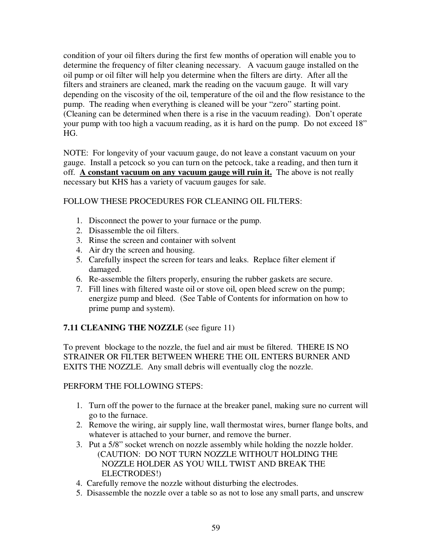condition of your oil filters during the first few months of operation will enable you to determine the frequency of filter cleaning necessary. A vacuum gauge installed on the oil pump or oil filter will help you determine when the filters are dirty. After all the filters and strainers are cleaned, mark the reading on the vacuum gauge. It will vary depending on the viscosity of the oil, temperature of the oil and the flow resistance to the pump. The reading when everything is cleaned will be your "zero" starting point. (Cleaning can be determined when there is a rise in the vacuum reading). Don't operate your pump with too high a vacuum reading, as it is hard on the pump. Do not exceed 18" HG.

NOTE: For longevity of your vacuum gauge, do not leave a constant vacuum on your gauge. Install a petcock so you can turn on the petcock, take a reading, and then turn it off. **A constant vacuum on any vacuum gauge will ruin it.** The above is not really necessary but KHS has a variety of vacuum gauges for sale.

#### FOLLOW THESE PROCEDURES FOR CLEANING OIL FILTERS:

- 1. Disconnect the power to your furnace or the pump.
- 2. Disassemble the oil filters.
- 3. Rinse the screen and container with solvent
- 4. Air dry the screen and housing.
- 5. Carefully inspect the screen for tears and leaks. Replace filter element if damaged.
- 6. Re-assemble the filters properly, ensuring the rubber gaskets are secure.
- 7. Fill lines with filtered waste oil or stove oil, open bleed screw on the pump; energize pump and bleed. (See Table of Contents for information on how to prime pump and system).

# **7.11 CLEANING THE NOZZLE** (see figure 11)

To prevent blockage to the nozzle, the fuel and air must be filtered. THERE IS NO STRAINER OR FILTER BETWEEN WHERE THE OIL ENTERS BURNER AND EXITS THE NOZZLE. Any small debris will eventually clog the nozzle.

#### PERFORM THE FOLLOWING STEPS:

- 1. Turn off the power to the furnace at the breaker panel, making sure no current will go to the furnace.
- 2. Remove the wiring, air supply line, wall thermostat wires, burner flange bolts, and whatever is attached to your burner, and remove the burner.
- 3. Put a 5/8" socket wrench on nozzle assembly while holding the nozzle holder. (CAUTION: DO NOT TURN NOZZLE WITHOUT HOLDING THE NOZZLE HOLDER AS YOU WILL TWIST AND BREAK THE ELECTRODES!)
- 4. Carefully remove the nozzle without disturbing the electrodes.
- 5. Disassemble the nozzle over a table so as not to lose any small parts, and unscrew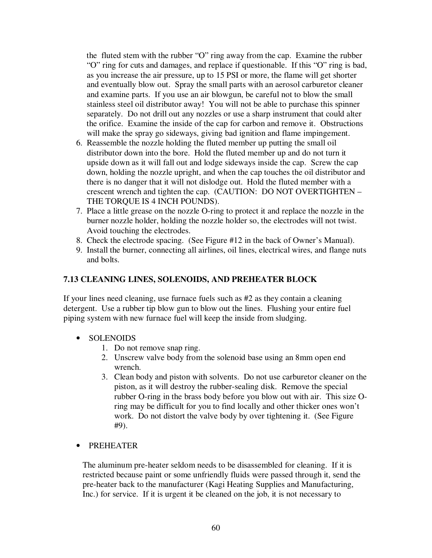the fluted stem with the rubber "O" ring away from the cap. Examine the rubber "O" ring for cuts and damages, and replace if questionable. If this "O" ring is bad, as you increase the air pressure, up to 15 PSI or more, the flame will get shorter and eventually blow out. Spray the small parts with an aerosol carburetor cleaner and examine parts. If you use an air blowgun, be careful not to blow the small stainless steel oil distributor away! You will not be able to purchase this spinner separately. Do not drill out any nozzles or use a sharp instrument that could alter the orifice. Examine the inside of the cap for carbon and remove it. Obstructions will make the spray go sideways, giving bad ignition and flame impingement.

- 6. Reassemble the nozzle holding the fluted member up putting the small oil distributor down into the bore. Hold the fluted member up and do not turn it upside down as it will fall out and lodge sideways inside the cap. Screw the cap down, holding the nozzle upright, and when the cap touches the oil distributor and there is no danger that it will not dislodge out. Hold the fluted member with a crescent wrench and tighten the cap. (CAUTION: DO NOT OVERTIGHTEN – THE TORQUE IS 4 INCH POUNDS).
- 7. Place a little grease on the nozzle O-ring to protect it and replace the nozzle in the burner nozzle holder, holding the nozzle holder so, the electrodes will not twist. Avoid touching the electrodes.
- 8. Check the electrode spacing. (See Figure #12 in the back of Owner's Manual).
- 9. Install the burner, connecting all airlines, oil lines, electrical wires, and flange nuts and bolts.

#### **7.13 CLEANING LINES, SOLENOIDS, AND PREHEATER BLOCK**

If your lines need cleaning, use furnace fuels such as #2 as they contain a cleaning detergent. Use a rubber tip blow gun to blow out the lines. Flushing your entire fuel piping system with new furnace fuel will keep the inside from sludging.

- SOLENOIDS
	- 1. Do not remove snap ring.
	- 2. Unscrew valve body from the solenoid base using an 8mm open end wrench.
	- 3. Clean body and piston with solvents. Do not use carburetor cleaner on the piston, as it will destroy the rubber-sealing disk. Remove the special rubber O-ring in the brass body before you blow out with air. This size Oring may be difficult for you to find locally and other thicker ones won't work. Do not distort the valve body by over tightening it. (See Figure #9).
- PREHEATER

The aluminum pre-heater seldom needs to be disassembled for cleaning. If it is restricted because paint or some unfriendly fluids were passed through it, send the pre-heater back to the manufacturer (Kagi Heating Supplies and Manufacturing, Inc.) for service. If it is urgent it be cleaned on the job, it is not necessary to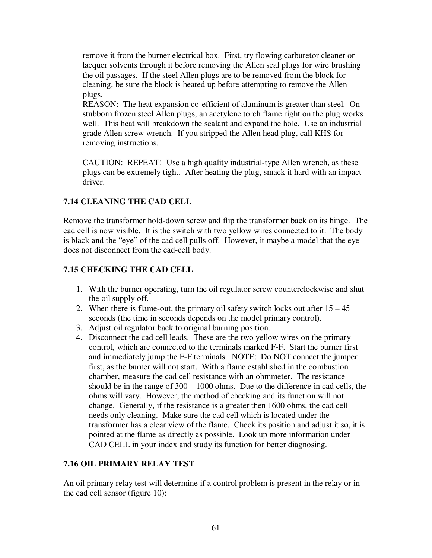remove it from the burner electrical box. First, try flowing carburetor cleaner or lacquer solvents through it before removing the Allen seal plugs for wire brushing the oil passages. If the steel Allen plugs are to be removed from the block for cleaning, be sure the block is heated up before attempting to remove the Allen plugs.

REASON: The heat expansion co-efficient of aluminum is greater than steel. On stubborn frozen steel Allen plugs, an acetylene torch flame right on the plug works well. This heat will breakdown the sealant and expand the hole. Use an industrial grade Allen screw wrench. If you stripped the Allen head plug, call KHS for removing instructions.

CAUTION: REPEAT! Use a high quality industrial-type Allen wrench, as these plugs can be extremely tight. After heating the plug, smack it hard with an impact driver.

### **7.14 CLEANING THE CAD CELL**

Remove the transformer hold-down screw and flip the transformer back on its hinge. The cad cell is now visible. It is the switch with two yellow wires connected to it. The body is black and the "eye" of the cad cell pulls off. However, it maybe a model that the eye does not disconnect from the cad-cell body.

### **7.15 CHECKING THE CAD CELL**

- 1. With the burner operating, turn the oil regulator screw counterclockwise and shut the oil supply off.
- 2. When there is flame-out, the primary oil safety switch locks out after  $15 45$ seconds (the time in seconds depends on the model primary control).
- 3. Adjust oil regulator back to original burning position.
- 4. Disconnect the cad cell leads. These are the two yellow wires on the primary control, which are connected to the terminals marked F-F. Start the burner first and immediately jump the F-F terminals. NOTE: Do NOT connect the jumper first, as the burner will not start. With a flame established in the combustion chamber, measure the cad cell resistance with an ohmmeter. The resistance should be in the range of 300 – 1000 ohms. Due to the difference in cad cells, the ohms will vary. However, the method of checking and its function will not change. Generally, if the resistance is a greater then 1600 ohms, the cad cell needs only cleaning. Make sure the cad cell which is located under the transformer has a clear view of the flame. Check its position and adjust it so, it is pointed at the flame as directly as possible. Look up more information under CAD CELL in your index and study its function for better diagnosing.

#### **7.16 OIL PRIMARY RELAY TEST**

An oil primary relay test will determine if a control problem is present in the relay or in the cad cell sensor (figure 10):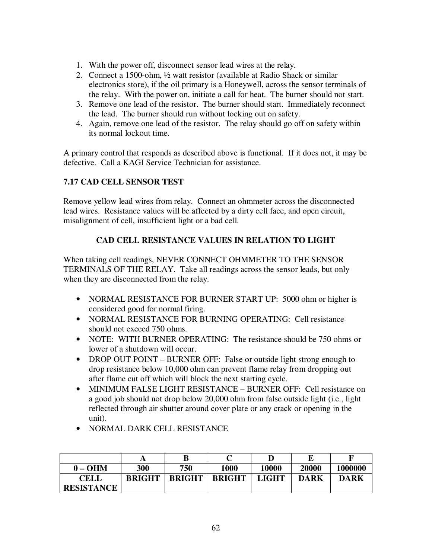- 1. With the power off, disconnect sensor lead wires at the relay.
- 2. Connect a 1500-ohm, ½ watt resistor (available at Radio Shack or similar electronics store), if the oil primary is a Honeywell, across the sensor terminals of the relay. With the power on, initiate a call for heat. The burner should not start.
- 3. Remove one lead of the resistor. The burner should start. Immediately reconnect the lead. The burner should run without locking out on safety.
- 4. Again, remove one lead of the resistor. The relay should go off on safety within its normal lockout time.

A primary control that responds as described above is functional. If it does not, it may be defective. Call a KAGI Service Technician for assistance.

# **7.17 CAD CELL SENSOR TEST**

Remove yellow lead wires from relay. Connect an ohmmeter across the disconnected lead wires. Resistance values will be affected by a dirty cell face, and open circuit, misalignment of cell, insufficient light or a bad cell.

# **CAD CELL RESISTANCE VALUES IN RELATION TO LIGHT**

When taking cell readings, NEVER CONNECT OHMMETER TO THE SENSOR TERMINALS OF THE RELAY. Take all readings across the sensor leads, but only when they are disconnected from the relay.

- NORMAL RESISTANCE FOR BURNER START UP: 5000 ohm or higher is considered good for normal firing.
- NORMAL RESISTANCE FOR BURNING OPERATING: Cell resistance should not exceed 750 ohms.
- NOTE: WITH BURNER OPERATING: The resistance should be 750 ohms or lower of a shutdown will occur.
- DROP OUT POINT BURNER OFF: False or outside light strong enough to drop resistance below 10,000 ohm can prevent flame relay from dropping out after flame cut off which will block the next starting cycle.
- MINIMUM FALSE LIGHT RESISTANCE BURNER OFF: Cell resistance on a good job should not drop below 20,000 ohm from false outside light (i.e., light reflected through air shutter around cover plate or any crack or opening in the unit).
- NORMAL DARK CELL RESISTANCE

|                   |               | B             |               |              |             |         |
|-------------------|---------------|---------------|---------------|--------------|-------------|---------|
| $0 - OHM$         | 300           | 750           | <b>1000</b>   | 10000        | 20000       | 1000000 |
| <b>CELL</b>       | <b>BRIGHT</b> | <b>BRIGHT</b> | <b>BRIGHT</b> | <b>LIGHT</b> | <b>DARK</b> | DARK    |
| <b>RESISTANCE</b> |               |               |               |              |             |         |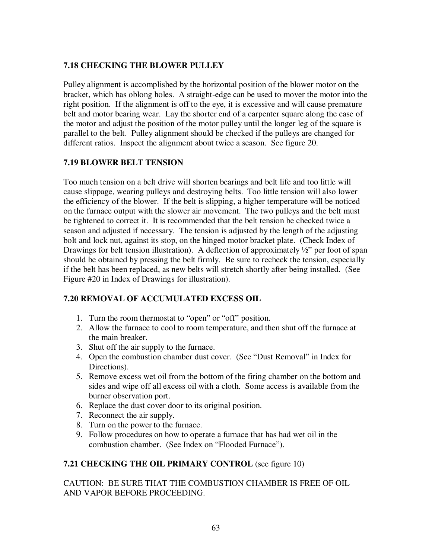### **7.18 CHECKING THE BLOWER PULLEY**

Pulley alignment is accomplished by the horizontal position of the blower motor on the bracket, which has oblong holes. A straight-edge can be used to mover the motor into the right position. If the alignment is off to the eye, it is excessive and will cause premature belt and motor bearing wear. Lay the shorter end of a carpenter square along the case of the motor and adjust the position of the motor pulley until the longer leg of the square is parallel to the belt. Pulley alignment should be checked if the pulleys are changed for different ratios. Inspect the alignment about twice a season. See figure 20.

### **7.19 BLOWER BELT TENSION**

Too much tension on a belt drive will shorten bearings and belt life and too little will cause slippage, wearing pulleys and destroying belts. Too little tension will also lower the efficiency of the blower. If the belt is slipping, a higher temperature will be noticed on the furnace output with the slower air movement. The two pulleys and the belt must be tightened to correct it. It is recommended that the belt tension be checked twice a season and adjusted if necessary. The tension is adjusted by the length of the adjusting bolt and lock nut, against its stop, on the hinged motor bracket plate. (Check Index of Drawings for belt tension illustration). A deflection of approximately  $\frac{1}{2}$  per foot of span should be obtained by pressing the belt firmly. Be sure to recheck the tension, especially if the belt has been replaced, as new belts will stretch shortly after being installed. (See Figure #20 in Index of Drawings for illustration).

# **7.20 REMOVAL OF ACCUMULATED EXCESS OIL**

- 1. Turn the room thermostat to "open" or "off" position.
- 2. Allow the furnace to cool to room temperature, and then shut off the furnace at the main breaker.
- 3. Shut off the air supply to the furnace.
- 4. Open the combustion chamber dust cover. (See "Dust Removal" in Index for Directions).
- 5. Remove excess wet oil from the bottom of the firing chamber on the bottom and sides and wipe off all excess oil with a cloth. Some access is available from the burner observation port.
- 6. Replace the dust cover door to its original position.
- 7. Reconnect the air supply.
- 8. Turn on the power to the furnace.
- 9. Follow procedures on how to operate a furnace that has had wet oil in the combustion chamber. (See Index on "Flooded Furnace").

#### **7.21 CHECKING THE OIL PRIMARY CONTROL** (see figure 10)

CAUTION: BE SURE THAT THE COMBUSTION CHAMBER IS FREE OF OIL AND VAPOR BEFORE PROCEEDING.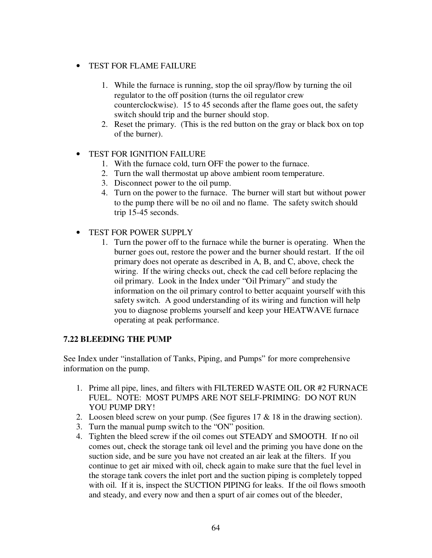### • TEST FOR FLAME FAILURE

- 1. While the furnace is running, stop the oil spray/flow by turning the oil regulator to the off position (turns the oil regulator crew counterclockwise). 15 to 45 seconds after the flame goes out, the safety switch should trip and the burner should stop.
- 2. Reset the primary. (This is the red button on the gray or black box on top of the burner).

#### • TEST FOR IGNITION FAILURE

- 1. With the furnace cold, turn OFF the power to the furnace.
- 2. Turn the wall thermostat up above ambient room temperature.
- 3. Disconnect power to the oil pump.
- 4. Turn on the power to the furnace. The burner will start but without power to the pump there will be no oil and no flame. The safety switch should trip 15-45 seconds.
- TEST FOR POWER SUPPLY
	- 1. Turn the power off to the furnace while the burner is operating. When the burner goes out, restore the power and the burner should restart. If the oil primary does not operate as described in A, B, and C, above, check the wiring. If the wiring checks out, check the cad cell before replacing the oil primary. Look in the Index under "Oil Primary" and study the information on the oil primary control to better acquaint yourself with this safety switch. A good understanding of its wiring and function will help you to diagnose problems yourself and keep your HEATWAVE furnace operating at peak performance.

#### **7.22 BLEEDING THE PUMP**

See Index under "installation of Tanks, Piping, and Pumps" for more comprehensive information on the pump.

- 1. Prime all pipe, lines, and filters with FILTERED WASTE OIL OR #2 FURNACE FUEL. NOTE: MOST PUMPS ARE NOT SELF-PRIMING: DO NOT RUN YOU PUMP DRY!
- 2. Loosen bleed screw on your pump. (See figures 17 & 18 in the drawing section).
- 3. Turn the manual pump switch to the "ON" position.
- 4. Tighten the bleed screw if the oil comes out STEADY and SMOOTH. If no oil comes out, check the storage tank oil level and the priming you have done on the suction side, and be sure you have not created an air leak at the filters. If you continue to get air mixed with oil, check again to make sure that the fuel level in the storage tank covers the inlet port and the suction piping is completely topped with oil. If it is, inspect the SUCTION PIPING for leaks. If the oil flows smooth and steady, and every now and then a spurt of air comes out of the bleeder,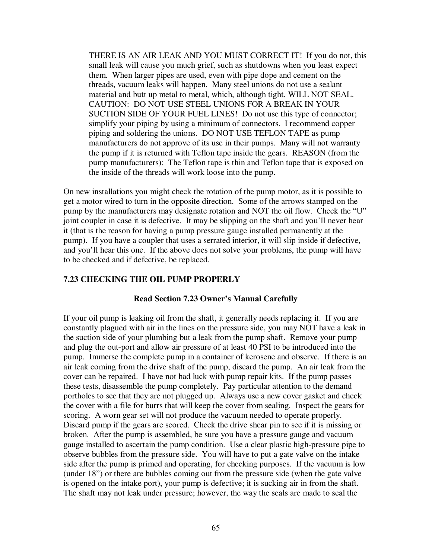THERE IS AN AIR LEAK AND YOU MUST CORRECT IT! If you do not, this small leak will cause you much grief, such as shutdowns when you least expect them. When larger pipes are used, even with pipe dope and cement on the threads, vacuum leaks will happen. Many steel unions do not use a sealant material and butt up metal to metal, which, although tight, WILL NOT SEAL. CAUTION: DO NOT USE STEEL UNIONS FOR A BREAK IN YOUR SUCTION SIDE OF YOUR FUEL LINES! Do not use this type of connector; simplify your piping by using a minimum of connectors. I recommend copper piping and soldering the unions. DO NOT USE TEFLON TAPE as pump manufacturers do not approve of its use in their pumps. Many will not warranty the pump if it is returned with Teflon tape inside the gears. REASON (from the pump manufacturers): The Teflon tape is thin and Teflon tape that is exposed on the inside of the threads will work loose into the pump.

On new installations you might check the rotation of the pump motor, as it is possible to get a motor wired to turn in the opposite direction. Some of the arrows stamped on the pump by the manufacturers may designate rotation and NOT the oil flow. Check the "U" joint coupler in case it is defective. It may be slipping on the shaft and you'll never hear it (that is the reason for having a pump pressure gauge installed permanently at the pump). If you have a coupler that uses a serrated interior, it will slip inside if defective, and you'll hear this one. If the above does not solve your problems, the pump will have to be checked and if defective, be replaced.

#### **7.23 CHECKING THE OIL PUMP PROPERLY**

#### **Read Section 7.23 Owner's Manual Carefully**

If your oil pump is leaking oil from the shaft, it generally needs replacing it. If you are constantly plagued with air in the lines on the pressure side, you may NOT have a leak in the suction side of your plumbing but a leak from the pump shaft. Remove your pump and plug the out-port and allow air pressure of at least 40 PSI to be introduced into the pump. Immerse the complete pump in a container of kerosene and observe. If there is an air leak coming from the drive shaft of the pump, discard the pump. An air leak from the cover can be repaired. I have not had luck with pump repair kits. If the pump passes these tests, disassemble the pump completely. Pay particular attention to the demand portholes to see that they are not plugged up. Always use a new cover gasket and check the cover with a file for burrs that will keep the cover from sealing. Inspect the gears for scoring. A worn gear set will not produce the vacuum needed to operate properly. Discard pump if the gears are scored. Check the drive shear pin to see if it is missing or broken. After the pump is assembled, be sure you have a pressure gauge and vacuum gauge installed to ascertain the pump condition. Use a clear plastic high-pressure pipe to observe bubbles from the pressure side. You will have to put a gate valve on the intake side after the pump is primed and operating, for checking purposes. If the vacuum is low (under 18") or there are bubbles coming out from the pressure side (when the gate valve is opened on the intake port), your pump is defective; it is sucking air in from the shaft. The shaft may not leak under pressure; however, the way the seals are made to seal the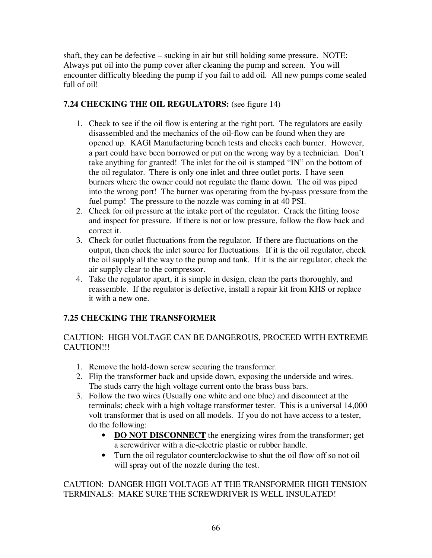shaft, they can be defective – sucking in air but still holding some pressure. NOTE: Always put oil into the pump cover after cleaning the pump and screen. You will encounter difficulty bleeding the pump if you fail to add oil. All new pumps come sealed full of oil!

### **7.24 CHECKING THE OIL REGULATORS:** (see figure 14)

- 1. Check to see if the oil flow is entering at the right port. The regulators are easily disassembled and the mechanics of the oil-flow can be found when they are opened up. KAGI Manufacturing bench tests and checks each burner. However, a part could have been borrowed or put on the wrong way by a technician. Don't take anything for granted! The inlet for the oil is stamped "IN" on the bottom of the oil regulator. There is only one inlet and three outlet ports. I have seen burners where the owner could not regulate the flame down. The oil was piped into the wrong port! The burner was operating from the by-pass pressure from the fuel pump! The pressure to the nozzle was coming in at 40 PSI.
- 2. Check for oil pressure at the intake port of the regulator. Crack the fitting loose and inspect for pressure. If there is not or low pressure, follow the flow back and correct it.
- 3. Check for outlet fluctuations from the regulator. If there are fluctuations on the output, then check the inlet source for fluctuations. If it is the oil regulator, check the oil supply all the way to the pump and tank. If it is the air regulator, check the air supply clear to the compressor.
- 4. Take the regulator apart, it is simple in design, clean the parts thoroughly, and reassemble. If the regulator is defective, install a repair kit from KHS or replace it with a new one.

# **7.25 CHECKING THE TRANSFORMER**

CAUTION: HIGH VOLTAGE CAN BE DANGEROUS, PROCEED WITH EXTREME CAUTION!!!

- 1. Remove the hold-down screw securing the transformer.
- 2. Flip the transformer back and upside down, exposing the underside and wires. The studs carry the high voltage current onto the brass buss bars.
- 3. Follow the two wires (Usually one white and one blue) and disconnect at the terminals; check with a high voltage transformer tester. This is a universal 14,000 volt transformer that is used on all models. If you do not have access to a tester, do the following:
	- **DO NOT DISCONNECT** the energizing wires from the transformer; get a screwdriver with a die-electric plastic or rubber handle.
	- Turn the oil regulator counterclockwise to shut the oil flow off so not oil will spray out of the nozzle during the test.

CAUTION: DANGER HIGH VOLTAGE AT THE TRANSFORMER HIGH TENSION TERMINALS: MAKE SURE THE SCREWDRIVER IS WELL INSULATED!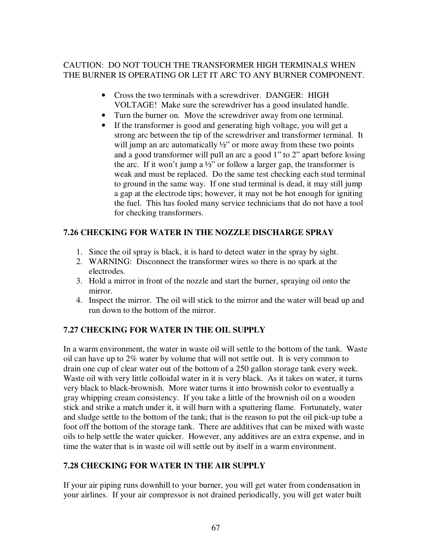### CAUTION: DO NOT TOUCH THE TRANSFORMER HIGH TERMINALS WHEN THE BURNER IS OPERATING OR LET IT ARC TO ANY BURNER COMPONENT.

- Cross the two terminals with a screwdriver. DANGER: HIGH VOLTAGE! Make sure the screwdriver has a good insulated handle.
- Turn the burner on. Move the screwdriver away from one terminal.
- If the transformer is good and generating high voltage, you will get a strong arc between the tip of the screwdriver and transformer terminal. It will jump an arc automatically  $\frac{1}{2}$ " or more away from these two points and a good transformer will pull an arc a good 1" to 2" apart before losing the arc. If it won't jump a  $\frac{1}{2}$ " or follow a larger gap, the transformer is weak and must be replaced. Do the same test checking each stud terminal to ground in the same way. If one stud terminal is dead, it may still jump a gap at the electrode tips; however, it may not be hot enough for igniting the fuel. This has fooled many service technicians that do not have a tool for checking transformers.

# **7.26 CHECKING FOR WATER IN THE NOZZLE DISCHARGE SPRAY**

- 1. Since the oil spray is black, it is hard to detect water in the spray by sight.
- 2. WARNING: Disconnect the transformer wires so there is no spark at the electrodes.
- 3. Hold a mirror in front of the nozzle and start the burner, spraying oil onto the mirror.
- 4. Inspect the mirror. The oil will stick to the mirror and the water will bead up and run down to the bottom of the mirror.

#### **7.27 CHECKING FOR WATER IN THE OIL SUPPLY**

In a warm environment, the water in waste oil will settle to the bottom of the tank. Waste oil can have up to 2% water by volume that will not settle out. It is very common to drain one cup of clear water out of the bottom of a 250 gallon storage tank every week. Waste oil with very little colloidal water in it is very black. As it takes on water, it turns very black to black-brownish. More water turns it into brownish color to eventually a gray whipping cream consistency. If you take a little of the brownish oil on a wooden stick and strike a match under it, it will burn with a sputtering flame. Fortunately, water and sludge settle to the bottom of the tank; that is the reason to put the oil pick-up tube a foot off the bottom of the storage tank. There are additives that can be mixed with waste oils to help settle the water quicker. However, any additives are an extra expense, and in time the water that is in waste oil will settle out by itself in a warm environment.

#### **7.28 CHECKING FOR WATER IN THE AIR SUPPLY**

If your air piping runs downhill to your burner, you will get water from condensation in your airlines. If your air compressor is not drained periodically, you will get water built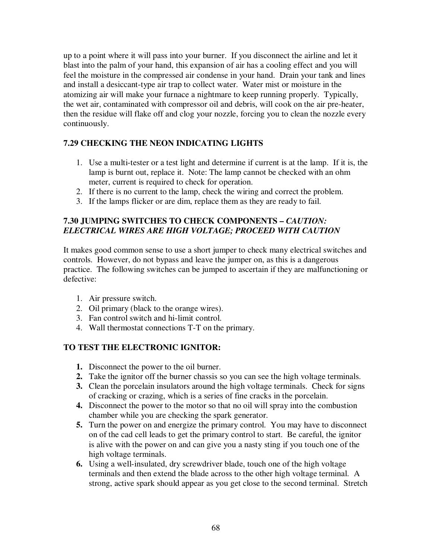up to a point where it will pass into your burner. If you disconnect the airline and let it blast into the palm of your hand, this expansion of air has a cooling effect and you will feel the moisture in the compressed air condense in your hand. Drain your tank and lines and install a desiccant-type air trap to collect water. Water mist or moisture in the atomizing air will make your furnace a nightmare to keep running properly. Typically, the wet air, contaminated with compressor oil and debris, will cook on the air pre-heater, then the residue will flake off and clog your nozzle, forcing you to clean the nozzle every continuously.

### **7.29 CHECKING THE NEON INDICATING LIGHTS**

- 1. Use a multi-tester or a test light and determine if current is at the lamp. If it is, the lamp is burnt out, replace it. Note: The lamp cannot be checked with an ohm meter, current is required to check for operation.
- 2. If there is no current to the lamp, check the wiring and correct the problem.
- 3. If the lamps flicker or are dim, replace them as they are ready to fail.

### **7.30 JUMPING SWITCHES TO CHECK COMPONENTS –** *CAUTION: ELECTRICAL WIRES ARE HIGH VOLTAGE; PROCEED WITH CAUTION*

It makes good common sense to use a short jumper to check many electrical switches and controls. However, do not bypass and leave the jumper on, as this is a dangerous practice. The following switches can be jumped to ascertain if they are malfunctioning or defective:

- 1. Air pressure switch.
- 2. Oil primary (black to the orange wires).
- 3. Fan control switch and hi-limit control.
- 4. Wall thermostat connections T-T on the primary.

#### **TO TEST THE ELECTRONIC IGNITOR:**

- **1.** Disconnect the power to the oil burner.
- **2.** Take the ignitor off the burner chassis so you can see the high voltage terminals.
- **3.** Clean the porcelain insulators around the high voltage terminals. Check for signs of cracking or crazing, which is a series of fine cracks in the porcelain.
- **4.** Disconnect the power to the motor so that no oil will spray into the combustion chamber while you are checking the spark generator.
- **5.** Turn the power on and energize the primary control. You may have to disconnect on of the cad cell leads to get the primary control to start. Be careful, the ignitor is alive with the power on and can give you a nasty sting if you touch one of the high voltage terminals.
- **6.** Using a well-insulated, dry screwdriver blade, touch one of the high voltage terminals and then extend the blade across to the other high voltage terminal. A strong, active spark should appear as you get close to the second terminal. Stretch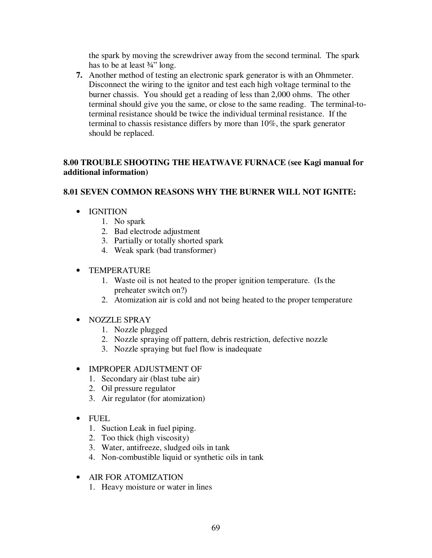the spark by moving the screwdriver away from the second terminal. The spark has to be at least  $\frac{3}{4}$ " long.

**7.** Another method of testing an electronic spark generator is with an Ohmmeter. Disconnect the wiring to the ignitor and test each high voltage terminal to the burner chassis. You should get a reading of less than 2,000 ohms. The other terminal should give you the same, or close to the same reading. The terminal-toterminal resistance should be twice the individual terminal resistance. If the terminal to chassis resistance differs by more than 10%, the spark generator should be replaced.

### **8.00 TROUBLE SHOOTING THE HEATWAVE FURNACE (see Kagi manual for additional information)**

### **8.01 SEVEN COMMON REASONS WHY THE BURNER WILL NOT IGNITE:**

- IGNITION
	- 1. No spark
	- 2. Bad electrode adjustment
	- 3. Partially or totally shorted spark
	- 4. Weak spark (bad transformer)
- TEMPERATURE
	- 1. Waste oil is not heated to the proper ignition temperature. (Is the preheater switch on?)
	- 2. Atomization air is cold and not being heated to the proper temperature
- NOZZLE SPRAY
	- 1. Nozzle plugged
	- 2. Nozzle spraying off pattern, debris restriction, defective nozzle
	- 3. Nozzle spraying but fuel flow is inadequate

#### • IMPROPER ADJUSTMENT OF

- 1. Secondary air (blast tube air)
- 2. Oil pressure regulator
- 3. Air regulator (for atomization)
- FUEL
	- 1. Suction Leak in fuel piping.
	- 2. Too thick (high viscosity)
	- 3. Water, antifreeze, sludged oils in tank
	- 4. Non-combustible liquid or synthetic oils in tank
- AIR FOR ATOMIZATION
	- 1. Heavy moisture or water in lines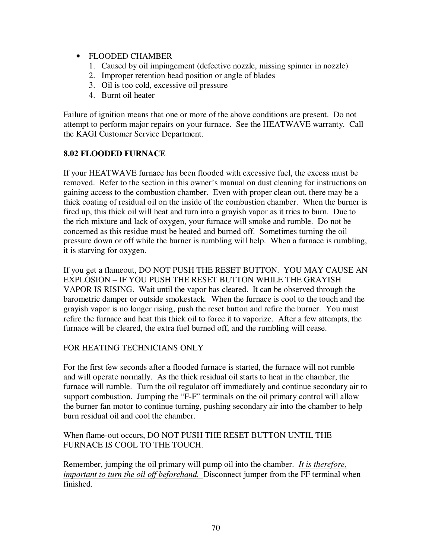- FLOODED CHAMBER
	- 1. Caused by oil impingement (defective nozzle, missing spinner in nozzle)
	- 2. Improper retention head position or angle of blades
	- 3. Oil is too cold, excessive oil pressure
	- 4. Burnt oil heater

Failure of ignition means that one or more of the above conditions are present. Do not attempt to perform major repairs on your furnace. See the HEATWAVE warranty. Call the KAGI Customer Service Department.

#### **8.02 FLOODED FURNACE**

If your HEATWAVE furnace has been flooded with excessive fuel, the excess must be removed. Refer to the section in this owner's manual on dust cleaning for instructions on gaining access to the combustion chamber. Even with proper clean out, there may be a thick coating of residual oil on the inside of the combustion chamber. When the burner is fired up, this thick oil will heat and turn into a grayish vapor as it tries to burn. Due to the rich mixture and lack of oxygen, your furnace will smoke and rumble. Do not be concerned as this residue must be heated and burned off. Sometimes turning the oil pressure down or off while the burner is rumbling will help. When a furnace is rumbling, it is starving for oxygen.

If you get a flameout, DO NOT PUSH THE RESET BUTTON. YOU MAY CAUSE AN EXPLOSION – IF YOU PUSH THE RESET BUTTON WHILE THE GRAYISH VAPOR IS RISING. Wait until the vapor has cleared. It can be observed through the barometric damper or outside smokestack. When the furnace is cool to the touch and the grayish vapor is no longer rising, push the reset button and refire the burner. You must refire the furnace and heat this thick oil to force it to vaporize. After a few attempts, the furnace will be cleared, the extra fuel burned off, and the rumbling will cease.

#### FOR HEATING TECHNICIANS ONLY

For the first few seconds after a flooded furnace is started, the furnace will not rumble and will operate normally. As the thick residual oil starts to heat in the chamber, the furnace will rumble. Turn the oil regulator off immediately and continue secondary air to support combustion. Jumping the "F-F" terminals on the oil primary control will allow the burner fan motor to continue turning, pushing secondary air into the chamber to help burn residual oil and cool the chamber.

#### When flame-out occurs, DO NOT PUSH THE RESET BUTTON UNTIL THE FURNACE IS COOL TO THE TOUCH.

Remember, jumping the oil primary will pump oil into the chamber. *It is therefore, important to turn the oil off beforehand.* Disconnect jumper from the FF terminal when finished.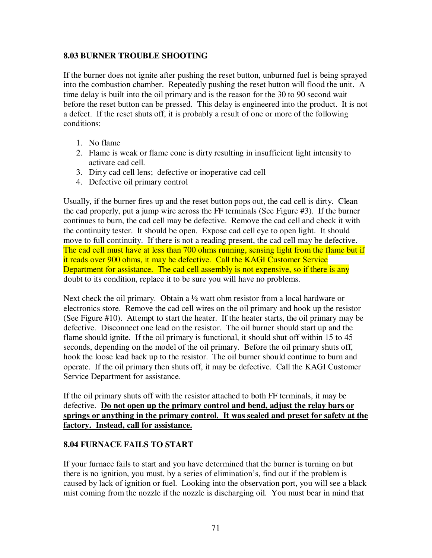#### **8.03 BURNER TROUBLE SHOOTING**

If the burner does not ignite after pushing the reset button, unburned fuel is being sprayed into the combustion chamber. Repeatedly pushing the reset button will flood the unit. A time delay is built into the oil primary and is the reason for the 30 to 90 second wait before the reset button can be pressed. This delay is engineered into the product. It is not a defect. If the reset shuts off, it is probably a result of one or more of the following conditions:

- 1. No flame
- 2. Flame is weak or flame cone is dirty resulting in insufficient light intensity to activate cad cell.
- 3. Dirty cad cell lens; defective or inoperative cad cell
- 4. Defective oil primary control

Usually, if the burner fires up and the reset button pops out, the cad cell is dirty. Clean the cad properly, put a jump wire across the FF terminals (See Figure #3). If the burner continues to burn, the cad cell may be defective. Remove the cad cell and check it with the continuity tester. It should be open. Expose cad cell eye to open light. It should move to full continuity. If there is not a reading present, the cad cell may be defective. The cad cell must have at less than 700 ohms running, sensing light from the flame but if it reads over 900 ohms, it may be defective. Call the KAGI Customer Service Department for assistance. The cad cell assembly is not expensive, so if there is any doubt to its condition, replace it to be sure you will have no problems.

Next check the oil primary. Obtain a <sup>1</sup>/<sub>2</sub> watt ohm resistor from a local hardware or electronics store. Remove the cad cell wires on the oil primary and hook up the resistor (See Figure #10). Attempt to start the heater. If the heater starts, the oil primary may be defective. Disconnect one lead on the resistor. The oil burner should start up and the flame should ignite. If the oil primary is functional, it should shut off within 15 to 45 seconds, depending on the model of the oil primary. Before the oil primary shuts off, hook the loose lead back up to the resistor. The oil burner should continue to burn and operate. If the oil primary then shuts off, it may be defective. Call the KAGI Customer Service Department for assistance.

If the oil primary shuts off with the resistor attached to both FF terminals, it may be defective. **Do not open up the primary control and bend, adjust the relay bars or springs or anything in the primary control. It was sealed and preset for safety at the factory. Instead, call for assistance.**

#### **8.04 FURNACE FAILS TO START**

If your furnace fails to start and you have determined that the burner is turning on but there is no ignition, you must, by a series of elimination's, find out if the problem is caused by lack of ignition or fuel. Looking into the observation port, you will see a black mist coming from the nozzle if the nozzle is discharging oil. You must bear in mind that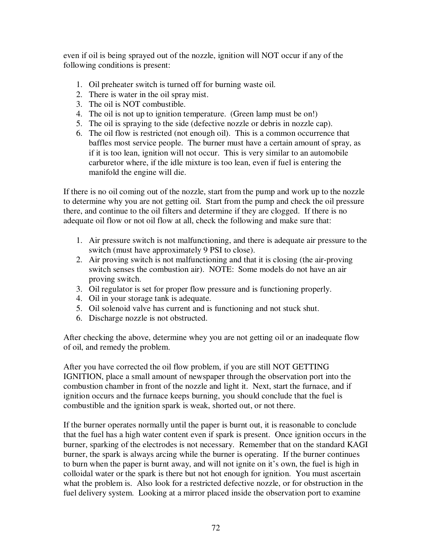even if oil is being sprayed out of the nozzle, ignition will NOT occur if any of the following conditions is present:

- 1. Oil preheater switch is turned off for burning waste oil.
- 2. There is water in the oil spray mist.
- 3. The oil is NOT combustible.
- 4. The oil is not up to ignition temperature. (Green lamp must be on!)
- 5. The oil is spraying to the side (defective nozzle or debris in nozzle cap).
- 6. The oil flow is restricted (not enough oil). This is a common occurrence that baffles most service people. The burner must have a certain amount of spray, as if it is too lean, ignition will not occur. This is very similar to an automobile carburetor where, if the idle mixture is too lean, even if fuel is entering the manifold the engine will die.

If there is no oil coming out of the nozzle, start from the pump and work up to the nozzle to determine why you are not getting oil. Start from the pump and check the oil pressure there, and continue to the oil filters and determine if they are clogged. If there is no adequate oil flow or not oil flow at all, check the following and make sure that:

- 1. Air pressure switch is not malfunctioning, and there is adequate air pressure to the switch (must have approximately 9 PSI to close).
- 2. Air proving switch is not malfunctioning and that it is closing (the air-proving switch senses the combustion air). NOTE: Some models do not have an air proving switch.
- 3. Oil regulator is set for proper flow pressure and is functioning properly.
- 4. Oil in your storage tank is adequate.
- 5. Oil solenoid valve has current and is functioning and not stuck shut.
- 6. Discharge nozzle is not obstructed.

After checking the above, determine whey you are not getting oil or an inadequate flow of oil, and remedy the problem.

After you have corrected the oil flow problem, if you are still NOT GETTING IGNITION, place a small amount of newspaper through the observation port into the combustion chamber in front of the nozzle and light it. Next, start the furnace, and if ignition occurs and the furnace keeps burning, you should conclude that the fuel is combustible and the ignition spark is weak, shorted out, or not there.

If the burner operates normally until the paper is burnt out, it is reasonable to conclude that the fuel has a high water content even if spark is present. Once ignition occurs in the burner, sparking of the electrodes is not necessary. Remember that on the standard KAGI burner, the spark is always arcing while the burner is operating. If the burner continues to burn when the paper is burnt away, and will not ignite on it's own, the fuel is high in colloidal water or the spark is there but not hot enough for ignition. You must ascertain what the problem is. Also look for a restricted defective nozzle, or for obstruction in the fuel delivery system. Looking at a mirror placed inside the observation port to examine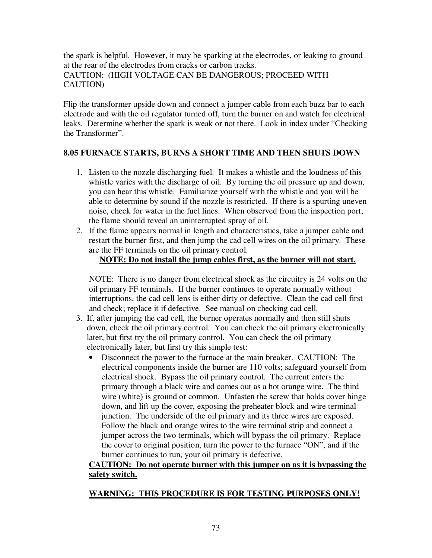the spark is helpful. However, it may be sparking at the electrodes, or leaking to ground at the rear of the electrodes from cracks or carbon tracks. CAUTION: (HIGH VOLTAGE CAN BE DANGEROUS; PROCEED WITH CAUTION)

Flip the transformer upside down and connect a jumper cable from each buzz bar to each electrode and with the oil regulator turned off, turn the burner on and watch for electrical leaks. Determine whether the spark is weak or not there. Look in index under "Checking the Transformer".

# **8.05 FURNACE STARTS, BURNS A SHORT TIME AND THEN SHUTS DOWN**

- 1. Listen to the nozzle discharging fuel. It makes a whistle and the loudness of this whistle varies with the discharge of oil. By turning the oil pressure up and down, you can hear this whistle. Familiarize yourself with the whistle and you will be able to determine by sound if the nozzle is restricted. If there is a spurting uneven noise, check for water in the fuel lines. When observed from the inspection port, the flame should reveal an uninterrupted spray of oil.
- 2. If the flame appears normal in length and characteristics, take a jumper cable and restart the burner first, and then jump the cad cell wires on the oil primary. These are the FF terminals on the oil primary control.

# **NOTE: Do not install the jump cables first, as the burner will not start.**

 NOTE: There is no danger from electrical shock as the circuitry is 24 volts on the oil primary FF terminals. If the burner continues to operate normally without interruptions, the cad cell lens is either dirty or defective. Clean the cad cell first and check; replace it if defective. See manual on checking cad cell.

- 3. If, after jumping the cad cell, the burner operates normally and then still shuts down, check the oil primary control. You can check the oil primary electronically later, but first try the oil primary control. You can check the oil primary electronically later, but first try this simple test:
	- Disconnect the power to the furnace at the main breaker. CAUTION: The electrical components inside the burner are 110 volts; safeguard yourself from electrical shock. Bypass the oil primary control. The current enters the primary through a black wire and comes out as a hot orange wire. The third wire (white) is ground or common. Unfasten the screw that holds cover hinge down, and lift up the cover, exposing the preheater block and wire terminal junction. The underside of the oil primary and its three wires are exposed. Follow the black and orange wires to the wire terminal strip and connect a jumper across the two terminals, which will bypass the oil primary. Replace the cover to original position, turn the power to the furnace "ON", and if the burner continues to run, your oil primary is defective.

# **CAUTION: Do not operate burner with this jumper on as it is bypassing the safety switch.**

# **WARNING: THIS PROCEDURE IS FOR TESTING PURPOSES ONLY!**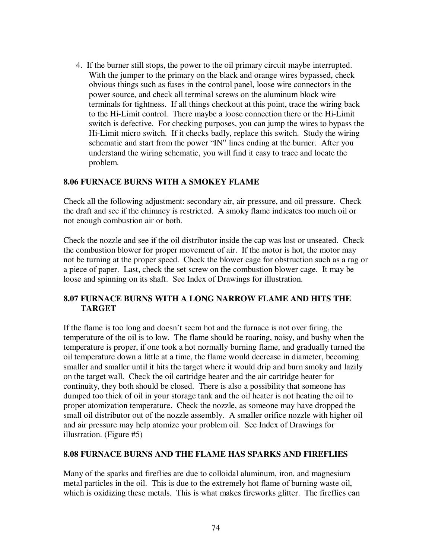4. If the burner still stops, the power to the oil primary circuit maybe interrupted. With the jumper to the primary on the black and orange wires bypassed, check obvious things such as fuses in the control panel, loose wire connectors in the power source, and check all terminal screws on the aluminum block wire terminals for tightness. If all things checkout at this point, trace the wiring back to the Hi-Limit control. There maybe a loose connection there or the Hi-Limit switch is defective. For checking purposes, you can jump the wires to bypass the Hi-Limit micro switch. If it checks badly, replace this switch. Study the wiring schematic and start from the power "IN" lines ending at the burner. After you understand the wiring schematic, you will find it easy to trace and locate the problem.

### **8.06 FURNACE BURNS WITH A SMOKEY FLAME**

Check all the following adjustment: secondary air, air pressure, and oil pressure. Check the draft and see if the chimney is restricted. A smoky flame indicates too much oil or not enough combustion air or both.

Check the nozzle and see if the oil distributor inside the cap was lost or unseated. Check the combustion blower for proper movement of air. If the motor is hot, the motor may not be turning at the proper speed. Check the blower cage for obstruction such as a rag or a piece of paper. Last, check the set screw on the combustion blower cage. It may be loose and spinning on its shaft. See Index of Drawings for illustration.

### **8.07 FURNACE BURNS WITH A LONG NARROW FLAME AND HITS THE TARGET**

If the flame is too long and doesn't seem hot and the furnace is not over firing, the temperature of the oil is to low. The flame should be roaring, noisy, and bushy when the temperature is proper, if one took a hot normally burning flame, and gradually turned the oil temperature down a little at a time, the flame would decrease in diameter, becoming smaller and smaller until it hits the target where it would drip and burn smoky and lazily on the target wall. Check the oil cartridge heater and the air cartridge heater for continuity, they both should be closed. There is also a possibility that someone has dumped too thick of oil in your storage tank and the oil heater is not heating the oil to proper atomization temperature. Check the nozzle, as someone may have dropped the small oil distributor out of the nozzle assembly. A smaller orifice nozzle with higher oil and air pressure may help atomize your problem oil. See Index of Drawings for illustration. (Figure #5)

#### **8.08 FURNACE BURNS AND THE FLAME HAS SPARKS AND FIREFLIES**

Many of the sparks and fireflies are due to colloidal aluminum, iron, and magnesium metal particles in the oil. This is due to the extremely hot flame of burning waste oil, which is oxidizing these metals. This is what makes fireworks glitter. The fireflies can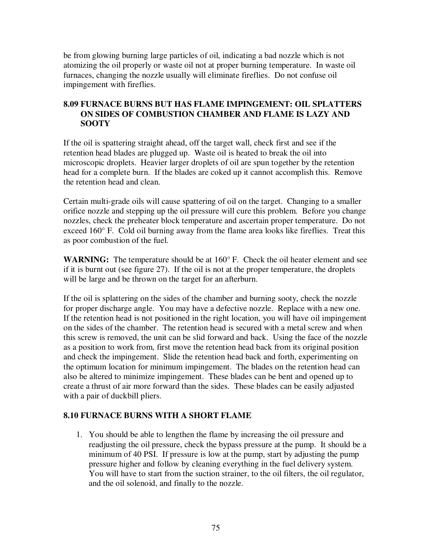be from glowing burning large particles of oil, indicating a bad nozzle which is not atomizing the oil properly or waste oil not at proper burning temperature. In waste oil furnaces, changing the nozzle usually will eliminate fireflies. Do not confuse oil impingement with fireflies.

### **8.09 FURNACE BURNS BUT HAS FLAME IMPINGEMENT: OIL SPLATTERS ON SIDES OF COMBUSTION CHAMBER AND FLAME IS LAZY AND SOOTY**

If the oil is spattering straight ahead, off the target wall, check first and see if the retention head blades are plugged up. Waste oil is heated to break the oil into microscopic droplets. Heavier larger droplets of oil are spun together by the retention head for a complete burn. If the blades are coked up it cannot accomplish this. Remove the retention head and clean.

Certain multi-grade oils will cause spattering of oil on the target. Changing to a smaller orifice nozzle and stepping up the oil pressure will cure this problem. Before you change nozzles, check the preheater block temperature and ascertain proper temperature. Do not exceed 160° F. Cold oil burning away from the flame area looks like fireflies. Treat this as poor combustion of the fuel.

**WARNING:** The temperature should be at 160° F. Check the oil heater element and see if it is burnt out (see figure 27). If the oil is not at the proper temperature, the droplets will be large and be thrown on the target for an afterburn.

If the oil is splattering on the sides of the chamber and burning sooty, check the nozzle for proper discharge angle. You may have a defective nozzle. Replace with a new one. If the retention head is not positioned in the right location, you will have oil impingement on the sides of the chamber. The retention head is secured with a metal screw and when this screw is removed, the unit can be slid forward and back. Using the face of the nozzle as a position to work from, first move the retention head back from its original position and check the impingement. Slide the retention head back and forth, experimenting on the optimum location for minimum impingement. The blades on the retention head can also be altered to minimize impingement. These blades can be bent and opened up to create a thrust of air more forward than the sides. These blades can be easily adjusted with a pair of duckbill pliers.

## **8.10 FURNACE BURNS WITH A SHORT FLAME**

1. You should be able to lengthen the flame by increasing the oil pressure and readjusting the oil pressure, check the bypass pressure at the pump. It should be a minimum of 40 PSI. If pressure is low at the pump, start by adjusting the pump pressure higher and follow by cleaning everything in the fuel delivery system. You will have to start from the suction strainer, to the oil filters, the oil regulator, and the oil solenoid, and finally to the nozzle.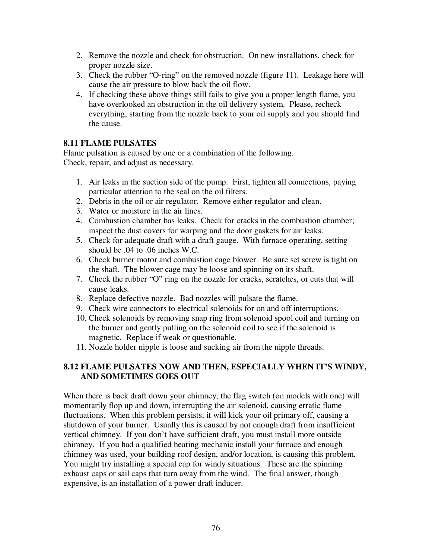- 2. Remove the nozzle and check for obstruction. On new installations, check for proper nozzle size.
- 3. Check the rubber "O-ring" on the removed nozzle (figure 11). Leakage here will cause the air pressure to blow back the oil flow.
- 4. If checking these above things still fails to give you a proper length flame, you have overlooked an obstruction in the oil delivery system. Please, recheck everything, starting from the nozzle back to your oil supply and you should find the cause.

# **8.11 FLAME PULSATES**

Flame pulsation is caused by one or a combination of the following. Check, repair, and adjust as necessary.

- 1. Air leaks in the suction side of the pump. First, tighten all connections, paying particular attention to the seal on the oil filters.
- 2. Debris in the oil or air regulator. Remove either regulator and clean.
- 3. Water or moisture in the air lines.
- 4. Combustion chamber has leaks. Check for cracks in the combustion chamber; inspect the dust covers for warping and the door gaskets for air leaks.
- 5. Check for adequate draft with a draft gauge. With furnace operating, setting should be .04 to .06 inches W.C.
- 6. Check burner motor and combustion cage blower. Be sure set screw is tight on the shaft. The blower cage may be loose and spinning on its shaft.
- 7. Check the rubber "O" ring on the nozzle for cracks, scratches, or cuts that will cause leaks.
- 8. Replace defective nozzle. Bad nozzles will pulsate the flame.
- 9. Check wire connectors to electrical solenoids for on and off interruptions.
- 10. Check solenoids by removing snap ring from solenoid spool coil and turning on the burner and gently pulling on the solenoid coil to see if the solenoid is magnetic. Replace if weak or questionable.
- 11. Nozzle holder nipple is loose and sucking air from the nipple threads.

# **8.12 FLAME PULSATES NOW AND THEN, ESPECIALLY WHEN IT'S WINDY, AND SOMETIMES GOES OUT**

When there is back draft down your chimney, the flag switch (on models with one) will momentarily flop up and down, interrupting the air solenoid, causing erratic flame fluctuations. When this problem persists, it will kick your oil primary off, causing a shutdown of your burner. Usually this is caused by not enough draft from insufficient vertical chimney. If you don't have sufficient draft, you must install more outside chimney. If you had a qualified heating mechanic install your furnace and enough chimney was used, your building roof design, and/or location, is causing this problem. You might try installing a special cap for windy situations. These are the spinning exhaust caps or sail caps that turn away from the wind. The final answer, though expensive, is an installation of a power draft inducer.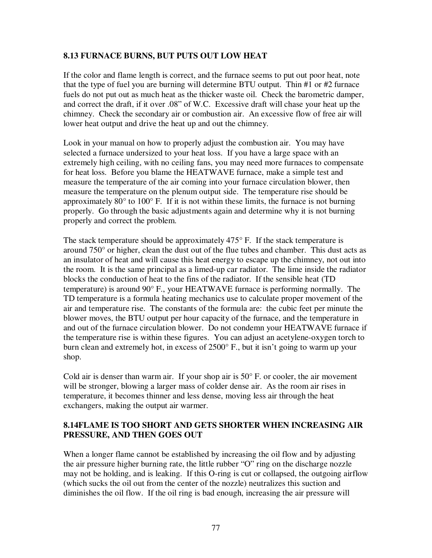### **8.13 FURNACE BURNS, BUT PUTS OUT LOW HEAT**

If the color and flame length is correct, and the furnace seems to put out poor heat, note that the type of fuel you are burning will determine BTU output. Thin #1 or #2 furnace fuels do not put out as much heat as the thicker waste oil. Check the barometric damper, and correct the draft, if it over .08" of W.C. Excessive draft will chase your heat up the chimney. Check the secondary air or combustion air. An excessive flow of free air will lower heat output and drive the heat up and out the chimney.

Look in your manual on how to properly adjust the combustion air. You may have selected a furnace undersized to your heat loss. If you have a large space with an extremely high ceiling, with no ceiling fans, you may need more furnaces to compensate for heat loss. Before you blame the HEATWAVE furnace, make a simple test and measure the temperature of the air coming into your furnace circulation blower, then measure the temperature on the plenum output side. The temperature rise should be approximately  $80^{\circ}$  to  $100^{\circ}$  F. If it is not within these limits, the furnace is not burning properly. Go through the basic adjustments again and determine why it is not burning properly and correct the problem.

The stack temperature should be approximately  $475^{\circ}$  F. If the stack temperature is around 750° or higher, clean the dust out of the flue tubes and chamber. This dust acts as an insulator of heat and will cause this heat energy to escape up the chimney, not out into the room. It is the same principal as a limed-up car radiator. The lime inside the radiator blocks the conduction of heat to the fins of the radiator. If the sensible heat (TD temperature) is around 90° F., your HEATWAVE furnace is performing normally. The TD temperature is a formula heating mechanics use to calculate proper movement of the air and temperature rise. The constants of the formula are: the cubic feet per minute the blower moves, the BTU output per hour capacity of the furnace, and the temperature in and out of the furnace circulation blower. Do not condemn your HEATWAVE furnace if the temperature rise is within these figures. You can adjust an acetylene-oxygen torch to burn clean and extremely hot, in excess of 2500° F., but it isn't going to warm up your shop.

Cold air is denser than warm air. If your shop air is  $50^{\circ}$  F, or cooler, the air movement will be stronger, blowing a larger mass of colder dense air. As the room air rises in temperature, it becomes thinner and less dense, moving less air through the heat exchangers, making the output air warmer.

### **8.14FLAME IS TOO SHORT AND GETS SHORTER WHEN INCREASING AIR PRESSURE, AND THEN GOES OUT**

When a longer flame cannot be established by increasing the oil flow and by adjusting the air pressure higher burning rate, the little rubber "O" ring on the discharge nozzle may not be holding, and is leaking. If this O-ring is cut or collapsed, the outgoing airflow (which sucks the oil out from the center of the nozzle) neutralizes this suction and diminishes the oil flow. If the oil ring is bad enough, increasing the air pressure will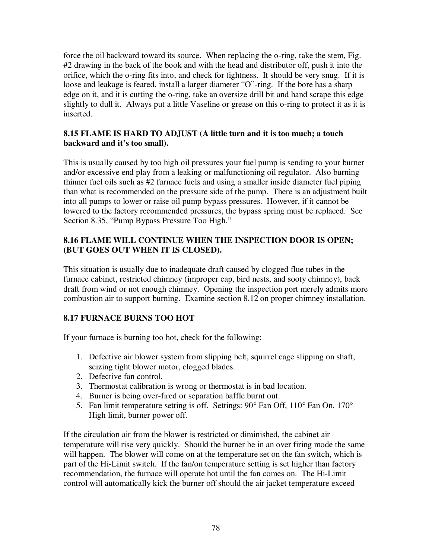force the oil backward toward its source. When replacing the o-ring, take the stem, Fig. #2 drawing in the back of the book and with the head and distributor off, push it into the orifice, which the o-ring fits into, and check for tightness. It should be very snug. If it is loose and leakage is feared, install a larger diameter "O"-ring. If the bore has a sharp edge on it, and it is cutting the o-ring, take an oversize drill bit and hand scrape this edge slightly to dull it. Always put a little Vaseline or grease on this o-ring to protect it as it is inserted.

### **8.15 FLAME IS HARD TO ADJUST (A little turn and it is too much; a touch backward and it's too small).**

This is usually caused by too high oil pressures your fuel pump is sending to your burner and/or excessive end play from a leaking or malfunctioning oil regulator. Also burning thinner fuel oils such as #2 furnace fuels and using a smaller inside diameter fuel piping than what is recommended on the pressure side of the pump. There is an adjustment built into all pumps to lower or raise oil pump bypass pressures. However, if it cannot be lowered to the factory recommended pressures, the bypass spring must be replaced. See Section 8.35, "Pump Bypass Pressure Too High."

# **8.16 FLAME WILL CONTINUE WHEN THE INSPECTION DOOR IS OPEN; (BUT GOES OUT WHEN IT IS CLOSED).**

This situation is usually due to inadequate draft caused by clogged flue tubes in the furnace cabinet, restricted chimney (improper cap, bird nests, and sooty chimney), back draft from wind or not enough chimney. Opening the inspection port merely admits more combustion air to support burning. Examine section 8.12 on proper chimney installation.

# **8.17 FURNACE BURNS TOO HOT**

If your furnace is burning too hot, check for the following:

- 1. Defective air blower system from slipping belt, squirrel cage slipping on shaft, seizing tight blower motor, clogged blades.
- 2. Defective fan control.
- 3. Thermostat calibration is wrong or thermostat is in bad location.
- 4. Burner is being over-fired or separation baffle burnt out.
- 5. Fan limit temperature setting is off. Settings: 90° Fan Off, 110° Fan On, 170° High limit, burner power off.

If the circulation air from the blower is restricted or diminished, the cabinet air temperature will rise very quickly. Should the burner be in an over firing mode the same will happen. The blower will come on at the temperature set on the fan switch, which is part of the Hi-Limit switch. If the fan/on temperature setting is set higher than factory recommendation, the furnace will operate hot until the fan comes on. The Hi-Limit control will automatically kick the burner off should the air jacket temperature exceed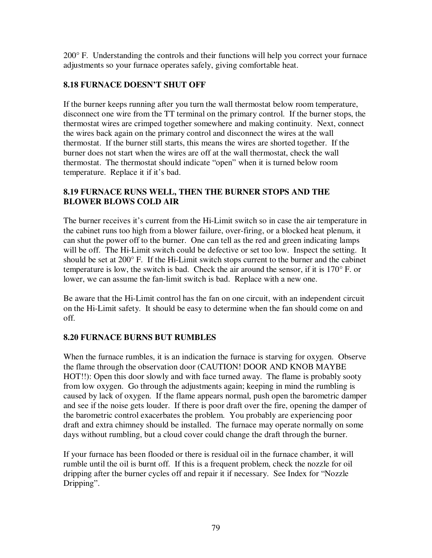200° F. Understanding the controls and their functions will help you correct your furnace adjustments so your furnace operates safely, giving comfortable heat.

# **8.18 FURNACE DOESN'T SHUT OFF**

If the burner keeps running after you turn the wall thermostat below room temperature, disconnect one wire from the TT terminal on the primary control. If the burner stops, the thermostat wires are crimped together somewhere and making continuity. Next, connect the wires back again on the primary control and disconnect the wires at the wall thermostat. If the burner still starts, this means the wires are shorted together. If the burner does not start when the wires are off at the wall thermostat, check the wall thermostat. The thermostat should indicate "open" when it is turned below room temperature. Replace it if it's bad.

# **8.19 FURNACE RUNS WELL, THEN THE BURNER STOPS AND THE BLOWER BLOWS COLD AIR**

The burner receives it's current from the Hi-Limit switch so in case the air temperature in the cabinet runs too high from a blower failure, over-firing, or a blocked heat plenum, it can shut the power off to the burner. One can tell as the red and green indicating lamps will be off. The Hi-Limit switch could be defective or set too low. Inspect the setting. It should be set at 200° F. If the Hi-Limit switch stops current to the burner and the cabinet temperature is low, the switch is bad. Check the air around the sensor, if it is 170° F. or lower, we can assume the fan-limit switch is bad. Replace with a new one.

Be aware that the Hi-Limit control has the fan on one circuit, with an independent circuit on the Hi-Limit safety. It should be easy to determine when the fan should come on and off.

# **8.20 FURNACE BURNS BUT RUMBLES**

When the furnace rumbles, it is an indication the furnace is starving for oxygen. Observe the flame through the observation door (CAUTION! DOOR AND KNOB MAYBE HOT!!): Open this door slowly and with face turned away. The flame is probably sooty from low oxygen. Go through the adjustments again; keeping in mind the rumbling is caused by lack of oxygen. If the flame appears normal, push open the barometric damper and see if the noise gets louder. If there is poor draft over the fire, opening the damper of the barometric control exacerbates the problem. You probably are experiencing poor draft and extra chimney should be installed. The furnace may operate normally on some days without rumbling, but a cloud cover could change the draft through the burner.

If your furnace has been flooded or there is residual oil in the furnace chamber, it will rumble until the oil is burnt off. If this is a frequent problem, check the nozzle for oil dripping after the burner cycles off and repair it if necessary. See Index for "Nozzle Dripping".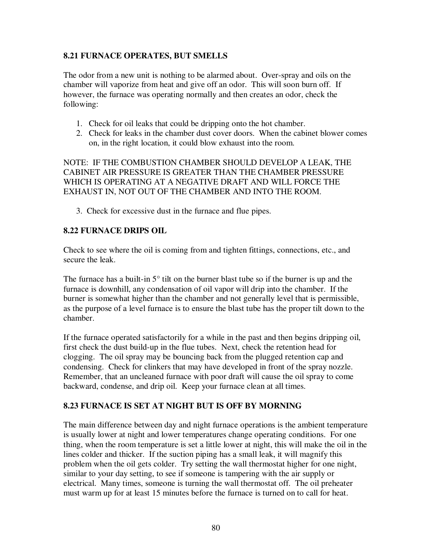## **8.21 FURNACE OPERATES, BUT SMELLS**

The odor from a new unit is nothing to be alarmed about. Over-spray and oils on the chamber will vaporize from heat and give off an odor. This will soon burn off. If however, the furnace was operating normally and then creates an odor, check the following:

- 1. Check for oil leaks that could be dripping onto the hot chamber.
- 2. Check for leaks in the chamber dust cover doors. When the cabinet blower comes on, in the right location, it could blow exhaust into the room.

NOTE: IF THE COMBUSTION CHAMBER SHOULD DEVELOP A LEAK, THE CABINET AIR PRESSURE IS GREATER THAN THE CHAMBER PRESSURE WHICH IS OPERATING AT A NEGATIVE DRAFT AND WILL FORCE THE EXHAUST IN, NOT OUT OF THE CHAMBER AND INTO THE ROOM.

3. Check for excessive dust in the furnace and flue pipes.

#### **8.22 FURNACE DRIPS OIL**

Check to see where the oil is coming from and tighten fittings, connections, etc., and secure the leak.

The furnace has a built-in  $5^\circ$  tilt on the burner blast tube so if the burner is up and the furnace is downhill, any condensation of oil vapor will drip into the chamber. If the burner is somewhat higher than the chamber and not generally level that is permissible, as the purpose of a level furnace is to ensure the blast tube has the proper tilt down to the chamber.

If the furnace operated satisfactorily for a while in the past and then begins dripping oil, first check the dust build-up in the flue tubes. Next, check the retention head for clogging. The oil spray may be bouncing back from the plugged retention cap and condensing. Check for clinkers that may have developed in front of the spray nozzle. Remember, that an uncleaned furnace with poor draft will cause the oil spray to come backward, condense, and drip oil. Keep your furnace clean at all times.

#### **8.23 FURNACE IS SET AT NIGHT BUT IS OFF BY MORNING**

The main difference between day and night furnace operations is the ambient temperature is usually lower at night and lower temperatures change operating conditions. For one thing, when the room temperature is set a little lower at night, this will make the oil in the lines colder and thicker. If the suction piping has a small leak, it will magnify this problem when the oil gets colder. Try setting the wall thermostat higher for one night, similar to your day setting, to see if someone is tampering with the air supply or electrical. Many times, someone is turning the wall thermostat off. The oil preheater must warm up for at least 15 minutes before the furnace is turned on to call for heat.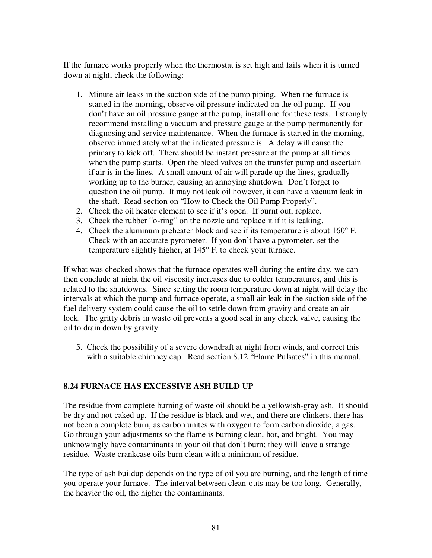If the furnace works properly when the thermostat is set high and fails when it is turned down at night, check the following:

- 1. Minute air leaks in the suction side of the pump piping. When the furnace is started in the morning, observe oil pressure indicated on the oil pump. If you don't have an oil pressure gauge at the pump, install one for these tests. I strongly recommend installing a vacuum and pressure gauge at the pump permanently for diagnosing and service maintenance. When the furnace is started in the morning, observe immediately what the indicated pressure is. A delay will cause the primary to kick off. There should be instant pressure at the pump at all times when the pump starts. Open the bleed valves on the transfer pump and ascertain if air is in the lines. A small amount of air will parade up the lines, gradually working up to the burner, causing an annoying shutdown. Don't forget to question the oil pump. It may not leak oil however, it can have a vacuum leak in the shaft. Read section on "How to Check the Oil Pump Properly".
- 2. Check the oil heater element to see if it's open. If burnt out, replace.
- 3. Check the rubber "o-ring" on the nozzle and replace it if it is leaking.
- 4. Check the aluminum preheater block and see if its temperature is about 160° F. Check with an accurate pyrometer. If you don't have a pyrometer, set the temperature slightly higher, at 145° F. to check your furnace.

If what was checked shows that the furnace operates well during the entire day, we can then conclude at night the oil viscosity increases due to colder temperatures, and this is related to the shutdowns. Since setting the room temperature down at night will delay the intervals at which the pump and furnace operate, a small air leak in the suction side of the fuel delivery system could cause the oil to settle down from gravity and create an air lock. The gritty debris in waste oil prevents a good seal in any check valve, causing the oil to drain down by gravity.

5. Check the possibility of a severe downdraft at night from winds, and correct this with a suitable chimney cap. Read section 8.12 "Flame Pulsates" in this manual.

## **8.24 FURNACE HAS EXCESSIVE ASH BUILD UP**

The residue from complete burning of waste oil should be a yellowish-gray ash. It should be dry and not caked up. If the residue is black and wet, and there are clinkers, there has not been a complete burn, as carbon unites with oxygen to form carbon dioxide, a gas. Go through your adjustments so the flame is burning clean, hot, and bright. You may unknowingly have contaminants in your oil that don't burn; they will leave a strange residue. Waste crankcase oils burn clean with a minimum of residue.

The type of ash buildup depends on the type of oil you are burning, and the length of time you operate your furnace. The interval between clean-outs may be too long. Generally, the heavier the oil, the higher the contaminants.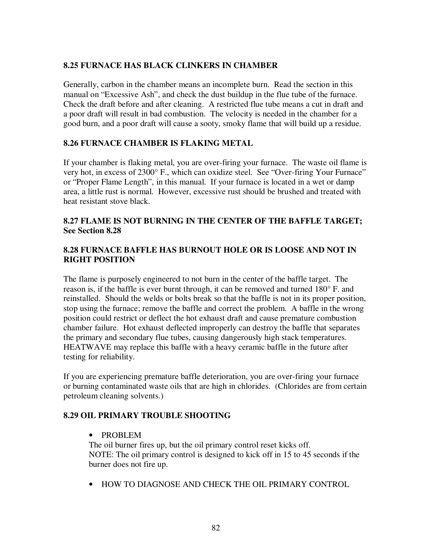## **8.25 FURNACE HAS BLACK CLINKERS IN CHAMBER**

Generally, carbon in the chamber means an incomplete burn. Read the section in this manual on "Excessive Ash", and check the dust buildup in the flue tube of the furnace. Check the draft before and after cleaning. A restricted flue tube means a cut in draft and a poor draft will result in bad combustion. The velocity is needed in the chamber for a good burn, and a poor draft will cause a sooty, smoky flame that will build up a residue.

### **8.26 FURNACE CHAMBER IS FLAKING METAL**

If your chamber is flaking metal, you are over-firing your furnace. The waste oil flame is very hot, in excess of 2300° F., which can oxidize steel. See "Over-firing Your Furnace" or "Proper Flame Length", in this manual. If your furnace is located in a wet or damp area, a little rust is normal. However, excessive rust should be brushed and treated with heat resistant stove black.

# **8.27 FLAME IS NOT BURNING IN THE CENTER OF THE BAFFLE TARGET; See Section 8.28**

## **8.28 FURNACE BAFFLE HAS BURNOUT HOLE OR IS LOOSE AND NOT IN RIGHT POSITION**

The flame is purposely engineered to not burn in the center of the baffle target. The reason is, if the baffle is ever burnt through, it can be removed and turned 180° F. and reinstalled. Should the welds or bolts break so that the baffle is not in its proper position, stop using the furnace; remove the baffle and correct the problem. A baffle in the wrong position could restrict or deflect the hot exhaust draft and cause premature combustion chamber failure. Hot exhaust deflected improperly can destroy the baffle that separates the primary and secondary flue tubes, causing dangerously high stack temperatures. HEATWAVE may replace this baffle with a heavy ceramic baffle in the future after testing for reliability.

If you are experiencing premature baffle deterioration, you are over-firing your furnace or burning contaminated waste oils that are high in chlorides. (Chlorides are from certain petroleum cleaning solvents.)

## **8.29 OIL PRIMARY TROUBLE SHOOTING**

#### • PROBLEM

The oil burner fires up, but the oil primary control reset kicks off. NOTE: The oil primary control is designed to kick off in 15 to 45 seconds if the burner does not fire up.

• HOW TO DIAGNOSE AND CHECK THE OIL PRIMARY CONTROL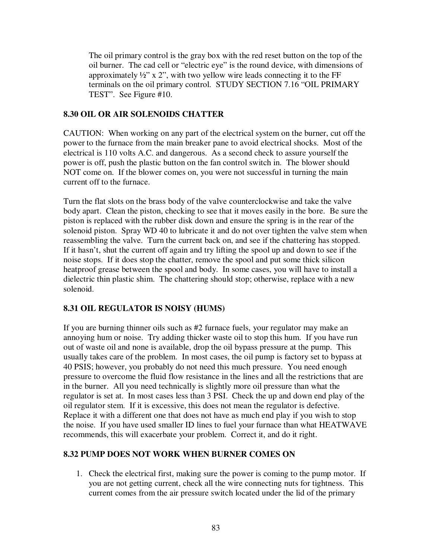The oil primary control is the gray box with the red reset button on the top of the oil burner. The cad cell or "electric eye" is the round device, with dimensions of approximately  $\frac{1}{2}$ " x 2", with two yellow wire leads connecting it to the FF terminals on the oil primary control. STUDY SECTION 7.16 "OIL PRIMARY TEST". See Figure #10.

## **8.30 OIL OR AIR SOLENOIDS CHATTER**

CAUTION: When working on any part of the electrical system on the burner, cut off the power to the furnace from the main breaker pane to avoid electrical shocks. Most of the electrical is 110 volts A.C. and dangerous. As a second check to assure yourself the power is off, push the plastic button on the fan control switch in. The blower should NOT come on. If the blower comes on, you were not successful in turning the main current off to the furnace.

Turn the flat slots on the brass body of the valve counterclockwise and take the valve body apart. Clean the piston, checking to see that it moves easily in the bore. Be sure the piston is replaced with the rubber disk down and ensure the spring is in the rear of the solenoid piston. Spray WD 40 to lubricate it and do not over tighten the valve stem when reassembling the valve. Turn the current back on, and see if the chattering has stopped. If it hasn't, shut the current off again and try lifting the spool up and down to see if the noise stops. If it does stop the chatter, remove the spool and put some thick silicon heatproof grease between the spool and body. In some cases, you will have to install a dielectric thin plastic shim. The chattering should stop; otherwise, replace with a new solenoid.

# **8.31 OIL REGULATOR IS NOISY (HUMS)**

If you are burning thinner oils such as #2 furnace fuels, your regulator may make an annoying hum or noise. Try adding thicker waste oil to stop this hum. If you have run out of waste oil and none is available, drop the oil bypass pressure at the pump. This usually takes care of the problem. In most cases, the oil pump is factory set to bypass at 40 PSIS; however, you probably do not need this much pressure. You need enough pressure to overcome the fluid flow resistance in the lines and all the restrictions that are in the burner. All you need technically is slightly more oil pressure than what the regulator is set at. In most cases less than 3 PSI. Check the up and down end play of the oil regulator stem. If it is excessive, this does not mean the regulator is defective. Replace it with a different one that does not have as much end play if you wish to stop the noise. If you have used smaller ID lines to fuel your furnace than what HEATWAVE recommends, this will exacerbate your problem. Correct it, and do it right.

# **8.32 PUMP DOES NOT WORK WHEN BURNER COMES ON**

1. Check the electrical first, making sure the power is coming to the pump motor. If you are not getting current, check all the wire connecting nuts for tightness. This current comes from the air pressure switch located under the lid of the primary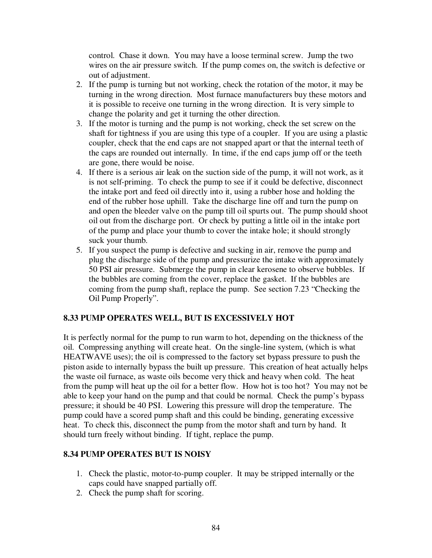control. Chase it down. You may have a loose terminal screw. Jump the two wires on the air pressure switch. If the pump comes on, the switch is defective or out of adjustment.

- 2. If the pump is turning but not working, check the rotation of the motor, it may be turning in the wrong direction. Most furnace manufacturers buy these motors and it is possible to receive one turning in the wrong direction. It is very simple to change the polarity and get it turning the other direction.
- 3. If the motor is turning and the pump is not working, check the set screw on the shaft for tightness if you are using this type of a coupler. If you are using a plastic coupler, check that the end caps are not snapped apart or that the internal teeth of the caps are rounded out internally. In time, if the end caps jump off or the teeth are gone, there would be noise.
- 4. If there is a serious air leak on the suction side of the pump, it will not work, as it is not self-priming. To check the pump to see if it could be defective, disconnect the intake port and feed oil directly into it, using a rubber hose and holding the end of the rubber hose uphill. Take the discharge line off and turn the pump on and open the bleeder valve on the pump till oil spurts out. The pump should shoot oil out from the discharge port. Or check by putting a little oil in the intake port of the pump and place your thumb to cover the intake hole; it should strongly suck your thumb.
- 5. If you suspect the pump is defective and sucking in air, remove the pump and plug the discharge side of the pump and pressurize the intake with approximately 50 PSI air pressure. Submerge the pump in clear kerosene to observe bubbles. If the bubbles are coming from the cover, replace the gasket. If the bubbles are coming from the pump shaft, replace the pump. See section 7.23 "Checking the Oil Pump Properly".

## **8.33 PUMP OPERATES WELL, BUT IS EXCESSIVELY HOT**

It is perfectly normal for the pump to run warm to hot, depending on the thickness of the oil. Compressing anything will create heat. On the single-line system, (which is what HEATWAVE uses); the oil is compressed to the factory set bypass pressure to push the piston aside to internally bypass the built up pressure. This creation of heat actually helps the waste oil furnace, as waste oils become very thick and heavy when cold. The heat from the pump will heat up the oil for a better flow. How hot is too hot? You may not be able to keep your hand on the pump and that could be normal. Check the pump's bypass pressure; it should be 40 PSI. Lowering this pressure will drop the temperature. The pump could have a scored pump shaft and this could be binding, generating excessive heat. To check this, disconnect the pump from the motor shaft and turn by hand. It should turn freely without binding. If tight, replace the pump.

## **8.34 PUMP OPERATES BUT IS NOISY**

- 1. Check the plastic, motor-to-pump coupler. It may be stripped internally or the caps could have snapped partially off.
- 2. Check the pump shaft for scoring.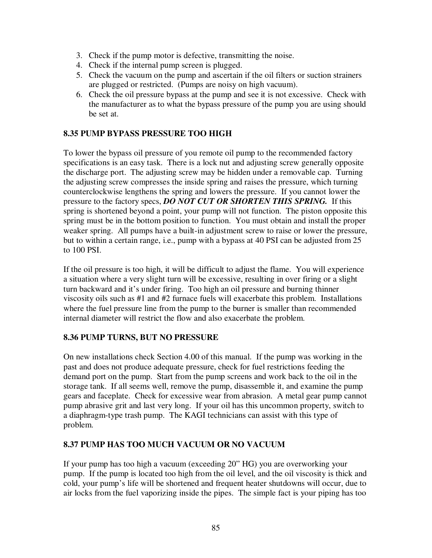- 3. Check if the pump motor is defective, transmitting the noise.
- 4. Check if the internal pump screen is plugged.
- 5. Check the vacuum on the pump and ascertain if the oil filters or suction strainers are plugged or restricted. (Pumps are noisy on high vacuum).
- 6. Check the oil pressure bypass at the pump and see it is not excessive. Check with the manufacturer as to what the bypass pressure of the pump you are using should be set at.

# **8.35 PUMP BYPASS PRESSURE TOO HIGH**

To lower the bypass oil pressure of you remote oil pump to the recommended factory specifications is an easy task. There is a lock nut and adjusting screw generally opposite the discharge port. The adjusting screw may be hidden under a removable cap. Turning the adjusting screw compresses the inside spring and raises the pressure, which turning counterclockwise lengthens the spring and lowers the pressure. If you cannot lower the pressure to the factory specs, *DO NOT CUT OR SHORTEN THIS SPRING.* If this spring is shortened beyond a point, your pump will not function. The piston opposite this spring must be in the bottom position to function. You must obtain and install the proper weaker spring. All pumps have a built-in adjustment screw to raise or lower the pressure, but to within a certain range, i.e., pump with a bypass at 40 PSI can be adjusted from 25 to 100 PSI.

If the oil pressure is too high, it will be difficult to adjust the flame. You will experience a situation where a very slight turn will be excessive, resulting in over firing or a slight turn backward and it's under firing. Too high an oil pressure and burning thinner viscosity oils such as #1 and #2 furnace fuels will exacerbate this problem. Installations where the fuel pressure line from the pump to the burner is smaller than recommended internal diameter will restrict the flow and also exacerbate the problem.

## **8.36 PUMP TURNS, BUT NO PRESSURE**

On new installations check Section 4.00 of this manual. If the pump was working in the past and does not produce adequate pressure, check for fuel restrictions feeding the demand port on the pump. Start from the pump screens and work back to the oil in the storage tank. If all seems well, remove the pump, disassemble it, and examine the pump gears and faceplate. Check for excessive wear from abrasion. A metal gear pump cannot pump abrasive grit and last very long. If your oil has this uncommon property, switch to a diaphragm-type trash pump. The KAGI technicians can assist with this type of problem.

#### **8.37 PUMP HAS TOO MUCH VACUUM OR NO VACUUM**

If your pump has too high a vacuum (exceeding 20" HG) you are overworking your pump. If the pump is located too high from the oil level, and the oil viscosity is thick and cold, your pump's life will be shortened and frequent heater shutdowns will occur, due to air locks from the fuel vaporizing inside the pipes. The simple fact is your piping has too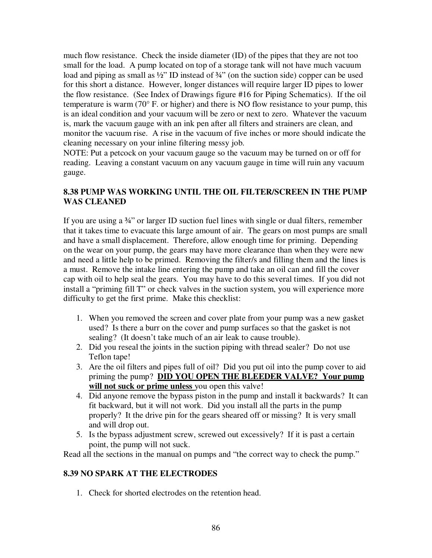much flow resistance. Check the inside diameter (ID) of the pipes that they are not too small for the load. A pump located on top of a storage tank will not have much vacuum load and piping as small as  $\frac{1}{2}$ " ID instead of  $\frac{3}{4}$ " (on the suction side) copper can be used for this short a distance. However, longer distances will require larger ID pipes to lower the flow resistance. (See Index of Drawings figure #16 for Piping Schematics). If the oil temperature is warm (70° F. or higher) and there is NO flow resistance to your pump, this is an ideal condition and your vacuum will be zero or next to zero. Whatever the vacuum is, mark the vacuum gauge with an ink pen after all filters and strainers are clean, and monitor the vacuum rise. A rise in the vacuum of five inches or more should indicate the cleaning necessary on your inline filtering messy job.

NOTE: Put a petcock on your vacuum gauge so the vacuum may be turned on or off for reading. Leaving a constant vacuum on any vacuum gauge in time will ruin any vacuum gauge.

## **8.38 PUMP WAS WORKING UNTIL THE OIL FILTER/SCREEN IN THE PUMP WAS CLEANED**

If you are using a ¾" or larger ID suction fuel lines with single or dual filters, remember that it takes time to evacuate this large amount of air. The gears on most pumps are small and have a small displacement. Therefore, allow enough time for priming. Depending on the wear on your pump, the gears may have more clearance than when they were new and need a little help to be primed. Removing the filter/s and filling them and the lines is a must. Remove the intake line entering the pump and take an oil can and fill the cover cap with oil to help seal the gears. You may have to do this several times. If you did not install a "priming fill T" or check valves in the suction system, you will experience more difficulty to get the first prime. Make this checklist:

- 1. When you removed the screen and cover plate from your pump was a new gasket used? Is there a burr on the cover and pump surfaces so that the gasket is not sealing? (It doesn't take much of an air leak to cause trouble).
- 2. Did you reseal the joints in the suction piping with thread sealer? Do not use Teflon tape!
- 3. Are the oil filters and pipes full of oil? Did you put oil into the pump cover to aid priming the pump? **DID YOU OPEN THE BLEEDER VALVE?** Your pump **will not suck or prime unless** you open this valve!
- 4. Did anyone remove the bypass piston in the pump and install it backwards? It can fit backward, but it will not work. Did you install all the parts in the pump properly? It the drive pin for the gears sheared off or missing? It is very small and will drop out.
- 5. Is the bypass adjustment screw, screwed out excessively? If it is past a certain point, the pump will not suck.

Read all the sections in the manual on pumps and "the correct way to check the pump."

## **8.39 NO SPARK AT THE ELECTRODES**

1. Check for shorted electrodes on the retention head.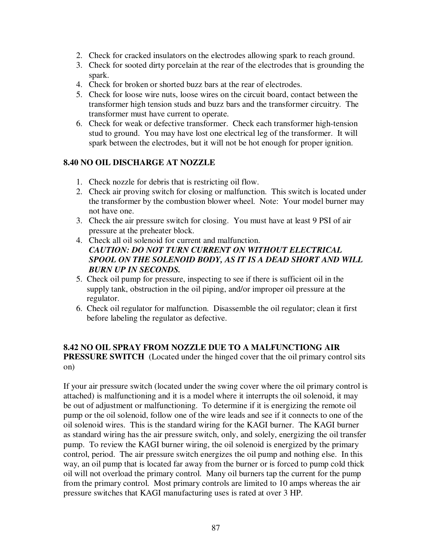- 2. Check for cracked insulators on the electrodes allowing spark to reach ground.
- 3. Check for sooted dirty porcelain at the rear of the electrodes that is grounding the spark.
- 4. Check for broken or shorted buzz bars at the rear of electrodes.
- 5. Check for loose wire nuts, loose wires on the circuit board, contact between the transformer high tension studs and buzz bars and the transformer circuitry. The transformer must have current to operate.
- 6. Check for weak or defective transformer. Check each transformer high-tension stud to ground. You may have lost one electrical leg of the transformer. It will spark between the electrodes, but it will not be hot enough for proper ignition.

## **8.40 NO OIL DISCHARGE AT NOZZLE**

- 1. Check nozzle for debris that is restricting oil flow.
- 2. Check air proving switch for closing or malfunction. This switch is located under the transformer by the combustion blower wheel. Note: Your model burner may not have one.
- 3. Check the air pressure switch for closing. You must have at least 9 PSI of air pressure at the preheater block.
- 4. Check all oil solenoid for current and malfunction. *CAUTION: DO NOT TURN CURRENT ON WITHOUT ELECTRICAL SPOOL ON THE SOLENOID BODY, AS IT IS A DEAD SHORT AND WILL BURN UP IN SECONDS.*
- 5. Check oil pump for pressure, inspecting to see if there is sufficient oil in the supply tank, obstruction in the oil piping, and/or improper oil pressure at the regulator.
- 6. Check oil regulator for malfunction. Disassemble the oil regulator; clean it first before labeling the regulator as defective.

### **8.42 NO OIL SPRAY FROM NOZZLE DUE TO A MALFUNCTIONG AIR PRESSURE SWITCH** (Located under the hinged cover that the oil primary control sits on)

If your air pressure switch (located under the swing cover where the oil primary control is attached) is malfunctioning and it is a model where it interrupts the oil solenoid, it may be out of adjustment or malfunctioning. To determine if it is energizing the remote oil pump or the oil solenoid, follow one of the wire leads and see if it connects to one of the oil solenoid wires. This is the standard wiring for the KAGI burner. The KAGI burner as standard wiring has the air pressure switch, only, and solely, energizing the oil transfer pump. To review the KAGI burner wiring, the oil solenoid is energized by the primary control, period. The air pressure switch energizes the oil pump and nothing else. In this way, an oil pump that is located far away from the burner or is forced to pump cold thick oil will not overload the primary control. Many oil burners tap the current for the pump from the primary control. Most primary controls are limited to 10 amps whereas the air pressure switches that KAGI manufacturing uses is rated at over 3 HP.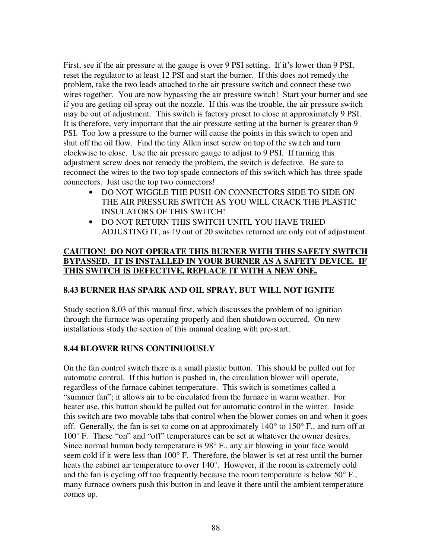First, see if the air pressure at the gauge is over 9 PSI setting. If it's lower than 9 PSI, reset the regulator to at least 12 PSI and start the burner. If this does not remedy the problem, take the two leads attached to the air pressure switch and connect these two wires together. You are now bypassing the air pressure switch! Start your burner and see if you are getting oil spray out the nozzle. If this was the trouble, the air pressure switch may be out of adjustment. This switch is factory preset to close at approximately 9 PSI. It is therefore, very important that the air pressure setting at the burner is greater than 9 PSI. Too low a pressure to the burner will cause the points in this switch to open and shut off the oil flow. Find the tiny Allen inset screw on top of the switch and turn clockwise to close. Use the air pressure gauge to adjust to 9 PSI. If turning this adjustment screw does not remedy the problem, the switch is defective. Be sure to reconnect the wires to the two top spade connectors of this switch which has three spade connectors. Just use the top two connectors!

- DO NOT WIGGLE THE PUSH-ON CONNECTORS SIDE TO SIDE ON THE AIR PRESSURE SWITCH AS YOU WILL CRACK THE PLASTIC INSULATORS OF THIS SWITCH!
- DO NOT RETURN THIS SWITCH UNITL YOU HAVE TRIED ADJUSTING IT, as 19 out of 20 switches returned are only out of adjustment.

# **CAUTION! DO NOT OPERATE THIS BURNER WITH THIS SAFETY SWITCH BYPASSED. IT IS INSTALLED IN YOUR BURNER AS A SAFETY DEVICE. IF THIS SWITCH IS DEFECTIVE, REPLACE IT WITH A NEW ONE.**

# **8.43 BURNER HAS SPARK AND OIL SPRAY, BUT WILL NOT IGNITE**

Study section 8.03 of this manual first, which discusses the problem of no ignition through the furnace was operating properly and then shutdown occurred. On new installations study the section of this manual dealing with pre-start.

## **8.44 BLOWER RUNS CONTINUOUSLY**

On the fan control switch there is a small plastic button. This should be pulled out for automatic control. If this button is pushed in, the circulation blower will operate, regardless of the furnace cabinet temperature. This switch is sometimes called a "summer fan"; it allows air to be circulated from the furnace in warm weather. For heater use, this button should be pulled out for automatic control in the winter. Inside this switch are two movable tabs that control when the blower comes on and when it goes off. Generally, the fan is set to come on at approximately  $140^{\circ}$  to  $150^{\circ}$  F., and turn off at 100° F. These "on" and "off" temperatures can be set at whatever the owner desires. Since normal human body temperature is 98° F., any air blowing in your face would seem cold if it were less than 100° F. Therefore, the blower is set at rest until the burner heats the cabinet air temperature to over 140°. However, if the room is extremely cold and the fan is cycling off too frequently because the room temperature is below 50° F., many furnace owners push this button in and leave it there until the ambient temperature comes up.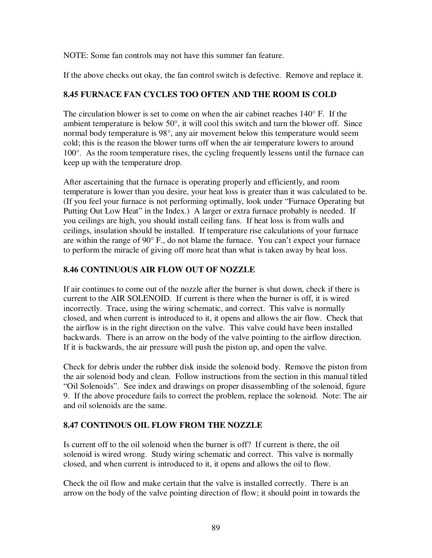NOTE: Some fan controls may not have this summer fan feature.

If the above checks out okay, the fan control switch is defective. Remove and replace it.

# **8.45 FURNACE FAN CYCLES TOO OFTEN AND THE ROOM IS COLD**

The circulation blower is set to come on when the air cabinet reaches  $140^{\circ}$  F. If the ambient temperature is below 50°, it will cool this switch and turn the blower off. Since normal body temperature is 98°, any air movement below this temperature would seem cold; this is the reason the blower turns off when the air temperature lowers to around 100°. As the room temperature rises, the cycling frequently lessens until the furnace can keep up with the temperature drop.

After ascertaining that the furnace is operating properly and efficiently, and room temperature is lower than you desire, your heat loss is greater than it was calculated to be. (If you feel your furnace is not performing optimally, look under "Furnace Operating but Putting Out Low Heat" in the Index.) A larger or extra furnace probably is needed. If you ceilings are high, you should install ceiling fans. If heat loss is from walls and ceilings, insulation should be installed. If temperature rise calculations of your furnace are within the range of 90° F., do not blame the furnace. You can't expect your furnace to perform the miracle of giving off more heat than what is taken away by heat loss.

# **8.46 CONTINUOUS AIR FLOW OUT OF NOZZLE**

If air continues to come out of the nozzle after the burner is shut down, check if there is current to the AIR SOLENOID. If current is there when the burner is off, it is wired incorrectly. Trace, using the wiring schematic, and correct. This valve is normally closed, and when current is introduced to it, it opens and allows the air flow. Check that the airflow is in the right direction on the valve. This valve could have been installed backwards. There is an arrow on the body of the valve pointing to the airflow direction. If it is backwards, the air pressure will push the piston up, and open the valve.

Check for debris under the rubber disk inside the solenoid body. Remove the piston from the air solenoid body and clean. Follow instructions from the section in this manual titled "Oil Solenoids". See index and drawings on proper disassembling of the solenoid, figure 9. If the above procedure fails to correct the problem, replace the solenoid. Note: The air and oil solenoids are the same.

# **8.47 CONTINOUS OIL FLOW FROM THE NOZZLE**

Is current off to the oil solenoid when the burner is off? If current is there, the oil solenoid is wired wrong. Study wiring schematic and correct. This valve is normally closed, and when current is introduced to it, it opens and allows the oil to flow.

Check the oil flow and make certain that the valve is installed correctly. There is an arrow on the body of the valve pointing direction of flow; it should point in towards the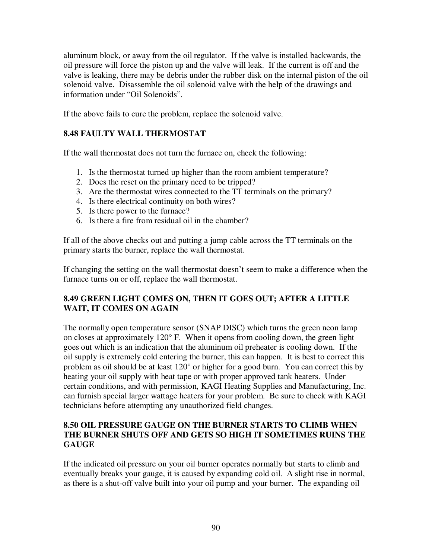aluminum block, or away from the oil regulator. If the valve is installed backwards, the oil pressure will force the piston up and the valve will leak. If the current is off and the valve is leaking, there may be debris under the rubber disk on the internal piston of the oil solenoid valve. Disassemble the oil solenoid valve with the help of the drawings and information under "Oil Solenoids".

If the above fails to cure the problem, replace the solenoid valve.

# **8.48 FAULTY WALL THERMOSTAT**

If the wall thermostat does not turn the furnace on, check the following:

- 1. Is the thermostat turned up higher than the room ambient temperature?
- 2. Does the reset on the primary need to be tripped?
- 3. Are the thermostat wires connected to the TT terminals on the primary?
- 4. Is there electrical continuity on both wires?
- 5. Is there power to the furnace?
- 6. Is there a fire from residual oil in the chamber?

If all of the above checks out and putting a jump cable across the TT terminals on the primary starts the burner, replace the wall thermostat.

If changing the setting on the wall thermostat doesn't seem to make a difference when the furnace turns on or off, replace the wall thermostat.

# **8.49 GREEN LIGHT COMES ON, THEN IT GOES OUT; AFTER A LITTLE WAIT, IT COMES ON AGAIN**

The normally open temperature sensor (SNAP DISC) which turns the green neon lamp on closes at approximately 120° F. When it opens from cooling down, the green light goes out which is an indication that the aluminum oil preheater is cooling down. If the oil supply is extremely cold entering the burner, this can happen. It is best to correct this problem as oil should be at least 120° or higher for a good burn. You can correct this by heating your oil supply with heat tape or with proper approved tank heaters. Under certain conditions, and with permission, KAGI Heating Supplies and Manufacturing, Inc. can furnish special larger wattage heaters for your problem. Be sure to check with KAGI technicians before attempting any unauthorized field changes.

## **8.50 OIL PRESSURE GAUGE ON THE BURNER STARTS TO CLIMB WHEN THE BURNER SHUTS OFF AND GETS SO HIGH IT SOMETIMES RUINS THE GAUGE**

If the indicated oil pressure on your oil burner operates normally but starts to climb and eventually breaks your gauge, it is caused by expanding cold oil. A slight rise in normal, as there is a shut-off valve built into your oil pump and your burner. The expanding oil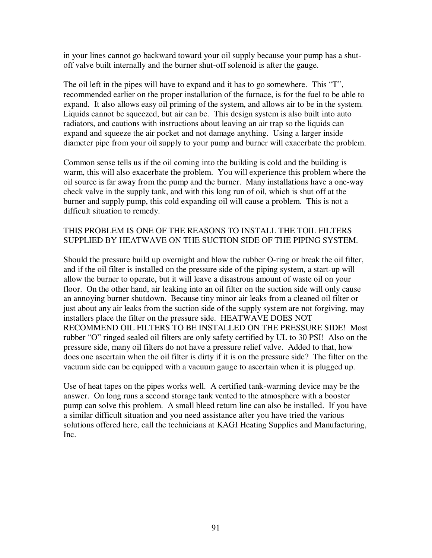in your lines cannot go backward toward your oil supply because your pump has a shutoff valve built internally and the burner shut-off solenoid is after the gauge.

The oil left in the pipes will have to expand and it has to go somewhere. This "T", recommended earlier on the proper installation of the furnace, is for the fuel to be able to expand. It also allows easy oil priming of the system, and allows air to be in the system. Liquids cannot be squeezed, but air can be. This design system is also built into auto radiators, and cautions with instructions about leaving an air trap so the liquids can expand and squeeze the air pocket and not damage anything. Using a larger inside diameter pipe from your oil supply to your pump and burner will exacerbate the problem.

Common sense tells us if the oil coming into the building is cold and the building is warm, this will also exacerbate the problem. You will experience this problem where the oil source is far away from the pump and the burner. Many installations have a one-way check valve in the supply tank, and with this long run of oil, which is shut off at the burner and supply pump, this cold expanding oil will cause a problem. This is not a difficult situation to remedy.

### THIS PROBLEM IS ONE OF THE REASONS TO INSTALL THE TOIL FILTERS SUPPLIED BY HEATWAVE ON THE SUCTION SIDE OF THE PIPING SYSTEM.

Should the pressure build up overnight and blow the rubber O-ring or break the oil filter, and if the oil filter is installed on the pressure side of the piping system, a start-up will allow the burner to operate, but it will leave a disastrous amount of waste oil on your floor. On the other hand, air leaking into an oil filter on the suction side will only cause an annoying burner shutdown. Because tiny minor air leaks from a cleaned oil filter or just about any air leaks from the suction side of the supply system are not forgiving, may installers place the filter on the pressure side. HEATWAVE DOES NOT RECOMMEND OIL FILTERS TO BE INSTALLED ON THE PRESSURE SIDE! Most rubber "O" ringed sealed oil filters are only safety certified by UL to 30 PSI! Also on the pressure side, many oil filters do not have a pressure relief valve. Added to that, how does one ascertain when the oil filter is dirty if it is on the pressure side? The filter on the vacuum side can be equipped with a vacuum gauge to ascertain when it is plugged up.

Use of heat tapes on the pipes works well. A certified tank-warming device may be the answer. On long runs a second storage tank vented to the atmosphere with a booster pump can solve this problem. A small bleed return line can also be installed. If you have a similar difficult situation and you need assistance after you have tried the various solutions offered here, call the technicians at KAGI Heating Supplies and Manufacturing, Inc.